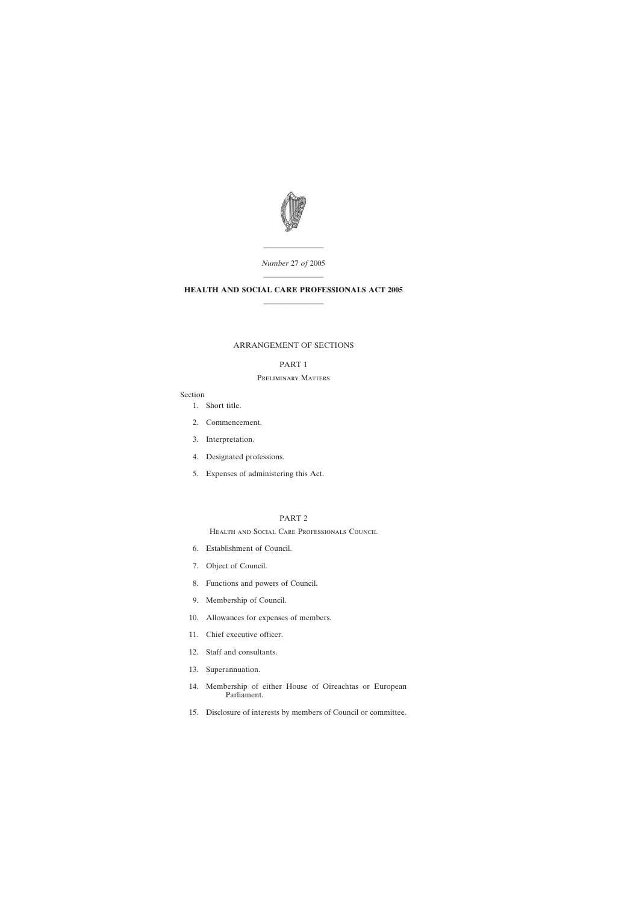

———————— *Number* 27 *of* 2005

# ———————— **HEALTH AND SOCIAL CARE PROFESSIONALS ACT 2005** ————————

### ARRANGEMENT OF SECTIONS

## PART 1

### Preliminary Matters

## Section

- [1. Short title.](#page-6-0)
- [2. Commencement.](#page-6-0)
- [3. Interpretation.](#page-6-0)
- [4. Designated professions.](#page-8-0)
- [5. Expenses of administering this Act.](#page-10-0)

## PART 2

Health and Social Care Professionals Council

- [6. Establishment of Council.](#page-10-0)
- [7. Object of Council.](#page-10-0)
- [8. Functions and powers of Council.](#page-10-0)
- [9. Membership of Council.](#page-11-0)
- [10. Allowances for expenses of members.](#page-12-0)
- [11. Chief executive officer.](#page-12-0)
- [12. Staff and consultants.](#page-13-0)
- [13. Superannuation.](#page-13-0)
- [14. Membership of either House of Oireachtas or European](#page-14-0) Parliament.
- [15. Disclosure of interests by members of Council or committee.](#page-14-0)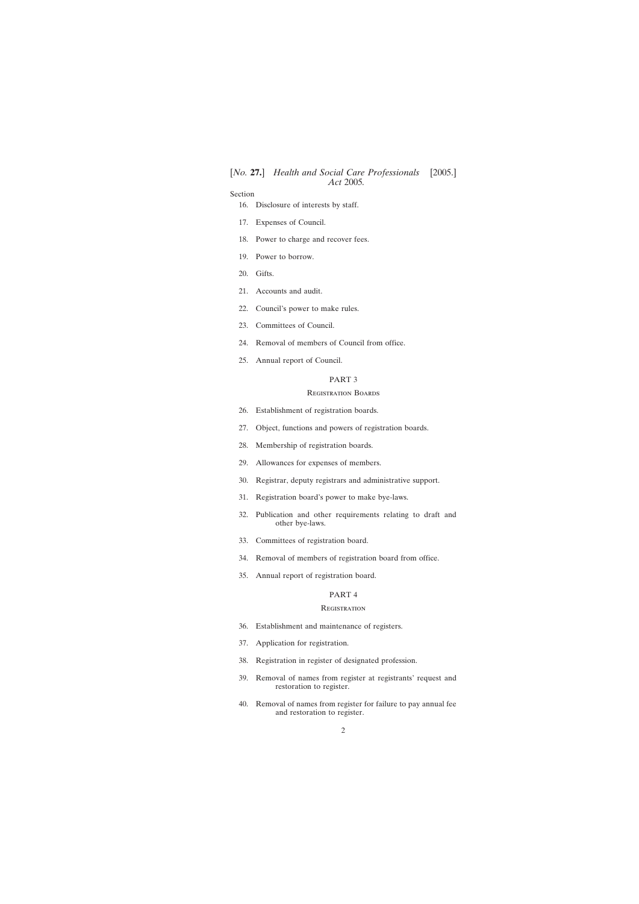- [16. Disclosure of interests by staff.](#page-16-0)
- [17. Expenses of Council.](#page-16-0)
- [18. Power to charge and recover fees.](#page-16-0)
- [19. Power to borrow.](#page-17-0)
- [20. Gifts.](#page-17-0)
- [21. Accounts and audit.](#page-17-0)
- [22. Council's power to make rules.](#page-18-0)
- [23. Committees of Council.](#page-19-0)
- [24. Removal of members of Council from office.](#page-19-0)
- [25. Annual report of Council.](#page-20-0)

### PART 3

#### Registration Boards

- [26. Establishment of registration boards.](#page-20-0)
- [27. Object, functions and powers of registration boards.](#page-21-0)
- [28. Membership of registration boards.](#page-21-0)
- [29. Allowances for expenses of members.](#page-23-0)
- [30. Registrar, deputy registrars and administrative support.](#page-23-0)
- [31. Registration board's power to make bye-laws.](#page-23-0)
- [32. Publication and other requirements relating to draft and](#page-24-0) other bye-laws.
- [33. Committees of registration board.](#page-25-0)
- [34. Removal of members of registration board from office.](#page-26-0)
- [35. Annual report of registration board.](#page-26-0)

### PART 4

### **REGISTRATION**

- [36. Establishment and maintenance of registers.](#page-27-0)
- [37. Application for registration.](#page-27-0)
- [38. Registration in register of designated profession.](#page-27-0)
- [39. Removal of names from register at registrants' request and](#page-29-0) restoration to register.
- [40. Removal of names from register for failure to pay annual fee](#page-29-0) and restoration to register.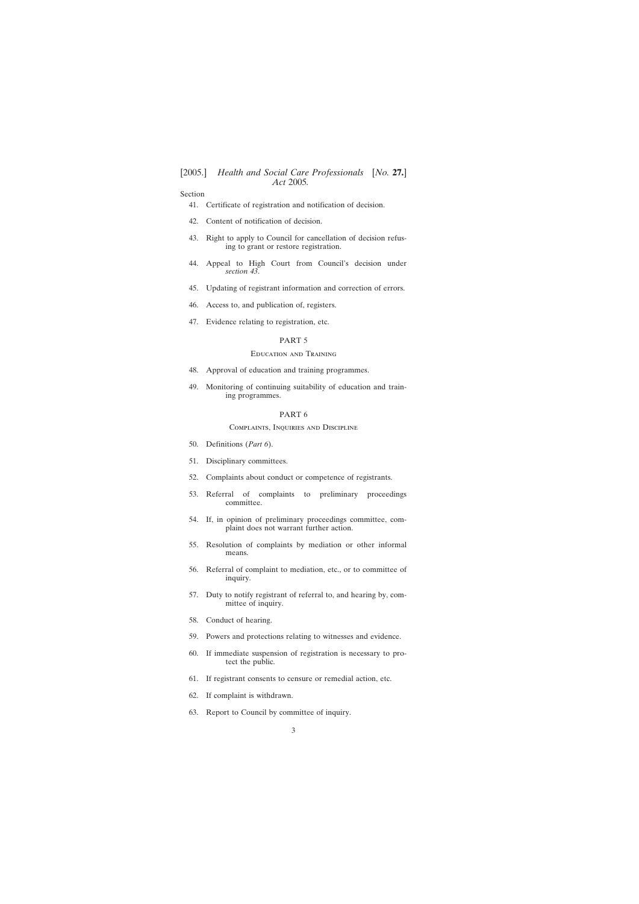- [41. Certificate of registration and notification of decision.](#page-30-0)
- [42. Content of notification of decision.](#page-30-0)
- [43. Right to apply to Council for cancellation of decision refus](#page-30-0)ing to grant or restore registration.
- [44. Appeal to High Court from Council's decision under](#page-31-0) *section 43*.
- [45. Updating of registrant information and correction of errors.](#page-31-0)
- [46. Access to, and publication of, registers.](#page-32-0)
- [47. Evidence relating to registration, etc.](#page-32-0)

### PART 5

### Education and Training

- [48. Approval of education and training programmes.](#page-33-0)
- [49. Monitoring of continuing suitability of education and train](#page-34-0)ing programmes.

### PART 6

#### Complaints, Inquiries and Discipline

- [50. Definitions \(](#page-34-0)*Part 6*).
- [51. Disciplinary committees.](#page-35-0)
- [52. Complaints about conduct or competence of registrants.](#page-36-0)
- [53. Referral of complaints to preliminary proceedings](#page-37-0) committee.
- [54. If, in opinion of preliminary proceedings committee, com](#page-37-0)plaint does not warrant further action.
- [55. Resolution of complaints by mediation or other informal](#page-38-0) means.
- [56. Referral of complaint to mediation, etc., or to committee of](#page-38-0) inquiry.
- [57. Duty to notify registrant of referral to, and hearing by, com](#page-39-0)mittee of inquiry.
- [58. Conduct of hearing.](#page-39-0)
- [59. Powers and protections relating to witnesses and evidence.](#page-40-0)
- [60. If immediate suspension of registration is necessary to pro](#page-42-0)tect the public.
- [61. If registrant consents to censure or remedial action, etc.](#page-42-0)
- [62. If complaint is withdrawn.](#page-42-0)
- [63. Report to Council by committee of inquiry.](#page-42-0)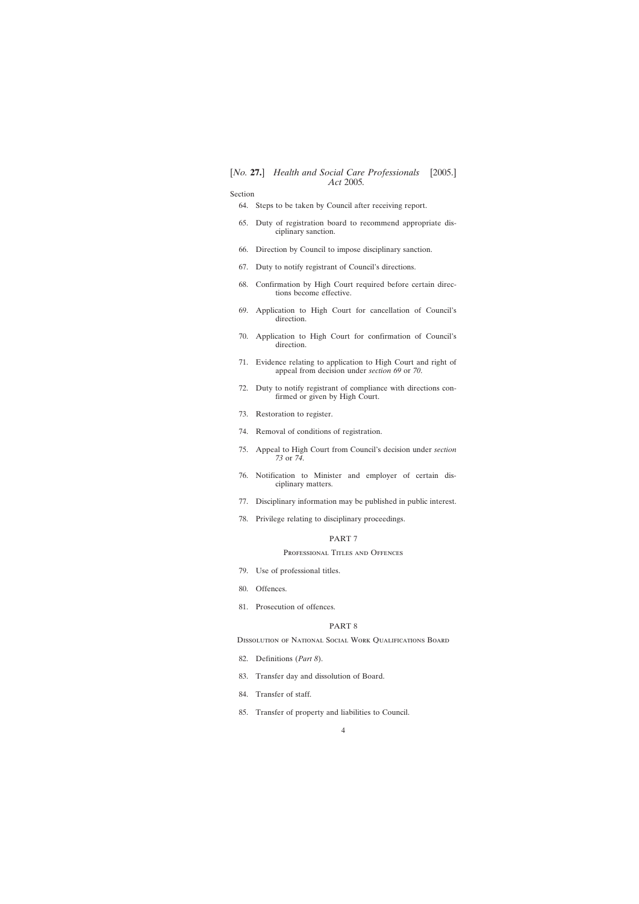- [64. Steps to be taken by Council after receiving report.](#page-43-0)
- [65. Duty of registration board to recommend appropriate dis](#page-43-0)ciplinary sanction.
- [66. Direction by Council to impose disciplinary sanction.](#page-44-0)
- [67. Duty to notify registrant of Council's directions.](#page-44-0)
- [68. Confirmation by High Court required before certain direc](#page-45-0)tions become effective.
- [69. Application to High Court for cancellation of Council's](#page-45-0) direction.
- [70. Application to High Court for confirmation of Council's](#page-45-0) direction.
- [71. Evidence relating to application to High Court and right of](#page-45-0) appeal from decision under *section 69* or *70*.
- [72. Duty to notify registrant of compliance with directions con](#page-45-0)firmed or given by High Court.
- [73. Restoration to register.](#page-46-0)
- [74. Removal of conditions of registration.](#page-46-0)
- [75. Appeal to High Court from Council's decision under](#page-47-0) *section 73* or *74*.
- [76. Notification to Minister and employer of certain dis](#page-48-0)ciplinary matters.
- [77. Disciplinary information may be published in public interest.](#page-48-0)
- [78. Privilege relating to disciplinary proceedings.](#page-49-0)

## PART 7

### PROFESSIONAL TITLES AND OFFENCES

- [79. Use of professional titles.](#page-49-0)
- [80. Offences.](#page-49-0)
- [81. Prosecution of offences.](#page-50-0)

#### PART 8

Dissolution of National Social Work Qualifications Board

- [82. Definitions \(](#page-50-0)*Part 8*).
- [83. Transfer day and dissolution of Board.](#page-50-0)
- [84. Transfer of staff.](#page-50-0)
- [85. Transfer of property and liabilities to Council.](#page-51-0)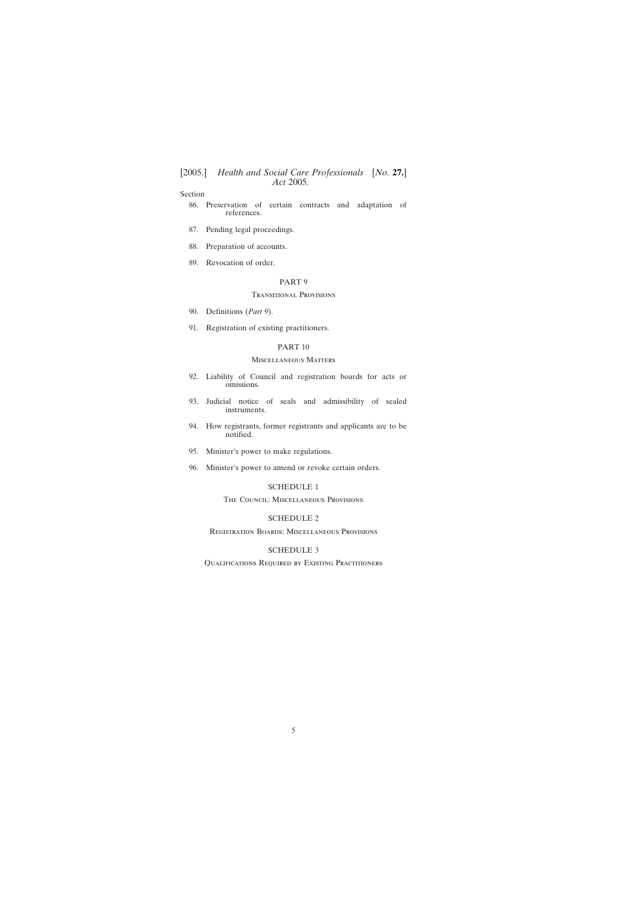- [86. Preservation of certain contracts and adaptation of](#page-52-0) references.
- [87. Pending legal proceedings.](#page-52-0)
- [88. Preparation of accounts.](#page-52-0)
- [89. Revocation of order.](#page-52-0)

#### PART 9

#### Transitional Provisions

- [90. Definitions \(](#page-52-0)*Part 9*).
- [91. Registration of existing practitioners.](#page-53-0)

#### PART 10

## Miscellaneous Matters

- [92. Liability of Council and registration boards for acts or](#page-55-0) omissions.
- [93. Judicial notice of seals and admissibility of sealed](#page-55-0) instruments.
- [94. How registrants, former registrants and applicants are to be](#page-55-0) notified.
- [95. Minister's power to make regulations.](#page-56-0)
- [96. Minister's power to amend or revoke certain orders.](#page-56-0)

### [SCHEDULE 1](#page-57-0)

### The Council: Miscellaneous Provisions

### [SCHEDULE 2](#page-60-0)

Registration Boards: Miscellaneous Provisions

### [SCHEDULE 3](#page-64-0)

Qualifications Required by Existing Practitioners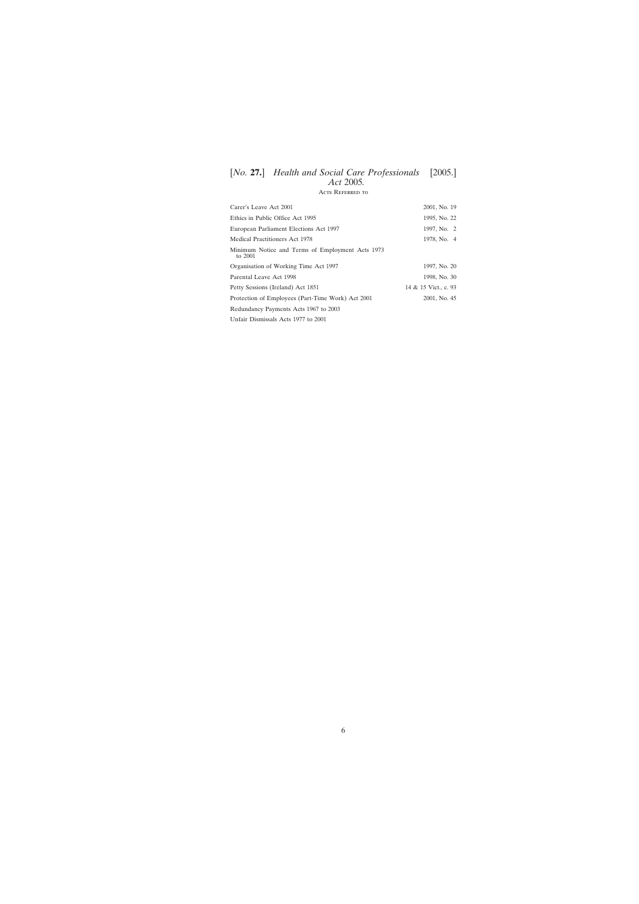Acts Referred to

| Carer's Leave Act 2001                                      | 2001, No. 19         |
|-------------------------------------------------------------|----------------------|
| Ethics in Public Office Act 1995                            | 1995, No. 22         |
| European Parliament Elections Act 1997                      | 1997, No. 2          |
| Medical Practitioners Act 1978                              | 1978, No. 4          |
| Minimum Notice and Terms of Employment Acts 1973<br>to 2001 |                      |
| Organisation of Working Time Act 1997                       | 1997, No. 20         |
| Parental Leave Act 1998                                     | 1998, No. 30         |
| Petty Sessions (Ireland) Act 1851                           | 14 & 15 Vict., c. 93 |
| Protection of Employees (Part-Time Work) Act 2001           | 2001, No. 45         |
| Redundancy Payments Acts 1967 to 2003                       |                      |
| Unfair Dismissals Acts 1977 to 2001                         |                      |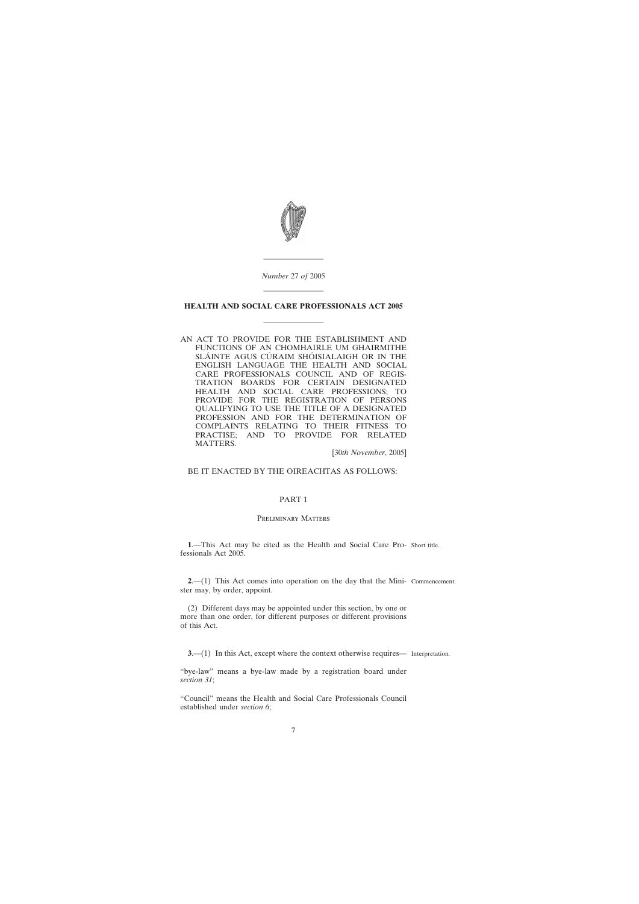

*Number* 27 *of* 2005

————————

# <span id="page-6-0"></span>———————— **HEALTH AND SOCIAL CARE PROFESSIONALS ACT 2005**

————————

AN ACT TO PROVIDE FOR THE ESTABLISHMENT AND FUNCTIONS OF AN CHOMHAIRLE UM GHAIRMITHE SLÁINTE AGUS CÚRAIM SHÓISIALAIGH OR IN THE ENGLISH LANGUAGE THE HEALTH AND SOCIAL CARE PROFESSIONALS COUNCIL AND OF REGIS-TRATION BOARDS FOR CERTAIN DESIGNATED HEALTH AND SOCIAL CARE PROFESSIONS; TO PROVIDE FOR THE REGISTRATION OF PERSONS QUALIFYING TO USE THE TITLE OF A DESIGNATED PROFESSION AND FOR THE DETERMINATION OF COMPLAINTS RELATING TO THEIR FITNESS TO PRACTISE; AND TO PROVIDE FOR RELATED MATTERS.

[30*th November*, 2005]

BE IT ENACTED BY THE OIREACHTAS AS FOLLOWS:

### PART 1

### Preliminary Matters

**1**.—This Act may be cited as the Health and Social Care Pro-Short title. fessionals Act 2005.

**2**.—(1) This Act comes into operation on the day that the Mini-Commencement. ster may, by order, appoint.

(2) Different days may be appointed under this section, by one or more than one order, for different purposes or different provisions of this Act.

**3.**—(1) In this Act, except where the context otherwise requires— Interpretation.

"bye-law" means a bye-law made by a registration board under *section 31*;

"Council" means the Health and Social Care Professionals Council established under *section 6*;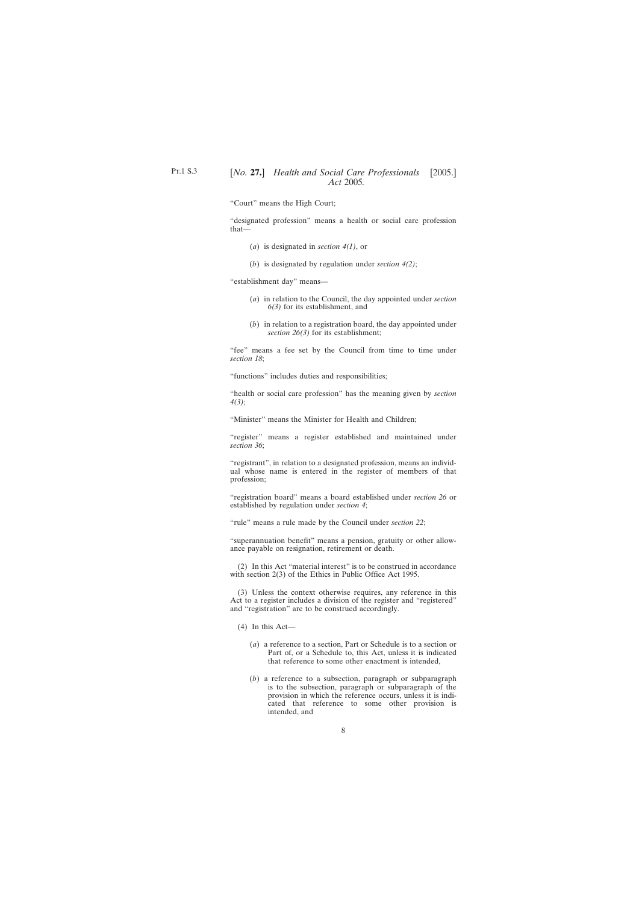"Court" means the High Court;

"designated profession" means a health or social care profession that—

- (*a*) is designated in *section 4(1)*, or
- (*b*) is designated by regulation under *section 4(2)*;

"establishment day" means—

- (*a*) in relation to the Council, the day appointed under *section 6(3)* for its establishment, and
- (*b*) in relation to a registration board, the day appointed under *section 26(3)* for its establishment;

"fee" means a fee set by the Council from time to time under *section 18*;

"functions" includes duties and responsibilities;

"health or social care profession" has the meaning given by *section 4(3)*;

"Minister" means the Minister for Health and Children;

"register" means a register established and maintained under *section 36*;

"registrant", in relation to a designated profession, means an individual whose name is entered in the register of members of that profession;

"registration board" means a board established under *section 26* or established by regulation under *section 4*;

"rule" means a rule made by the Council under *section 22*;

"superannuation benefit" means a pension, gratuity or other allowance payable on resignation, retirement or death.

(2) In this Act "material interest" is to be construed in accordance with section 2(3) of the Ethics in Public Office Act 1995.

(3) Unless the context otherwise requires, any reference in this Act to a register includes a division of the register and "registered" and "registration" are to be construed accordingly.

- (4) In this Act—
	- (*a*) a reference to a section, Part or Schedule is to a section or Part of, or a Schedule to, this Act, unless it is indicated that reference to some other enactment is intended,
	- (*b*) a reference to a subsection, paragraph or subparagraph is to the subsection, paragraph or subparagraph of the provision in which the reference occurs, unless it is indicated that reference to some other provision is intended, and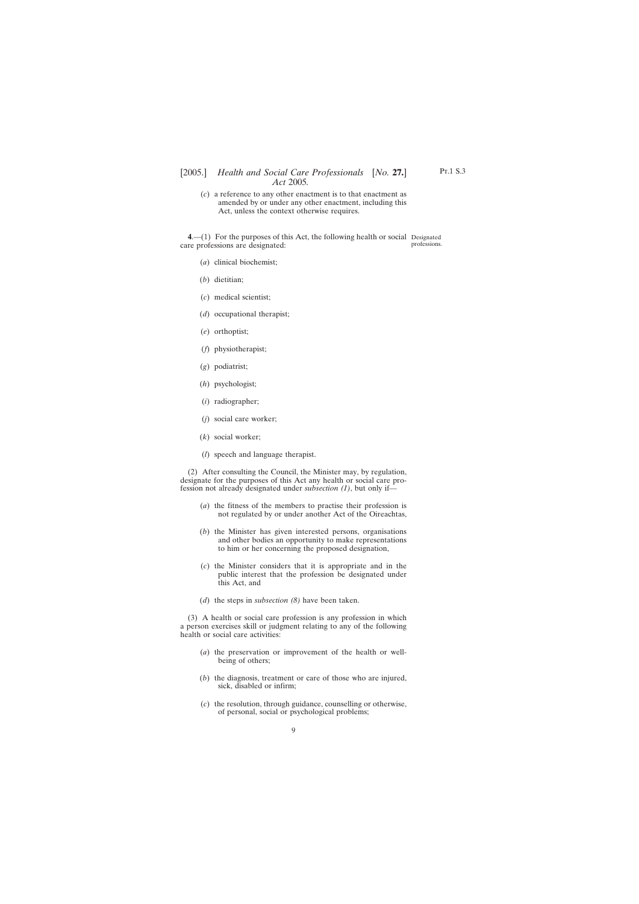<span id="page-8-0"></span>(*c*) a reference to any other enactment is to that enactment as amended by or under any other enactment, including this Act, unless the context otherwise requires.

**4**.—(1) For the purposes of this Act, the following health or social Designated care professions are designated: professions.

- (*a*) clinical biochemist;
- (*b*) dietitian;
- (*c*) medical scientist;
- (*d*) occupational therapist;
- (*e*) orthoptist;
- (*f*) physiotherapist;
- (*g*) podiatrist;
- (*h*) psychologist;
- (*i*) radiographer;
- (*j*) social care worker;
- (*k*) social worker;
- (*l*) speech and language therapist.

(2) After consulting the Council, the Minister may, by regulation, designate for the purposes of this Act any health or social care profession not already designated under *subsection (1)*, but only if—

- (*a*) the fitness of the members to practise their profession is not regulated by or under another Act of the Oireachtas,
- (*b*) the Minister has given interested persons, organisations and other bodies an opportunity to make representations to him or her concerning the proposed designation,
- (*c*) the Minister considers that it is appropriate and in the public interest that the profession be designated under this Act, and
- (*d*) the steps in *subsection (8)* have been taken.

(3) A health or social care profession is any profession in which a person exercises skill or judgment relating to any of the following health or social care activities:

- (*a*) the preservation or improvement of the health or wellbeing of others;
- (*b*) the diagnosis, treatment or care of those who are injured, sick, disabled or infirm;
- (*c*) the resolution, through guidance, counselling or otherwise, of personal, social or psychological problems;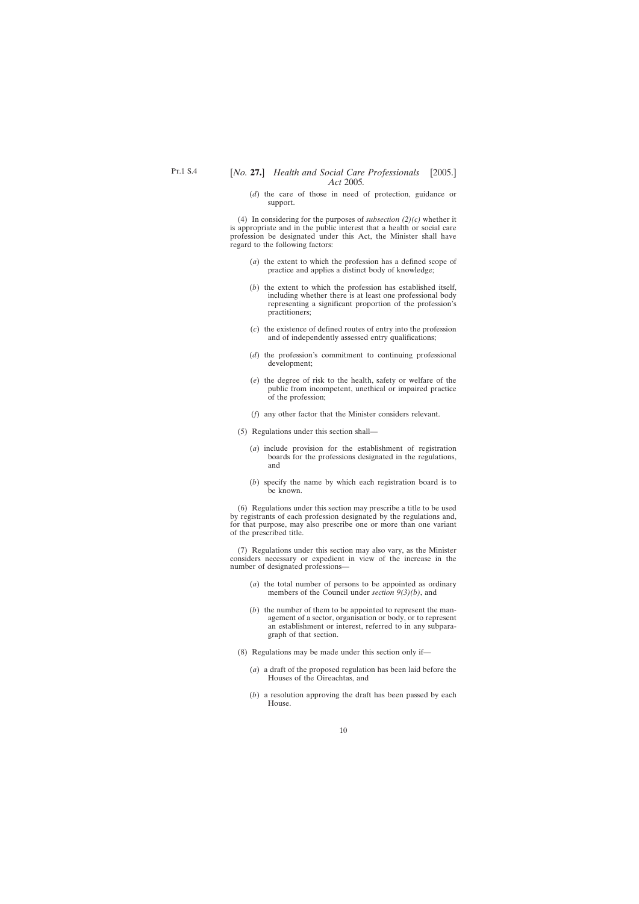(*d*) the care of those in need of protection, guidance or support.

(4) In considering for the purposes of *subsection (2)(c)* whether it is appropriate and in the public interest that a health or social care profession be designated under this Act, the Minister shall have regard to the following factors:

- (*a*) the extent to which the profession has a defined scope of practice and applies a distinct body of knowledge;
- (*b*) the extent to which the profession has established itself, including whether there is at least one professional body representing a significant proportion of the profession's practitioners;
- (*c*) the existence of defined routes of entry into the profession and of independently assessed entry qualifications;
- (*d*) the profession's commitment to continuing professional development;
- (*e*) the degree of risk to the health, safety or welfare of the public from incompetent, unethical or impaired practice of the profession;
- (*f*) any other factor that the Minister considers relevant.
- (5) Regulations under this section shall—
	- (*a*) include provision for the establishment of registration boards for the professions designated in the regulations, and
	- (*b*) specify the name by which each registration board is to be known.

(6) Regulations under this section may prescribe a title to be used by registrants of each profession designated by the regulations and, for that purpose, may also prescribe one or more than one variant of the prescribed title.

(7) Regulations under this section may also vary, as the Minister considers necessary or expedient in view of the increase in the number of designated professions—

- (*a*) the total number of persons to be appointed as ordinary members of the Council under *section 9(3)(b)*, and
- (*b*) the number of them to be appointed to represent the management of a sector, organisation or body, or to represent an establishment or interest, referred to in any subparagraph of that section.
- (8) Regulations may be made under this section only if—
	- (*a*) a draft of the proposed regulation has been laid before the Houses of the Oireachtas, and
	- (*b*) a resolution approving the draft has been passed by each House.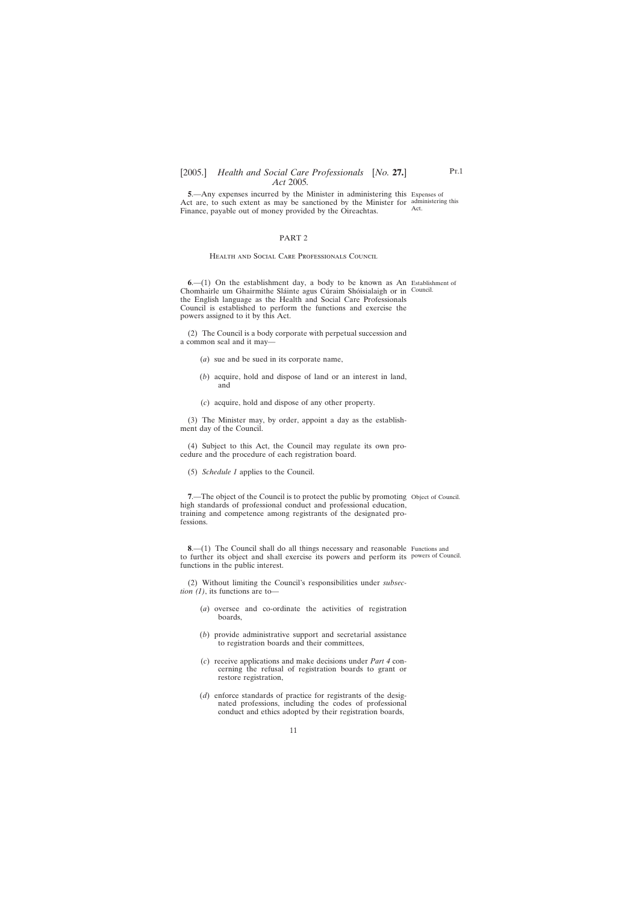<span id="page-10-0"></span>**5**.—Any expenses incurred by the Minister in administering this Expenses of Act are, to such extent as may be sanctioned by the Minister for administering this Finance, payable out of money provided by the Oireachtas. Act.

#### PART 2

#### Health and Social Care Professionals Council

**6**.—(1) On the establishment day, a body to be known as An Establishment of Chomhairle um Ghairmithe Sláinte agus Cúraim Shóisialaigh or in Council. the English language as the Health and Social Care Professionals Council is established to perform the functions and exercise the powers assigned to it by this Act.

(2) The Council is a body corporate with perpetual succession and a common seal and it may—

- (*a*) sue and be sued in its corporate name,
- (*b*) acquire, hold and dispose of land or an interest in land, and
- (*c*) acquire, hold and dispose of any other property.

(3) The Minister may, by order, appoint a day as the establishment day of the Council.

(4) Subject to this Act, the Council may regulate its own procedure and the procedure of each registration board.

(5) *Schedule 1* applies to the Council.

**7.**—The object of the Council is to protect the public by promoting Object of Council. high standards of professional conduct and professional education, training and competence among registrants of the designated professions.

**8.**—(1) The Council shall do all things necessary and reasonable Functions and to further its object and shall exercise its powers and perform its powers of Council.functions in the public interest.

(2) Without limiting the Council's responsibilities under *subsection (1)*, its functions are to—

- (*a*) oversee and co-ordinate the activities of registration boards,
- (*b*) provide administrative support and secretarial assistance to registration boards and their committees,
- (*c*) receive applications and make decisions under *Part 4* concerning the refusal of registration boards to grant or restore registration,
- (*d*) enforce standards of practice for registrants of the designated professions, including the codes of professional conduct and ethics adopted by their registration boards,

P<sub>T.1</sub>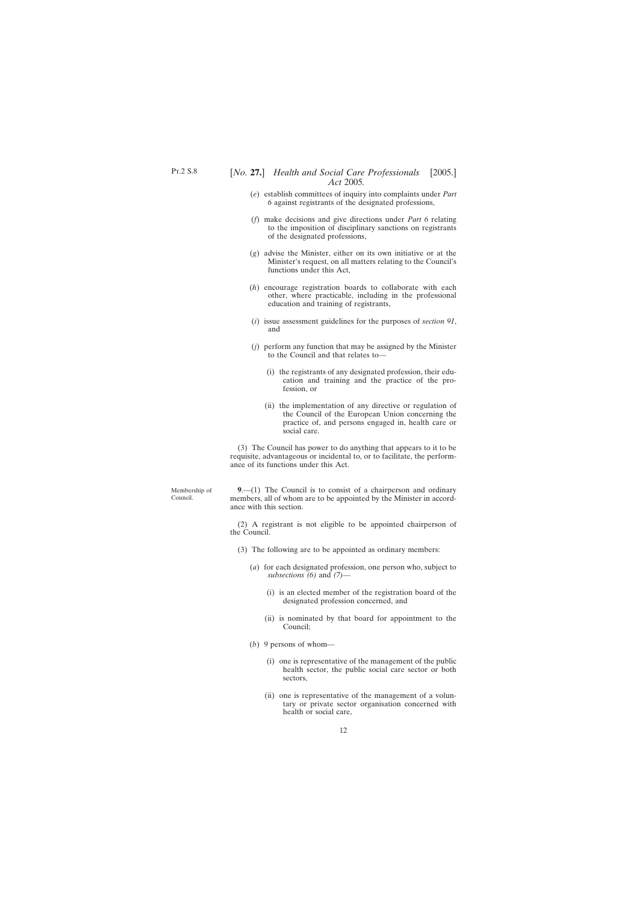- <span id="page-11-0"></span>(*e*) establish committees of inquiry into complaints under *Part 6* against registrants of the designated professions,
- (*f*) make decisions and give directions under *Part 6* relating to the imposition of disciplinary sanctions on registrants of the designated professions,
- (*g*) advise the Minister, either on its own initiative or at the Minister's request, on all matters relating to the Council's functions under this Act,
- (*h*) encourage registration boards to collaborate with each other, where practicable, including in the professional education and training of registrants,
- (*i*) issue assessment guidelines for the purposes of *section 91*, and
- (*j*) perform any function that may be assigned by the Minister to the Council and that relates to—
	- (i) the registrants of any designated profession, their education and training and the practice of the profession, or
	- (ii) the implementation of any directive or regulation of the Council of the European Union concerning the practice of, and persons engaged in, health care or social care.

(3) The Council has power to do anything that appears to it to be requisite, advantageous or incidental to, or to facilitate, the performance of its functions under this Act.

**9**.—(1) The Council is to consist of a chairperson and ordinary members, all of whom are to be appointed by the Minister in accordance with this section.

(2) A registrant is not eligible to be appointed chairperson of the Council.

- (3) The following are to be appointed as ordinary members:
	- (*a*) for each designated profession, one person who, subject to *subsections (6)* and *(7)*—
		- (i) is an elected member of the registration board of the designated profession concerned, and
		- (ii) is nominated by that board for appointment to the Council;
	- (*b*) 9 persons of whom—
		- (i) one is representative of the management of the public health sector, the public social care sector or both sectors,
		- (ii) one is representative of the management of a voluntary or private sector organisation concerned with health or social care,

Membership of Council.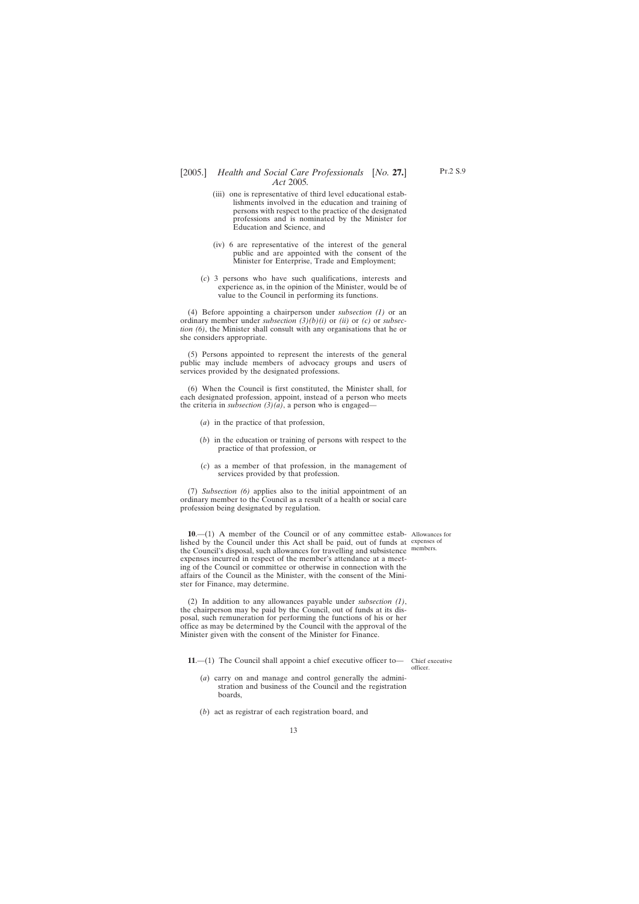- <span id="page-12-0"></span>(iii) one is representative of third level educational establishments involved in the education and training of persons with respect to the practice of the designated professions and is nominated by the Minister for Education and Science, and
- (iv) 6 are representative of the interest of the general public and are appointed with the consent of the Minister for Enterprise, Trade and Employment;
- (*c*) 3 persons who have such qualifications, interests and experience as, in the opinion of the Minister, would be of value to the Council in performing its functions.

(4) Before appointing a chairperson under *subsection (1)* or an ordinary member under *subsection (3)(b)(i)* or *(ii)* or *(c)* or *subsection (6)*, the Minister shall consult with any organisations that he or she considers appropriate.

(5) Persons appointed to represent the interests of the general public may include members of advocacy groups and users of services provided by the designated professions.

(6) When the Council is first constituted, the Minister shall, for each designated profession, appoint, instead of a person who meets the criteria in *subsection (3)(a)*, a person who is engaged—

- (*a*) in the practice of that profession,
- (*b*) in the education or training of persons with respect to the practice of that profession, or
- (*c*) as a member of that profession, in the management of services provided by that profession.

(7) *Subsection (6)* applies also to the initial appointment of an ordinary member to the Council as a result of a health or social care profession being designated by regulation.

**10**.—(1) A member of the Council or of any committee estab-Allowances for lished by the Council under this Act shall be paid, out of funds at expenses of the Council's disposal, such allowances for travelling and subsistence members. expenses incurred in respect of the member's attendance at a meeting of the Council or committee or otherwise in connection with the affairs of the Council as the Minister, with the consent of the Minister for Finance, may determine.

(2) In addition to any allowances payable under *subsection (1)*, the chairperson may be paid by the Council, out of funds at its disposal, such remuneration for performing the functions of his or her office as may be determined by the Council with the approval of the Minister given with the consent of the Minister for Finance.

**11.**—(1) The Council shall appoint a chief executive officer to— Chief executive

(*a*) carry on and manage and control generally the administration and business of the Council and the registration boards,

(*b*) act as registrar of each registration board, and

officer.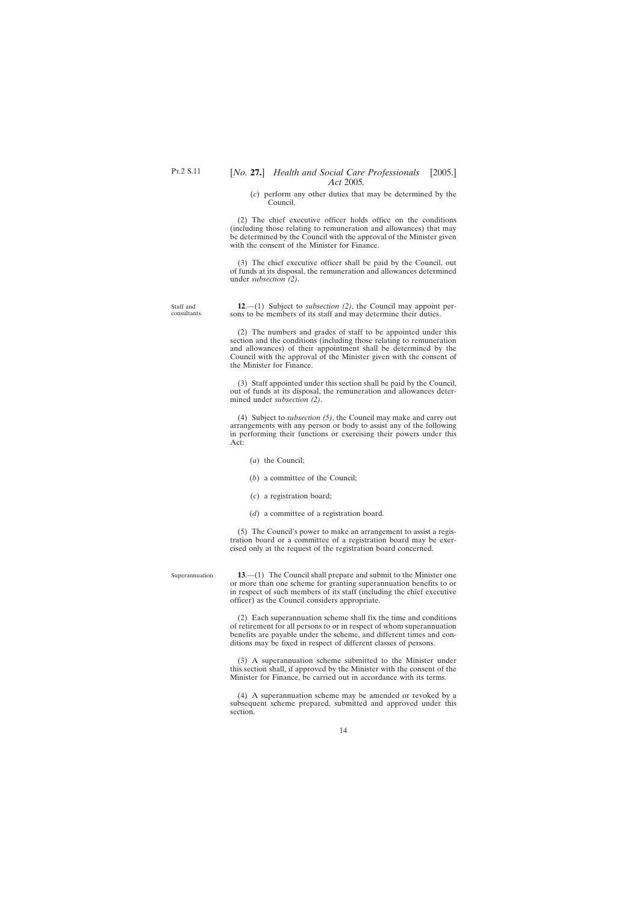(*c*) perform any other duties that may be determined by the Council.

<span id="page-13-0"></span>(2) The chief executive officer holds office on the conditions (including those relating to remuneration and allowances) that may be determined by the Council with the approval of the Minister given with the consent of the Minister for Finance.

(3) The chief executive officer shall be paid by the Council, out of funds at its disposal, the remuneration and allowances determined under *subsection (2)*.

**12**.—(1) Subject to *subsection (2)*, the Council may appoint persons to be members of its staff and may determine their duties.

(2) The numbers and grades of staff to be appointed under this section and the conditions (including those relating to remuneration and allowances) of their appointment shall be determined by the Council with the approval of the Minister given with the consent of the Minister for Finance.

(3) Staff appointed under this section shall be paid by the Council, out of funds at its disposal, the remuneration and allowances determined under *subsection (2)*.

(4) Subject to *subsection (5)*, the Council may make and carry out arrangements with any person or body to assist any of the following in performing their functions or exercising their powers under this Act:

- (*a*) the Council;
- (*b*) a committee of the Council;
- (*c*) a registration board;
- (*d*) a committee of a registration board.

(5) The Council's power to make an arrangement to assist a registration board or a committee of a registration board may be exercised only at the request of the registration board concerned.

Superannuation.

**13**.—(1) The Council shall prepare and submit to the Minister one or more than one scheme for granting superannuation benefits to or in respect of such members of its staff (including the chief executive officer) as the Council considers appropriate.

(2) Each superannuation scheme shall fix the time and conditions of retirement for all persons to or in respect of whom superannuation benefits are payable under the scheme, and different times and conditions may be fixed in respect of different classes of persons.

(3) A superannuation scheme submitted to the Minister under this section shall, if approved by the Minister with the consent of the Minister for Finance, be carried out in accordance with its terms.

(4) A superannuation scheme may be amended or revoked by a subsequent scheme prepared, submitted and approved under this section.

Staff and consultants.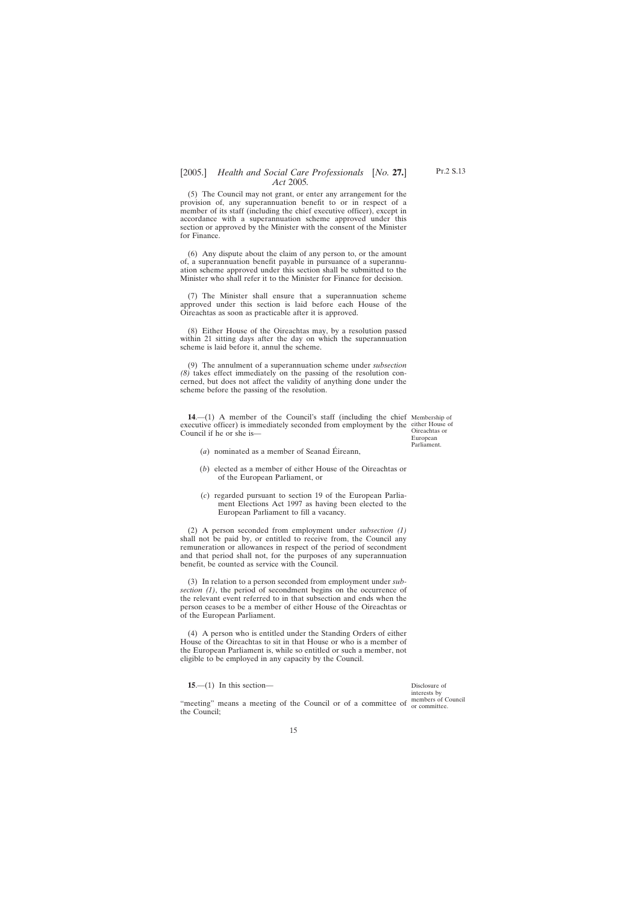<span id="page-14-0"></span>(5) The Council may not grant, or enter any arrangement for the provision of, any superannuation benefit to or in respect of a member of its staff (including the chief executive officer), except in accordance with a superannuation scheme approved under this section or approved by the Minister with the consent of the Minister for Finance.

(6) Any dispute about the claim of any person to, or the amount of, a superannuation benefit payable in pursuance of a superannuation scheme approved under this section shall be submitted to the Minister who shall refer it to the Minister for Finance for decision.

(7) The Minister shall ensure that a superannuation scheme approved under this section is laid before each House of the Oireachtas as soon as practicable after it is approved.

(8) Either House of the Oireachtas may, by a resolution passed within 21 sitting days after the day on which the superannuation scheme is laid before it, annul the scheme.

(9) The annulment of a superannuation scheme under *subsection (8)* takes effect immediately on the passing of the resolution concerned, but does not affect the validity of anything done under the scheme before the passing of the resolution.

**14**.—(1) A member of the Council's staff (including the chief Membership of executive officer) is immediately seconded from employment by the either House of Council if he or she is—

Oireachtas or European Parliament.

- $(a)$  nominated as a member of Seanad Éireann,
- (*b*) elected as a member of either House of the Oireachtas or of the European Parliament, or
- (*c*) regarded pursuant to section 19 of the European Parliament Elections Act 1997 as having been elected to the European Parliament to fill a vacancy.

(2) A person seconded from employment under *subsection (1)* shall not be paid by, or entitled to receive from, the Council any remuneration or allowances in respect of the period of secondment and that period shall not, for the purposes of any superannuation benefit, be counted as service with the Council.

(3) In relation to a person seconded from employment under *subsection (1)*, the period of secondment begins on the occurrence of the relevant event referred to in that subsection and ends when the person ceases to be a member of either House of the Oireachtas or of the European Parliament.

(4) A person who is entitled under the Standing Orders of either House of the Oireachtas to sit in that House or who is a member of the European Parliament is, while so entitled or such a member, not eligible to be employed in any capacity by the Council.

**15**.—(1) In this section—

"meeting" means a meeting of the Council or of a committee of  $\frac{\text{members of Council}}{\text{or committee}}$ the Council;

Disclosure of interests by or committee.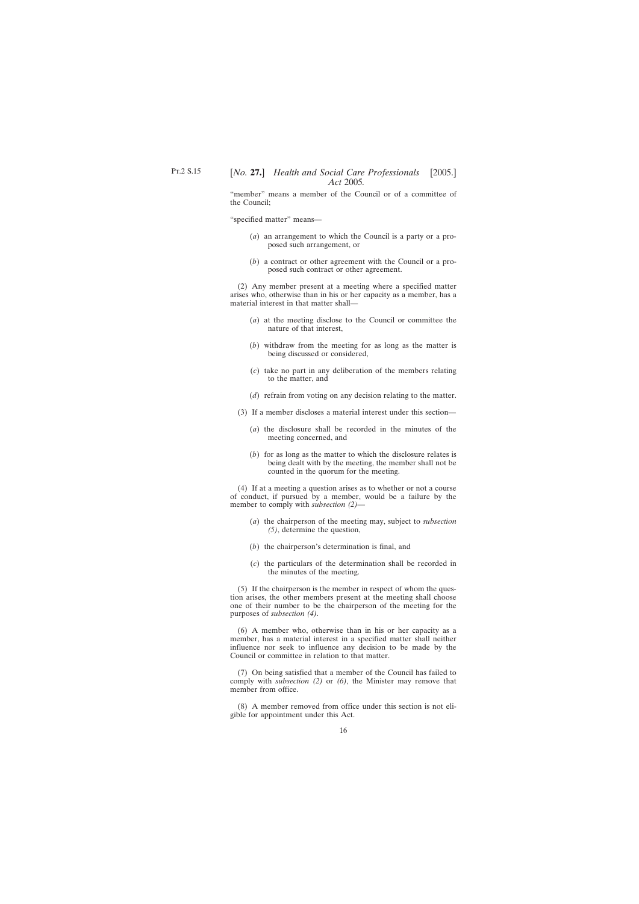"member" means a member of the Council or of a committee of the Council;

"specified matter" means—

- (*a*) an arrangement to which the Council is a party or a proposed such arrangement, or
- (*b*) a contract or other agreement with the Council or a proposed such contract or other agreement.

(2) Any member present at a meeting where a specified matter arises who, otherwise than in his or her capacity as a member, has a material interest in that matter shall—

- (*a*) at the meeting disclose to the Council or committee the nature of that interest,
- (*b*) withdraw from the meeting for as long as the matter is being discussed or considered,
- (*c*) take no part in any deliberation of the members relating to the matter, and
- (*d*) refrain from voting on any decision relating to the matter.
- (3) If a member discloses a material interest under this section—
	- (*a*) the disclosure shall be recorded in the minutes of the meeting concerned, and
	- (*b*) for as long as the matter to which the disclosure relates is being dealt with by the meeting, the member shall not be counted in the quorum for the meeting.

(4) If at a meeting a question arises as to whether or not a course of conduct, if pursued by a member, would be a failure by the member to comply with *subsection (2)*—

- (*a*) the chairperson of the meeting may, subject to *subsection (5)*, determine the question,
- (*b*) the chairperson's determination is final, and
- (*c*) the particulars of the determination shall be recorded in the minutes of the meeting.

(5) If the chairperson is the member in respect of whom the question arises, the other members present at the meeting shall choose one of their number to be the chairperson of the meeting for the purposes of *subsection (4)*.

(6) A member who, otherwise than in his or her capacity as a member, has a material interest in a specified matter shall neither influence nor seek to influence any decision to be made by the Council or committee in relation to that matter.

(7) On being satisfied that a member of the Council has failed to comply with *subsection (2)* or *(6)*, the Minister may remove that member from office.

(8) A member removed from office under this section is not eligible for appointment under this Act.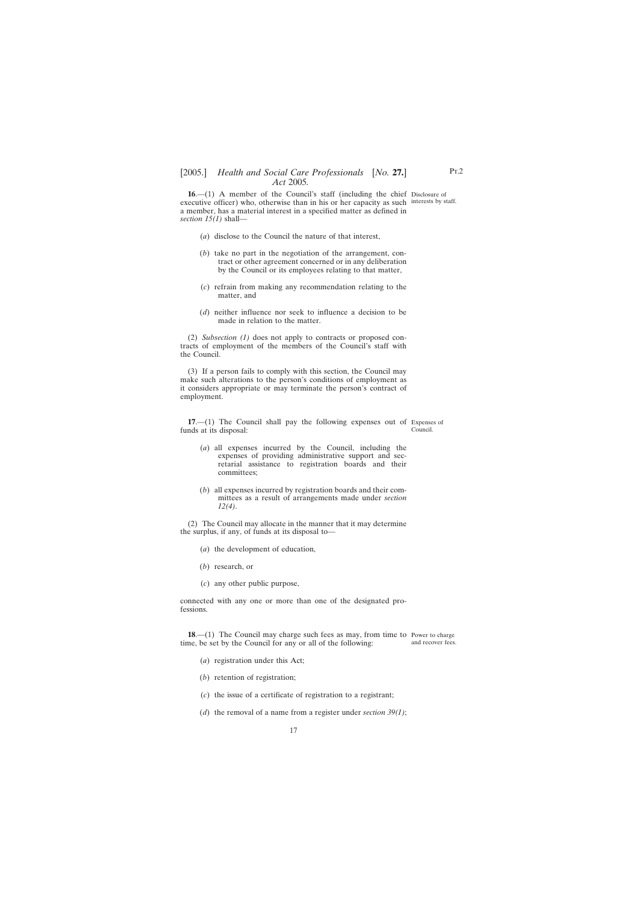<span id="page-16-0"></span>**16.**—(1) A member of the Council's staff (including the chief Disclosure of executive officer) who, otherwise than in his or her capacity as such interests by staff. a member, has a material interest in a specified matter as defined in *section 15(1)* shall—

- (*a*) disclose to the Council the nature of that interest,
- (*b*) take no part in the negotiation of the arrangement, contract or other agreement concerned or in any deliberation by the Council or its employees relating to that matter,
- (*c*) refrain from making any recommendation relating to the matter, and
- (*d*) neither influence nor seek to influence a decision to be made in relation to the matter.

(2) *Subsection (1)* does not apply to contracts or proposed contracts of employment of the members of the Council's staff with the Council.

(3) If a person fails to comply with this section, the Council may make such alterations to the person's conditions of employment as it considers appropriate or may terminate the person's contract of employment.

**17**.—(1) The Council shall pay the following expenses out of Expenses of funds at its disposal: Council.

- (*a*) all expenses incurred by the Council, including the expenses of providing administrative support and secretarial assistance to registration boards and their committees;
- (*b*) all expenses incurred by registration boards and their committees as a result of arrangements made under *section 12(4)*.

(2) The Council may allocate in the manner that it may determine the surplus, if any, of funds at its disposal to—

- (*a*) the development of education,
- (*b*) research, or
- (*c*) any other public purpose,

connected with any one or more than one of the designated professions.

**18.**—(1) The Council may charge such fees as may, from time to Power to charge time, be set by the Council for any or all of the following: and recover fees.

- (*a*) registration under this Act;
- (*b*) retention of registration;
- (*c*) the issue of a certificate of registration to a registrant;
- (*d*) the removal of a name from a register under *section 39(1)*;

Pt.2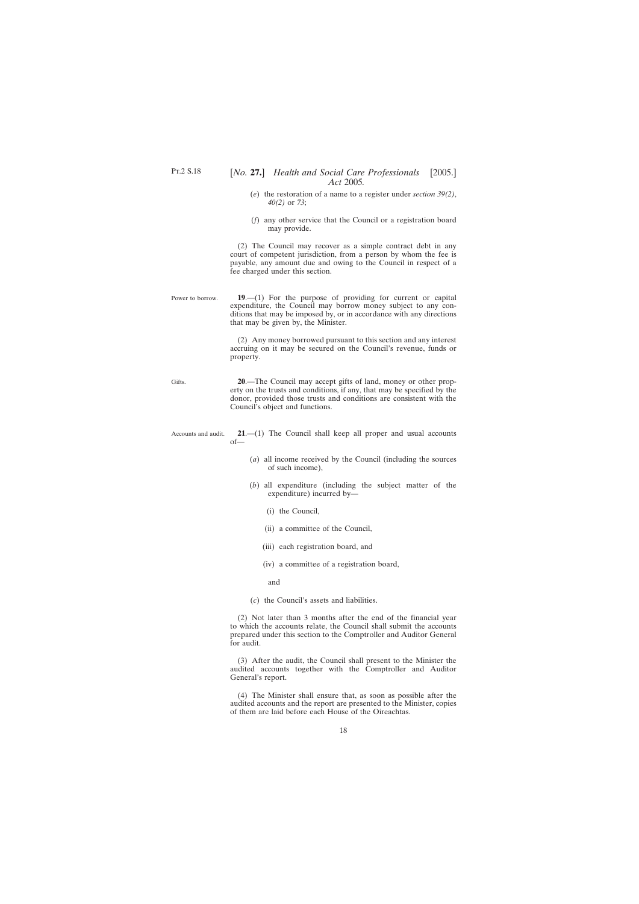Gifts.

## <span id="page-17-0"></span>[*No.* **27.**] *Health and Social Care Professionals* [2005.] *Act* 2005*.*

- (*e*) the restoration of a name to a register under *section 39(2)*, *40(2)* or *73*;
- (*f*) any other service that the Council or a registration board may provide.

(2) The Council may recover as a simple contract debt in any court of competent jurisdiction, from a person by whom the fee is payable, any amount due and owing to the Council in respect of a fee charged under this section.

Power to borrow. **19**.—(1) For the purpose of providing for current or capital expenditure, the Council may borrow money subject to any conditions that may be imposed by, or in accordance with any directions that may be given by, the Minister.

> (2) Any money borrowed pursuant to this section and any interest accruing on it may be secured on the Council's revenue, funds or property.

**20**.—The Council may accept gifts of land, money or other property on the trusts and conditions, if any, that may be specified by the donor, provided those trusts and conditions are consistent with the Council's object and functions.

Accounts and audit. **21**.—(1) The Council shall keep all proper and usual accounts of—

- (*a*) all income received by the Council (including the sources of such income),
- (*b*) all expenditure (including the subject matter of the expenditure) incurred by—
	- (i) the Council,
	- (ii) a committee of the Council,
	- (iii) each registration board, and
	- (iv) a committee of a registration board,

and

(*c*) the Council's assets and liabilities.

(2) Not later than 3 months after the end of the financial year to which the accounts relate, the Council shall submit the accounts prepared under this section to the Comptroller and Auditor General for audit.

(3) After the audit, the Council shall present to the Minister the audited accounts together with the Comptroller and Auditor General's report.

(4) The Minister shall ensure that, as soon as possible after the audited accounts and the report are presented to the Minister, copies of them are laid before each House of the Oireachtas.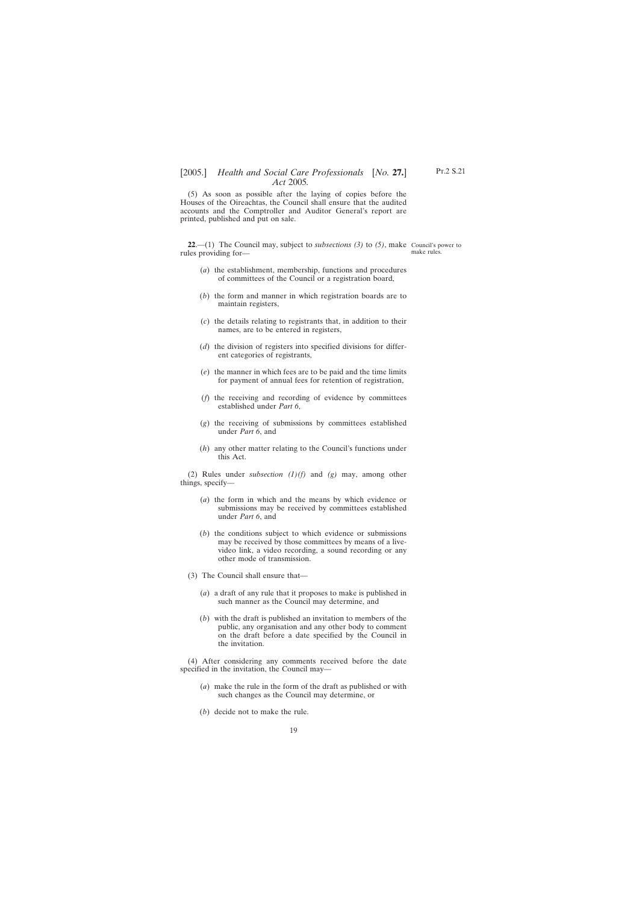<span id="page-18-0"></span>(5) As soon as possible after the laying of copies before the Houses of the Oireachtas, the Council shall ensure that the audited accounts and the Comptroller and Auditor General's report are printed, published and put on sale.

**22**.—(1) The Council may, subject to *subsections (3)* to *(5)*, make Council's power to rules providing for—

make rules.

- (*a*) the establishment, membership, functions and procedures of committees of the Council or a registration board,
- (*b*) the form and manner in which registration boards are to maintain registers,
- (*c*) the details relating to registrants that, in addition to their names, are to be entered in registers,
- (*d*) the division of registers into specified divisions for different categories of registrants,
- (*e*) the manner in which fees are to be paid and the time limits for payment of annual fees for retention of registration,
- (*f*) the receiving and recording of evidence by committees established under *Part 6*,
- (*g*) the receiving of submissions by committees established under *Part 6*, and
- (*h*) any other matter relating to the Council's functions under this Act.

(2) Rules under *subsection (1)(f)* and *(g)* may, among other things, specify—

- (*a*) the form in which and the means by which evidence or submissions may be received by committees established under *Part 6*, and
- (*b*) the conditions subject to which evidence or submissions may be received by those committees by means of a livevideo link, a video recording, a sound recording or any other mode of transmission.
- (3) The Council shall ensure that—
	- (*a*) a draft of any rule that it proposes to make is published in such manner as the Council may determine, and
	- (*b*) with the draft is published an invitation to members of the public, any organisation and any other body to comment on the draft before a date specified by the Council in the invitation.

(4) After considering any comments received before the date specified in the invitation, the Council may—

- (*a*) make the rule in the form of the draft as published or with such changes as the Council may determine, or
- (*b*) decide not to make the rule.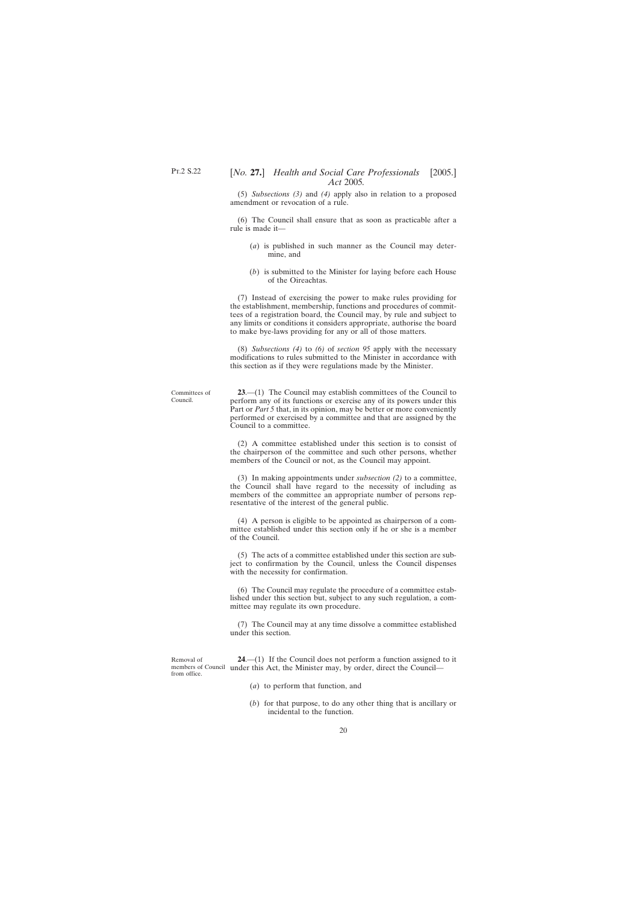<span id="page-19-0"></span>(5) *Subsections (3)* and *(4)* apply also in relation to a proposed amendment or revocation of a rule.

(6) The Council shall ensure that as soon as practicable after a rule is made it—

- (*a*) is published in such manner as the Council may determine, and
- (*b*) is submitted to the Minister for laying before each House of the Oireachtas.

(7) Instead of exercising the power to make rules providing for the establishment, membership, functions and procedures of committees of a registration board, the Council may, by rule and subject to any limits or conditions it considers appropriate, authorise the board to make bye-laws providing for any or all of those matters.

(8) *Subsections (4)* to *(6)* of *section 95* apply with the necessary modifications to rules submitted to the Minister in accordance with this section as if they were regulations made by the Minister.

Committees of Council.

**23**.—(1) The Council may establish committees of the Council to perform any of its functions or exercise any of its powers under this Part or *Part 5* that, in its opinion, may be better or more conveniently performed or exercised by a committee and that are assigned by the Council to a committee.

(2) A committee established under this section is to consist of the chairperson of the committee and such other persons, whether members of the Council or not, as the Council may appoint.

(3) In making appointments under *subsection (2)* to a committee, the Council shall have regard to the necessity of including as members of the committee an appropriate number of persons representative of the interest of the general public.

(4) A person is eligible to be appointed as chairperson of a committee established under this section only if he or she is a member of the Council.

(5) The acts of a committee established under this section are subject to confirmation by the Council, unless the Council dispenses with the necessity for confirmation.

(6) The Council may regulate the procedure of a committee established under this section but, subject to any such regulation, a committee may regulate its own procedure.

(7) The Council may at any time dissolve a committee established under this section.

Removal of members of Council under this Act, the Minister may, by order, direct the Council from office. **24**.—(1) If the Council does not perform a function assigned to it

- (*a*) to perform that function, and
- (*b*) for that purpose, to do any other thing that is ancillary or incidental to the function.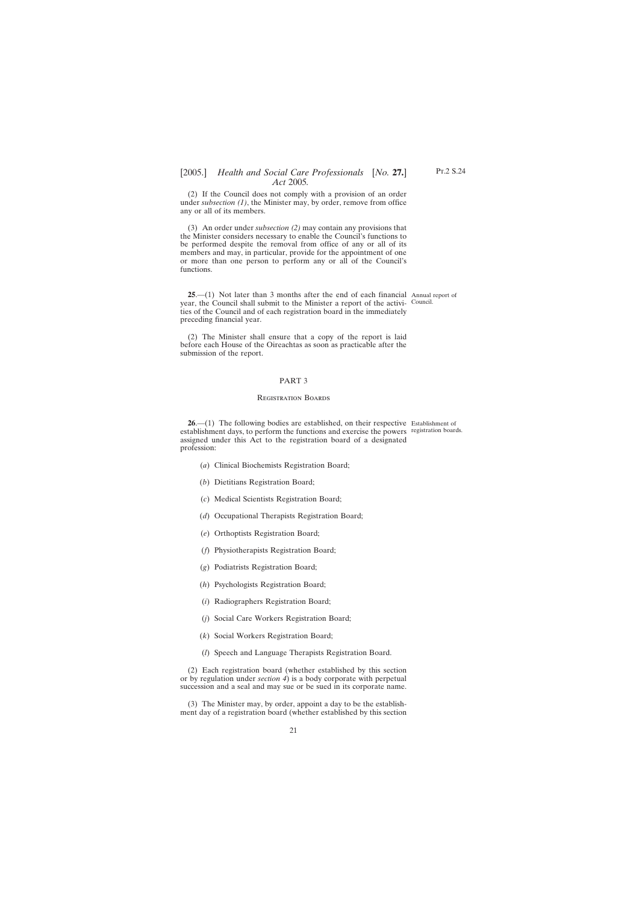<span id="page-20-0"></span>(2) If the Council does not comply with a provision of an order under *subsection (1)*, the Minister may, by order, remove from office any or all of its members.

(3) An order under *subsection (2)* may contain any provisions that the Minister considers necessary to enable the Council's functions to be performed despite the removal from office of any or all of its members and may, in particular, provide for the appointment of one or more than one person to perform any or all of the Council's functions.

**25**.—(1) Not later than 3 months after the end of each financial Annual report of year, the Council shall submit to the Minister a report of the activi-Council. ties of the Council and of each registration board in the immediately preceding financial year.

(2) The Minister shall ensure that a copy of the report is laid before each House of the Oireachtas as soon as practicable after the submission of the report.

#### PART 3

#### Registration Boards

**26.**—(1) The following bodies are established, on their respective Establishment of establishment days, to perform the functions and exercise the powers registration boards.assigned under this Act to the registration board of a designated profession:

- (*a*) Clinical Biochemists Registration Board;
- (*b*) Dietitians Registration Board;
- (*c*) Medical Scientists Registration Board;
- (*d*) Occupational Therapists Registration Board;
- (*e*) Orthoptists Registration Board;
- (*f*) Physiotherapists Registration Board;
- (*g*) Podiatrists Registration Board;
- (*h*) Psychologists Registration Board;
- (*i*) Radiographers Registration Board;
- (*j*) Social Care Workers Registration Board;
- (*k*) Social Workers Registration Board;
- (*l*) Speech and Language Therapists Registration Board.

(2) Each registration board (whether established by this section or by regulation under *section 4*) is a body corporate with perpetual succession and a seal and may sue or be sued in its corporate name.

(3) The Minister may, by order, appoint a day to be the establishment day of a registration board (whether established by this section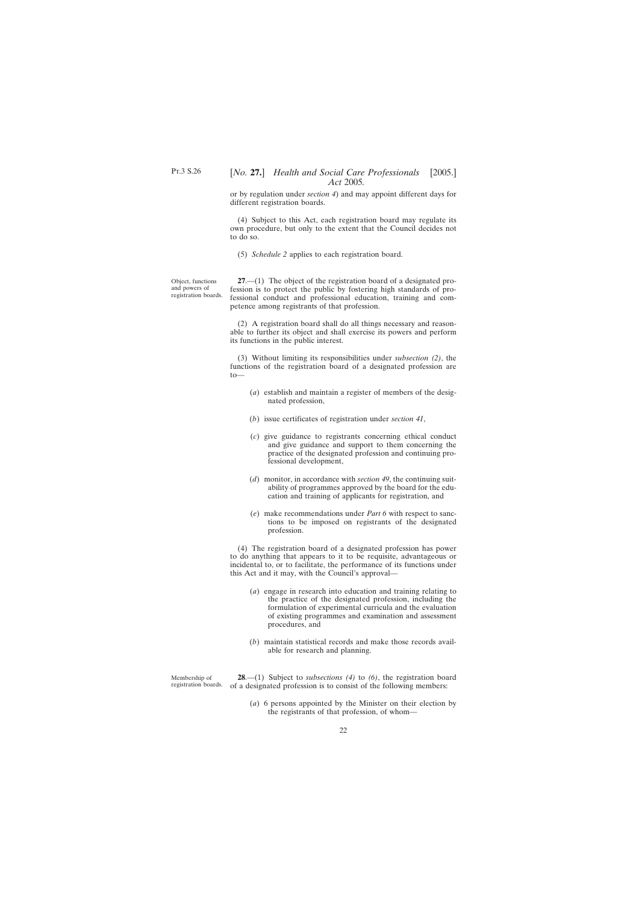<span id="page-21-0"></span>or by regulation under *section 4*) and may appoint different days for different registration boards.

(4) Subject to this Act, each registration board may regulate its own procedure, but only to the extent that the Council decides not to do so.

(5) *Schedule 2* applies to each registration board.

Object, functions and powers of registration boards.

**27**.—(1) The object of the registration board of a designated profession is to protect the public by fostering high standards of professional conduct and professional education, training and competence among registrants of that profession.

(2) A registration board shall do all things necessary and reasonable to further its object and shall exercise its powers and perform its functions in the public interest.

(3) Without limiting its responsibilities under *subsection (2)*, the functions of the registration board of a designated profession are  $t_0$ 

- (*a*) establish and maintain a register of members of the designated profession,
- (*b*) issue certificates of registration under *section 41*,
- (*c*) give guidance to registrants concerning ethical conduct and give guidance and support to them concerning the practice of the designated profession and continuing professional development,
- (*d*) monitor, in accordance with *section 49*, the continuing suitability of programmes approved by the board for the education and training of applicants for registration, and
- (*e*) make recommendations under *Part 6* with respect to sanctions to be imposed on registrants of the designated profession.

(4) The registration board of a designated profession has power to do anything that appears to it to be requisite, advantageous or incidental to, or to facilitate, the performance of its functions under this Act and it may, with the Council's approval—

- (*a*) engage in research into education and training relating to the practice of the designated profession, including the formulation of experimental curricula and the evaluation of existing programmes and examination and assessment procedures, and
- (*b*) maintain statistical records and make those records available for research and planning.

Membership of registration boards. of a designated profession is to consist of the following members: **28**.—(1) Subject to *subsections (4)* to *(6)*, the registration board

> (*a*) 6 persons appointed by the Minister on their election by the registrants of that profession, of whom—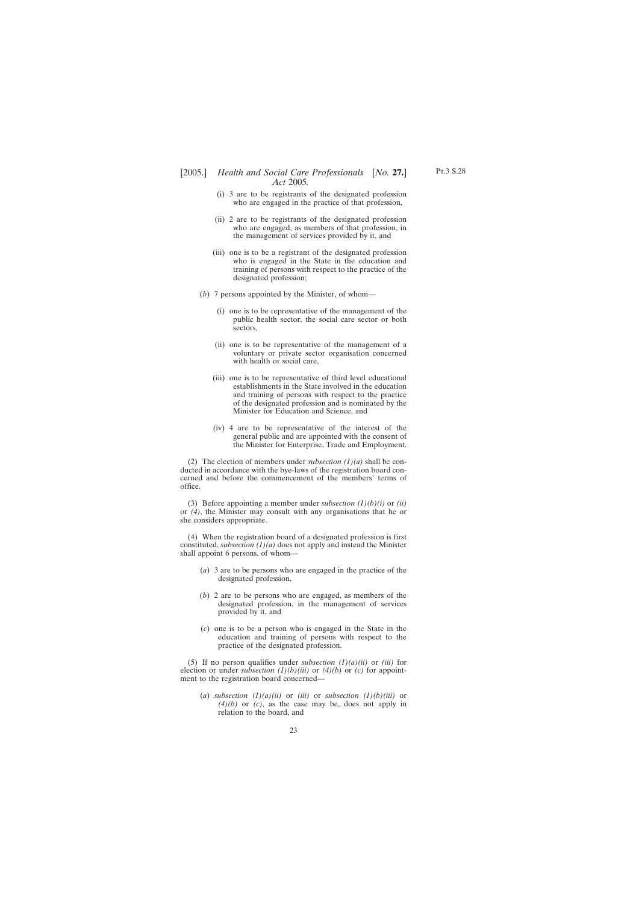- (i) 3 are to be registrants of the designated profession who are engaged in the practice of that profession,
- (ii) 2 are to be registrants of the designated profession who are engaged, as members of that profession, in the management of services provided by it, and
- (iii) one is to be a registrant of the designated profession who is engaged in the State in the education and training of persons with respect to the practice of the designated profession;
- (*b*) 7 persons appointed by the Minister, of whom—
	- (i) one is to be representative of the management of the public health sector, the social care sector or both sectors,
	- (ii) one is to be representative of the management of a voluntary or private sector organisation concerned with health or social care,
	- (iii) one is to be representative of third level educational establishments in the State involved in the education and training of persons with respect to the practice of the designated profession and is nominated by the Minister for Education and Science, and
	- (iv) 4 are to be representative of the interest of the general public and are appointed with the consent of the Minister for Enterprise, Trade and Employment.

(2) The election of members under *subsection (1)(a)* shall be conducted in accordance with the bye-laws of the registration board concerned and before the commencement of the members' terms of office.

(3) Before appointing a member under *subsection (1)(b)(i)* or *(ii)* or *(4)*, the Minister may consult with any organisations that he or she considers appropriate.

(4) When the registration board of a designated profession is first constituted, *subsection (1)(a)* does not apply and instead the Minister shall appoint 6 persons, of whom—

- (*a*) 3 are to be persons who are engaged in the practice of the designated profession,
- (*b*) 2 are to be persons who are engaged, as members of the designated profession, in the management of services provided by it, and
- (*c*) one is to be a person who is engaged in the State in the education and training of persons with respect to the practice of the designated profession.

(5) If no person qualifies under *subsection*  $(1)(a)(ii)$  or *(iii)* for election or under *subsection (1)(b)(iii)* or *(4)(b)* or *(c)* for appointment to the registration board concerned—

(a) *subsection*  $(1)(a)(ii)$  or  $(iii)$  or *subsection*  $(1)(b)(iii)$  or *(4)(b)* or *(c)*, as the case may be, does not apply in relation to the board, and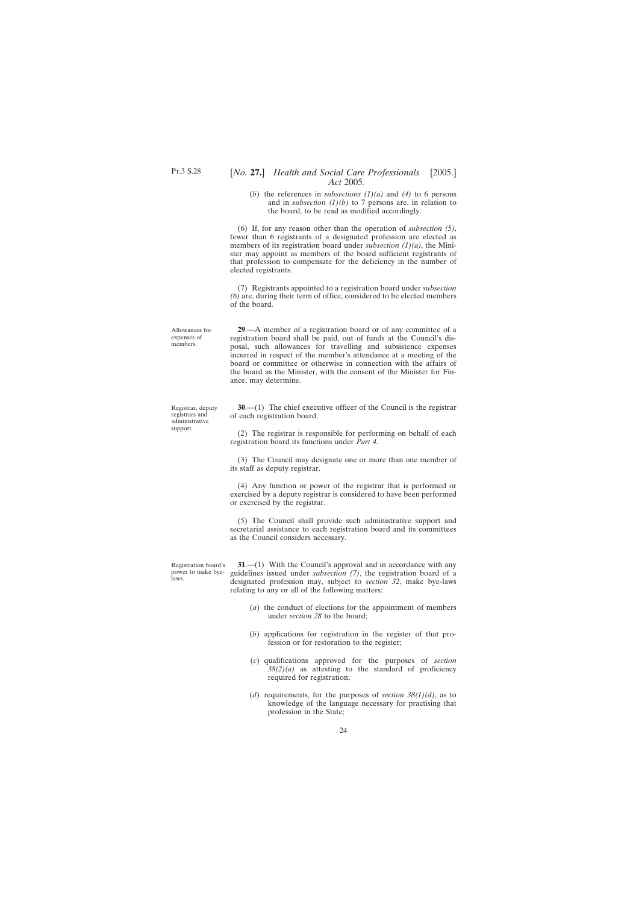(*b*) the references in *subsections (1)(a)* and *(4)* to 6 persons and in *subsection*  $(1)(b)$  to 7 persons are, in relation to the board, to be read as modified accordingly.

<span id="page-23-0"></span>(6) If, for any reason other than the operation of *subsection (5)*, fewer than 6 registrants of a designated profession are elected as members of its registration board under *subsection (1)(a)*, the Minister may appoint as members of the board sufficient registrants of that profession to compensate for the deficiency in the number of elected registrants.

(7) Registrants appointed to a registration board under *subsection (6)* are, during their term of office, considered to be elected members of the board.

**29**.—A member of a registration board or of any committee of a registration board shall be paid, out of funds at the Council's disposal, such allowances for travelling and subsistence expenses incurred in respect of the member's attendance at a meeting of the board or committee or otherwise in connection with the affairs of the board as the Minister, with the consent of the Minister for Finance, may determine.

**30**.—(1) The chief executive officer of the Council is the registrar of each registration board.

(2) The registrar is responsible for performing on behalf of each registration board its functions under *Part 4*.

(3) The Council may designate one or more than one member of its staff as deputy registrar.

(4) Any function or power of the registrar that is performed or exercised by a deputy registrar is considered to have been performed or exercised by the registrar.

(5) The Council shall provide such administrative support and secretarial assistance to each registration board and its committees as the Council considers necessary.

Registration board's power to make byelaws.

**31.**—(1) With the Council's approval and in accordance with any guidelines issued under *subsection (7)*, the registration board of a designated profession may, subject to *section 32*, make bye-laws relating to any or all of the following matters:

- (*a*) the conduct of elections for the appointment of members under *section 28* to the board;
- (*b*) applications for registration in the register of that profession or for restoration to the register;
- (*c*) qualifications approved for the purposes of *section*  $38(2)(a)$  as attesting to the standard of proficiency required for registration;
- (*d*) requirements, for the purposes of *section 38(1)(d)*, as to knowledge of the language necessary for practising that profession in the State;

Allowances for expenses of members.

Registrar, deputy registrars and administrative support.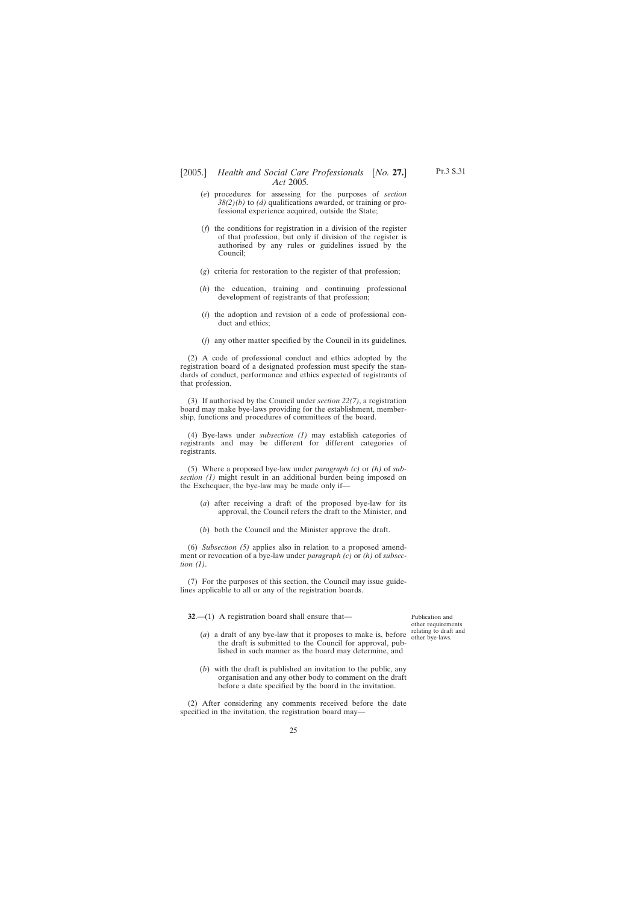- <span id="page-24-0"></span>(*e*) procedures for assessing for the purposes of *section 38(2)(b)* to *(d)* qualifications awarded, or training or professional experience acquired, outside the State;
- (*f*) the conditions for registration in a division of the register of that profession, but only if division of the register is authorised by any rules or guidelines issued by the Council;
- (*g*) criteria for restoration to the register of that profession;
- (*h*) the education, training and continuing professional development of registrants of that profession;
- (*i*) the adoption and revision of a code of professional conduct and ethics;
- (*j*) any other matter specified by the Council in its guidelines.

(2) A code of professional conduct and ethics adopted by the registration board of a designated profession must specify the standards of conduct, performance and ethics expected of registrants of that profession.

(3) If authorised by the Council under *section 22(7)*, a registration board may make bye-laws providing for the establishment, membership, functions and procedures of committees of the board.

(4) Bye-laws under *subsection (1)* may establish categories of registrants and may be different for different categories of registrants.

(5) Where a proposed bye-law under *paragraph (c)* or *(h)* of *subsection (1)* might result in an additional burden being imposed on the Exchequer, the bye-law may be made only if—

- (*a*) after receiving a draft of the proposed bye-law for its approval, the Council refers the draft to the Minister, and
- (*b*) both the Council and the Minister approve the draft.

(6) *Subsection (5)* applies also in relation to a proposed amendment or revocation of a bye-law under *paragraph (c)* or *(h)* of *subsection (1)*.

(7) For the purposes of this section, the Council may issue guidelines applicable to all or any of the registration boards.

**32.**—(1) A registration board shall ensure that—

- (*a*) a draft of any bye-law that it proposes to make is, before the draft is submitted to the Council for approval, published in such manner as the board may determine, and
- (*b*) with the draft is published an invitation to the public, any organisation and any other body to comment on the draft before a date specified by the board in the invitation.

(2) After considering any comments received before the date specified in the invitation, the registration board may—

Publication and other requirements relating to draft and other bye-laws.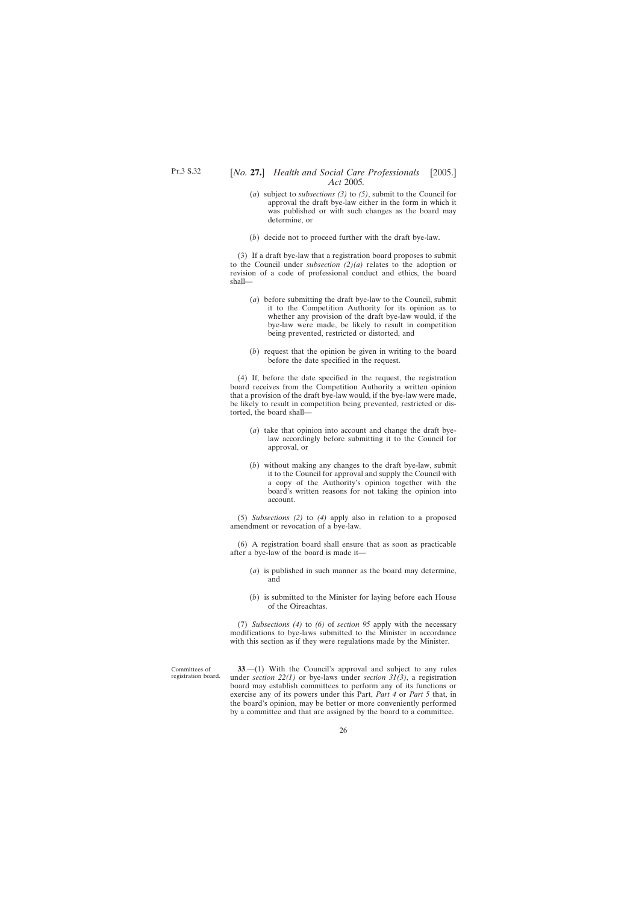- <span id="page-25-0"></span>(*a*) subject to *subsections (3)* to *(5)*, submit to the Council for approval the draft bye-law either in the form in which it was published or with such changes as the board may determine, or
- (*b*) decide not to proceed further with the draft bye-law.

(3) If a draft bye-law that a registration board proposes to submit to the Council under *subsection (2)(a)* relates to the adoption or revision of a code of professional conduct and ethics, the board shall—

- (*a*) before submitting the draft bye-law to the Council, submit it to the Competition Authority for its opinion as to whether any provision of the draft bye-law would, if the bye-law were made, be likely to result in competition being prevented, restricted or distorted, and
- (*b*) request that the opinion be given in writing to the board before the date specified in the request.

(4) If, before the date specified in the request, the registration board receives from the Competition Authority a written opinion that a provision of the draft bye-law would, if the bye-law were made, be likely to result in competition being prevented, restricted or distorted, the board shall—

- (*a*) take that opinion into account and change the draft byelaw accordingly before submitting it to the Council for approval, or
- (*b*) without making any changes to the draft bye-law, submit it to the Council for approval and supply the Council with a copy of the Authority's opinion together with the board's written reasons for not taking the opinion into account.

(5) *Subsections (2)* to *(4)* apply also in relation to a proposed amendment or revocation of a bye-law.

(6) A registration board shall ensure that as soon as practicable after a bye-law of the board is made it—

- (*a*) is published in such manner as the board may determine, and
- (*b*) is submitted to the Minister for laying before each House of the Oireachtas.

(7) *Subsections (4)* to *(6)* of *section 95* apply with the necessary modifications to bye-laws submitted to the Minister in accordance with this section as if they were regulations made by the Minister.

Committees of registration board.

**33**.—(1) With the Council's approval and subject to any rules under *section 22(1)* or bye-laws under *section 31(3)*, a registration board may establish committees to perform any of its functions or exercise any of its powers under this Part, *Part 4* or *Part 5* that, in the board's opinion, may be better or more conveniently performed by a committee and that are assigned by the board to a committee.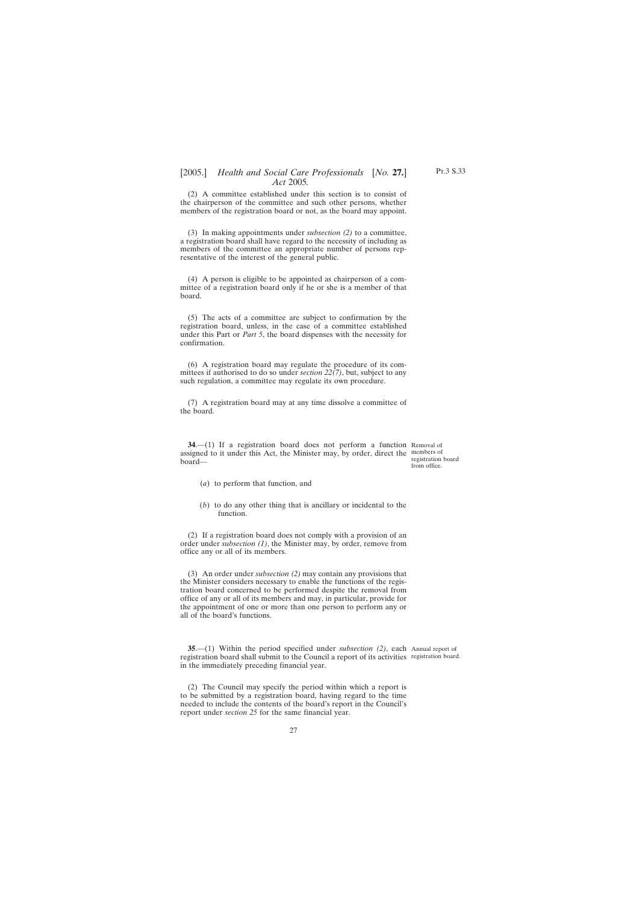<span id="page-26-0"></span>(2) A committee established under this section is to consist of the chairperson of the committee and such other persons, whether members of the registration board or not, as the board may appoint.

(3) In making appointments under *subsection (2)* to a committee, a registration board shall have regard to the necessity of including as members of the committee an appropriate number of persons representative of the interest of the general public.

(4) A person is eligible to be appointed as chairperson of a committee of a registration board only if he or she is a member of that board.

(5) The acts of a committee are subject to confirmation by the registration board, unless, in the case of a committee established under this Part or *Part 5*, the board dispenses with the necessity for confirmation.

(6) A registration board may regulate the procedure of its committees if authorised to do so under *section 22(7)*, but, subject to any such regulation, a committee may regulate its own procedure.

(7) A registration board may at any time dissolve a committee of the board.

**34.**—(1) If a registration board does not perform a function Removal of assigned to it under this Act, the Minister may, by order, direct the members of board—

registration board from office.

- (*a*) to perform that function, and
- (*b*) to do any other thing that is ancillary or incidental to the function.

(2) If a registration board does not comply with a provision of an order under *subsection (1)*, the Minister may, by order, remove from office any or all of its members.

(3) An order under *subsection (2)* may contain any provisions that the Minister considers necessary to enable the functions of the registration board concerned to be performed despite the removal from office of any or all of its members and may, in particular, provide for the appointment of one or more than one person to perform any or all of the board's functions.

**35**.—(1) Within the period specified under *subsection (2)*, each Annual report of registration board shall submit to the Council a report of its activities registration board.in the immediately preceding financial year.

(2) The Council may specify the period within which a report is to be submitted by a registration board, having regard to the time needed to include the contents of the board's report in the Council's report under *section 25* for the same financial year.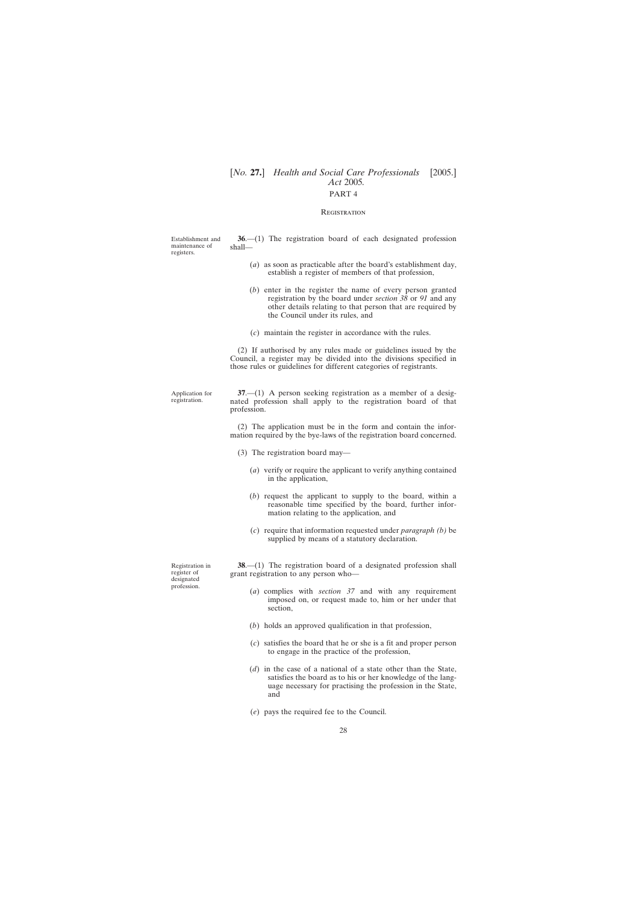### **REGISTRATION**

<span id="page-27-0"></span>

| Establishment and<br>maintenance of<br>registers.           | $36-(1)$ The registration board of each designated profession<br>shall—                                                                                                                                                           |  |  |
|-------------------------------------------------------------|-----------------------------------------------------------------------------------------------------------------------------------------------------------------------------------------------------------------------------------|--|--|
|                                                             | $(a)$ as soon as practicable after the board's establishment day,<br>establish a register of members of that profession,                                                                                                          |  |  |
|                                                             | $(b)$ enter in the register the name of every person granted<br>registration by the board under <i>section</i> 38 or 91 and any<br>other details relating to that person that are required by<br>the Council under its rules, and |  |  |
|                                                             | $(c)$ maintain the register in accordance with the rules.                                                                                                                                                                         |  |  |
|                                                             | (2) If authorised by any rules made or guidelines issued by the<br>Council, a register may be divided into the divisions specified in<br>those rules or guidelines for different categories of registrants.                       |  |  |
| Application for<br>registration.                            | $37- (1)$ A person seeking registration as a member of a desig-<br>nated profession shall apply to the registration board of that<br>profession.                                                                                  |  |  |
|                                                             | (2) The application must be in the form and contain the infor-<br>mation required by the bye-laws of the registration board concerned.                                                                                            |  |  |
|                                                             | $(3)$ The registration board may—                                                                                                                                                                                                 |  |  |
|                                                             | (a) verify or require the applicant to verify anything contained<br>in the application,                                                                                                                                           |  |  |
|                                                             | (b) request the applicant to supply to the board, within a<br>reasonable time specified by the board, further infor-<br>mation relating to the application, and                                                                   |  |  |
|                                                             | (c) require that information requested under <i>paragraph</i> (b) be<br>supplied by means of a statutory declaration.                                                                                                             |  |  |
| Registration in<br>register of<br>designated<br>profession. | $38$ — $(1)$ The registration board of a designated profession shall<br>grant registration to any person who-                                                                                                                     |  |  |
|                                                             | $(a)$ complies with <i>section</i> 37 and with any requirement<br>imposed on, or request made to, him or her under that<br>section,                                                                                               |  |  |
|                                                             | $(b)$ holds an approved qualification in that profession,                                                                                                                                                                         |  |  |
|                                                             | (c) satisfies the board that he or she is a fit and proper person<br>to engage in the practice of the profession,                                                                                                                 |  |  |
|                                                             | $(d)$ in the case of a national of a state other than the State,<br>satisfies the board as to his or her knowledge of the lang-<br>uage necessary for practising the profession in the State,<br>and                              |  |  |

(*e*) pays the required fee to the Council.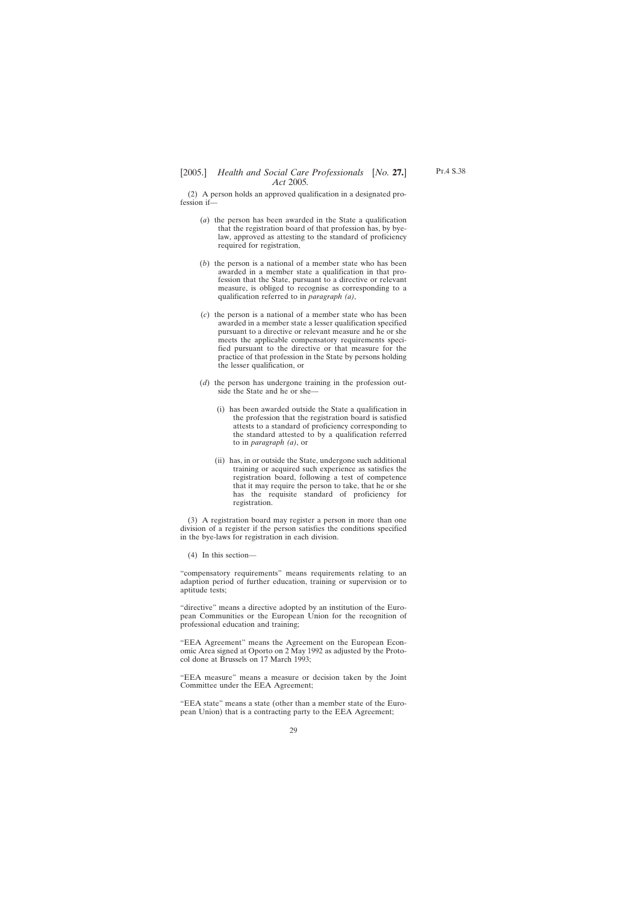(2) A person holds an approved qualification in a designated profession if—

- (*a*) the person has been awarded in the State a qualification that the registration board of that profession has, by byelaw, approved as attesting to the standard of proficiency required for registration,
- (*b*) the person is a national of a member state who has been awarded in a member state a qualification in that profession that the State, pursuant to a directive or relevant measure, is obliged to recognise as corresponding to a qualification referred to in *paragraph (a)*,
- (*c*) the person is a national of a member state who has been awarded in a member state a lesser qualification specified pursuant to a directive or relevant measure and he or she meets the applicable compensatory requirements specified pursuant to the directive or that measure for the practice of that profession in the State by persons holding the lesser qualification, or
- (*d*) the person has undergone training in the profession outside the State and he or she—
	- (i) has been awarded outside the State a qualification in the profession that the registration board is satisfied attests to a standard of proficiency corresponding to the standard attested to by a qualification referred to in *paragraph (a)*, or
	- (ii) has, in or outside the State, undergone such additional training or acquired such experience as satisfies the registration board, following a test of competence that it may require the person to take, that he or she has the requisite standard of proficiency for registration.

(3) A registration board may register a person in more than one division of a register if the person satisfies the conditions specified in the bye-laws for registration in each division.

(4) In this section—

"compensatory requirements" means requirements relating to an adaption period of further education, training or supervision or to aptitude tests;

"directive" means a directive adopted by an institution of the European Communities or the European Union for the recognition of professional education and training;

"EEA Agreement" means the Agreement on the European Economic Area signed at Oporto on 2 May 1992 as adjusted by the Protocol done at Brussels on 17 March 1993;

"EEA measure" means a measure or decision taken by the Joint Committee under the EEA Agreement;

"EEA state" means a state (other than a member state of the European Union) that is a contracting party to the EEA Agreement;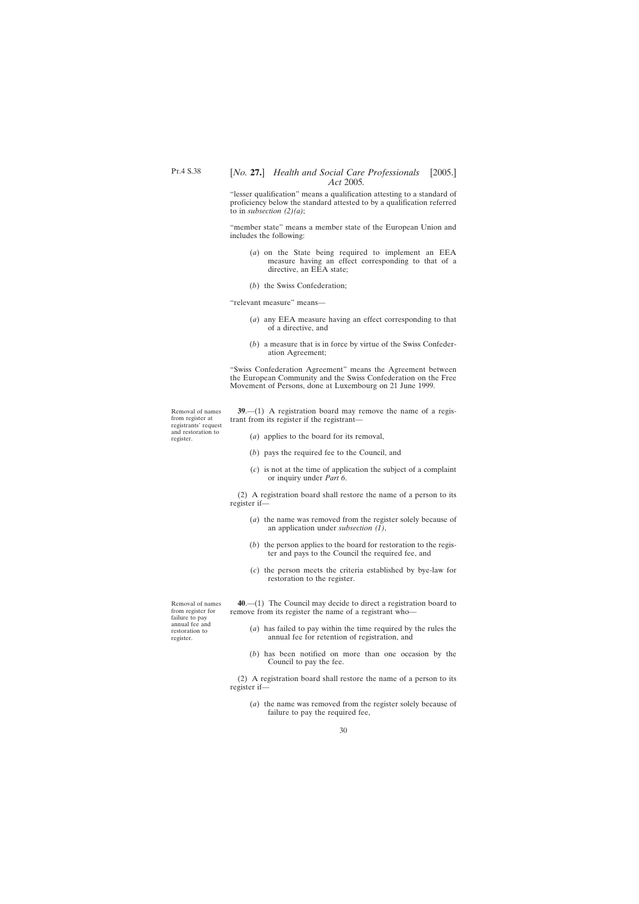<span id="page-29-0"></span>"lesser qualification" means a qualification attesting to a standard of proficiency below the standard attested to by a qualification referred to in *subsection (2)(a)*;

"member state" means a member state of the European Union and includes the following:

- (*a*) on the State being required to implement an EEA measure having an effect corresponding to that of a directive, an EEA state;
- (*b*) the Swiss Confederation;

"relevant measure" means—

- (*a*) any EEA measure having an effect corresponding to that of a directive, and
- (*b*) a measure that is in force by virtue of the Swiss Confederation Agreement;

"Swiss Confederation Agreement" means the Agreement between the European Community and the Swiss Confederation on the Free Movement of Persons, done at Luxembourg on 21 June 1999.

Removal of names from register at registrants' request and restoration to register.

**39**.—(1) A registration board may remove the name of a registrant from its register if the registrant—

- (*a*) applies to the board for its removal,
- (*b*) pays the required fee to the Council, and
- (*c*) is not at the time of application the subject of a complaint or inquiry under *Part 6*.

(2) A registration board shall restore the name of a person to its register if—

- (*a*) the name was removed from the register solely because of an application under *subsection (1)*,
- (*b*) the person applies to the board for restoration to the register and pays to the Council the required fee, and
- (*c*) the person meets the criteria established by bye-law for restoration to the register.

**40**.—(1) The Council may decide to direct a registration board to remove from its register the name of a registrant who—

- (*a*) has failed to pay within the time required by the rules the annual fee for retention of registration, and
- (*b*) has been notified on more than one occasion by the Council to pay the fee.

(2) A registration board shall restore the name of a person to its register if—

(*a*) the name was removed from the register solely because of failure to pay the required fee,

Removal of names from register for failure to pay annual fee and restoration to register.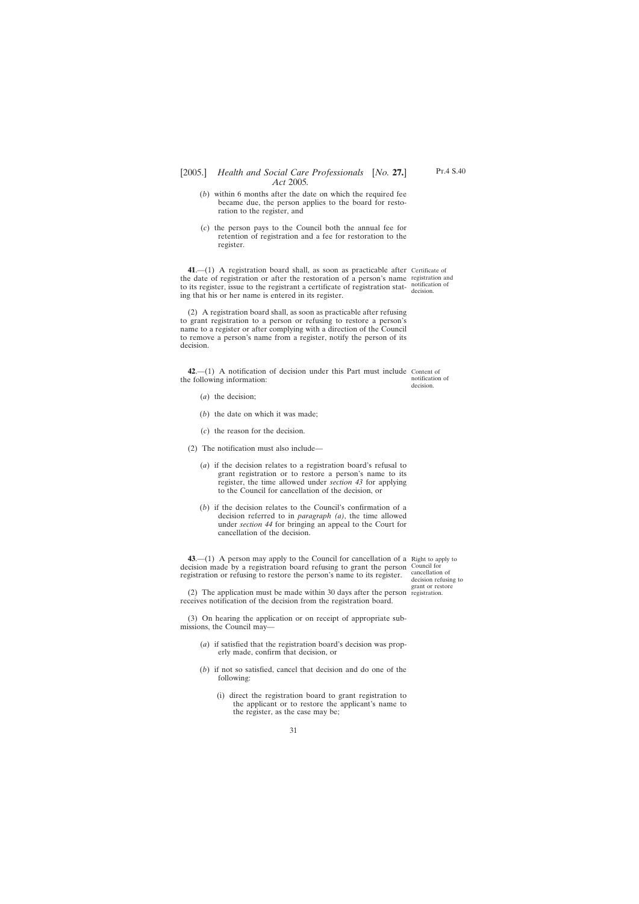- <span id="page-30-0"></span>(*b*) within 6 months after the date on which the required fee became due, the person applies to the board for restoration to the register, and
- (*c*) the person pays to the Council both the annual fee for retention of registration and a fee for restoration to the register.

**41**.—(1) A registration board shall, as soon as practicable after Certificate of the date of registration or after the restoration of a person's name registration and to its register, issue to the registrant a certificate of registration stat-notification of ing that his or her name is entered in its register.

(2) A registration board shall, as soon as practicable after refusing to grant registration to a person or refusing to restore a person's name to a register or after complying with a direction of the Council to remove a person's name from a register, notify the person of its decision.

**42**.—(1) A notification of decision under this Part must include Content of the following information: notification of decision.

- (*a*) the decision;
- (*b*) the date on which it was made;
- (*c*) the reason for the decision.
- (2) The notification must also include—
	- (*a*) if the decision relates to a registration board's refusal to grant registration or to restore a person's name to its register, the time allowed under *section 43* for applying to the Council for cancellation of the decision, or
	- (*b*) if the decision relates to the Council's confirmation of a decision referred to in *paragraph (a)*, the time allowed under *section 44* for bringing an appeal to the Court for cancellation of the decision.

**43.**—(1) A person may apply to the Council for cancellation of a Right to apply to decision made by a registration board refusing to grant the person Council for registration or refusing to restore the person's name to its register.

cancellation of decision refusing to grant or restore

(2) The application must be made within 30 days after the person registration.receives notification of the decision from the registration board.

(3) On hearing the application or on receipt of appropriate submissions, the Council may—

- (*a*) if satisfied that the registration board's decision was properly made, confirm that decision, or
- (*b*) if not so satisfied, cancel that decision and do one of the following:
	- (i) direct the registration board to grant registration to the applicant or to restore the applicant's name to the register, as the case may be;

decision.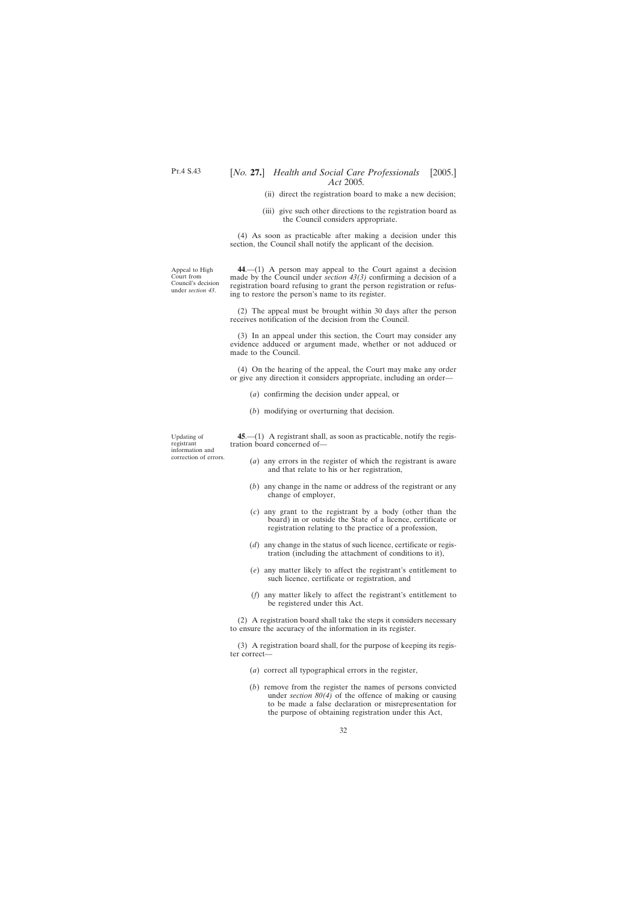- (ii) direct the registration board to make a new decision;
- (iii) give such other directions to the registration board as the Council considers appropriate.

(4) As soon as practicable after making a decision under this section, the Council shall notify the applicant of the decision.

<span id="page-31-0"></span>Appeal to High Court from Council's decision under *section 43*.

**44**.—(1) A person may appeal to the Court against a decision made by the Council under *section 43(3)* confirming a decision of a registration board refusing to grant the person registration or refusing to restore the person's name to its register.

(2) The appeal must be brought within 30 days after the person receives notification of the decision from the Council.

(3) In an appeal under this section, the Court may consider any evidence adduced or argument made, whether or not adduced or made to the Council.

(4) On the hearing of the appeal, the Court may make any order or give any direction it considers appropriate, including an order—

- (*a*) confirming the decision under appeal, or
- (*b*) modifying or overturning that decision.

Updating of registrant information and correction of errors.

**45**.—(1) A registrant shall, as soon as practicable, notify the registration board concerned of—

- (*a*) any errors in the register of which the registrant is aware and that relate to his or her registration,
- (*b*) any change in the name or address of the registrant or any change of employer,
- (*c*) any grant to the registrant by a body (other than the board) in or outside the State of a licence, certificate or registration relating to the practice of a profession,
- (*d*) any change in the status of such licence, certificate or registration (including the attachment of conditions to it),
- (*e*) any matter likely to affect the registrant's entitlement to such licence, certificate or registration, and
- (*f*) any matter likely to affect the registrant's entitlement to be registered under this Act.

(2) A registration board shall take the steps it considers necessary to ensure the accuracy of the information in its register.

(3) A registration board shall, for the purpose of keeping its register correct—

- (*a*) correct all typographical errors in the register,
- (*b*) remove from the register the names of persons convicted under *section 80(4)* of the offence of making or causing to be made a false declaration or misrepresentation for the purpose of obtaining registration under this Act,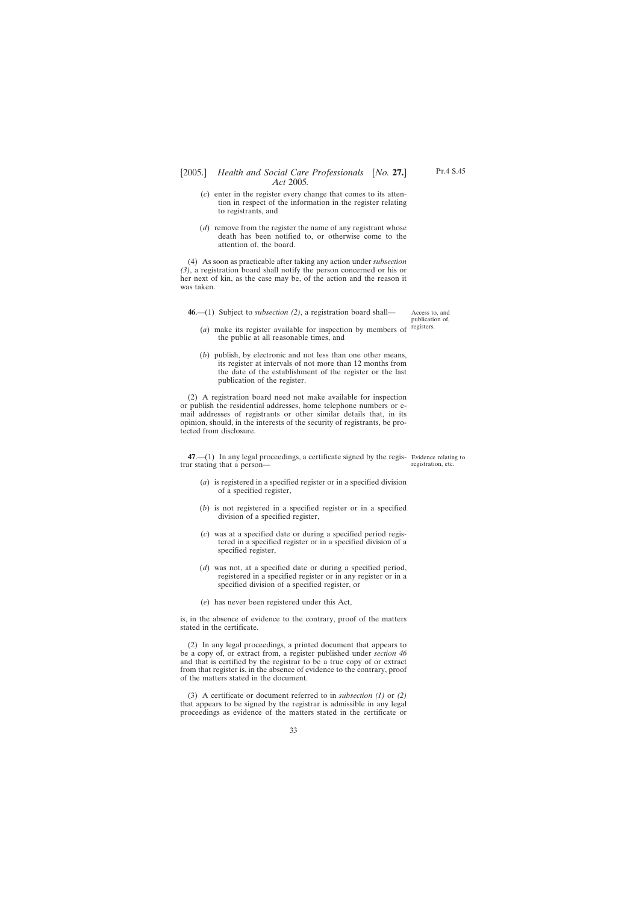- <span id="page-32-0"></span>(*c*) enter in the register every change that comes to its attention in respect of the information in the register relating to registrants, and
- (*d*) remove from the register the name of any registrant whose death has been notified to, or otherwise come to the attention of, the board.

(4) As soon as practicable after taking any action under *subsection (3)*, a registration board shall notify the person concerned or his or her next of kin, as the case may be, of the action and the reason it was taken.

**46**.—(1) Subject to *subsection (2)*, a registration board shall—

Access to, and publication of, registers.

- (*a*) make its register available for inspection by members of the public at all reasonable times, and
- (*b*) publish, by electronic and not less than one other means, its register at intervals of not more than 12 months from the date of the establishment of the register or the last publication of the register.

(2) A registration board need not make available for inspection or publish the residential addresses, home telephone numbers or email addresses of registrants or other similar details that, in its opinion, should, in the interests of the security of registrants, be protected from disclosure.

**47.**—(1) In any legal proceedings, a certificate signed by the regis- Evidence relating to trar stating that a person—

- registration, etc.
- (*a*) is registered in a specified register or in a specified division of a specified register,
- (*b*) is not registered in a specified register or in a specified division of a specified register,
- (*c*) was at a specified date or during a specified period registered in a specified register or in a specified division of a specified register,
- (*d*) was not, at a specified date or during a specified period, registered in a specified register or in any register or in a specified division of a specified register, or
- (*e*) has never been registered under this Act,

is, in the absence of evidence to the contrary, proof of the matters stated in the certificate.

(2) In any legal proceedings, a printed document that appears to be a copy of, or extract from, a register published under *section 46* and that is certified by the registrar to be a true copy of or extract from that register is, in the absence of evidence to the contrary, proof of the matters stated in the document.

(3) A certificate or document referred to in *subsection (1)* or *(2)* that appears to be signed by the registrar is admissible in any legal proceedings as evidence of the matters stated in the certificate or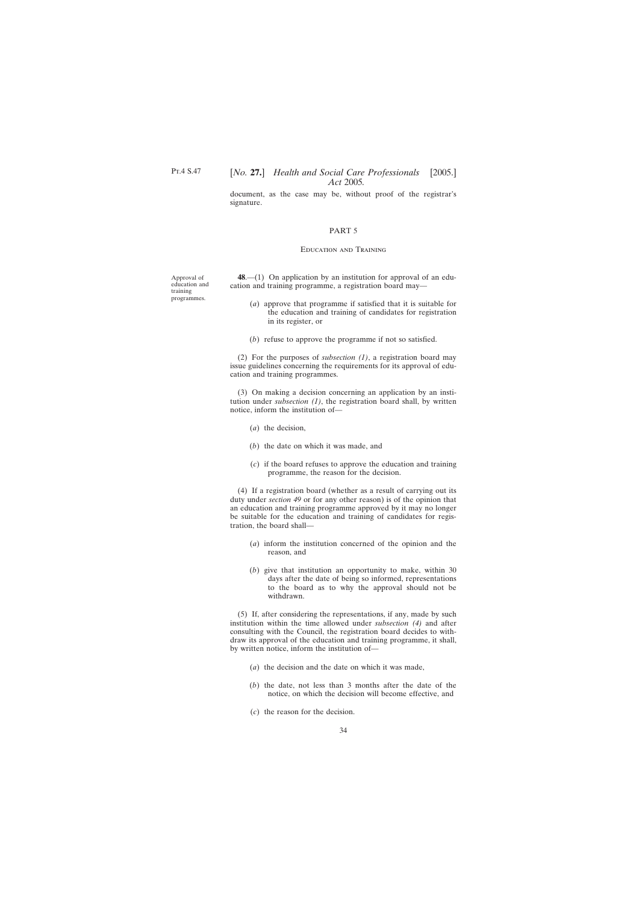<span id="page-33-0"></span>document, as the case may be, without proof of the registrar's signature.

### PART 5

#### Education and Training

**48**.—(1) On application by an institution for approval of an education and training programme, a registration board may—

- (*a*) approve that programme if satisfied that it is suitable for the education and training of candidates for registration in its register, or
- (*b*) refuse to approve the programme if not so satisfied.

(2) For the purposes of *subsection (1)*, a registration board may issue guidelines concerning the requirements for its approval of education and training programmes.

(3) On making a decision concerning an application by an institution under *subsection (1)*, the registration board shall, by written notice, inform the institution of—

- (*a*) the decision,
- (*b*) the date on which it was made, and
- (*c*) if the board refuses to approve the education and training programme, the reason for the decision.

(4) If a registration board (whether as a result of carrying out its duty under *section 49* or for any other reason) is of the opinion that an education and training programme approved by it may no longer be suitable for the education and training of candidates for registration, the board shall—

- (*a*) inform the institution concerned of the opinion and the reason, and
- (*b*) give that institution an opportunity to make, within 30 days after the date of being so informed, representations to the board as to why the approval should not be withdrawn.

(5) If, after considering the representations, if any, made by such institution within the time allowed under *subsection (4)* and after consulting with the Council, the registration board decides to withdraw its approval of the education and training programme, it shall, by written notice, inform the institution of—

- (*a*) the decision and the date on which it was made,
- (*b*) the date, not less than 3 months after the date of the notice, on which the decision will become effective, and
- (*c*) the reason for the decision.

education and training programmes.

Approval of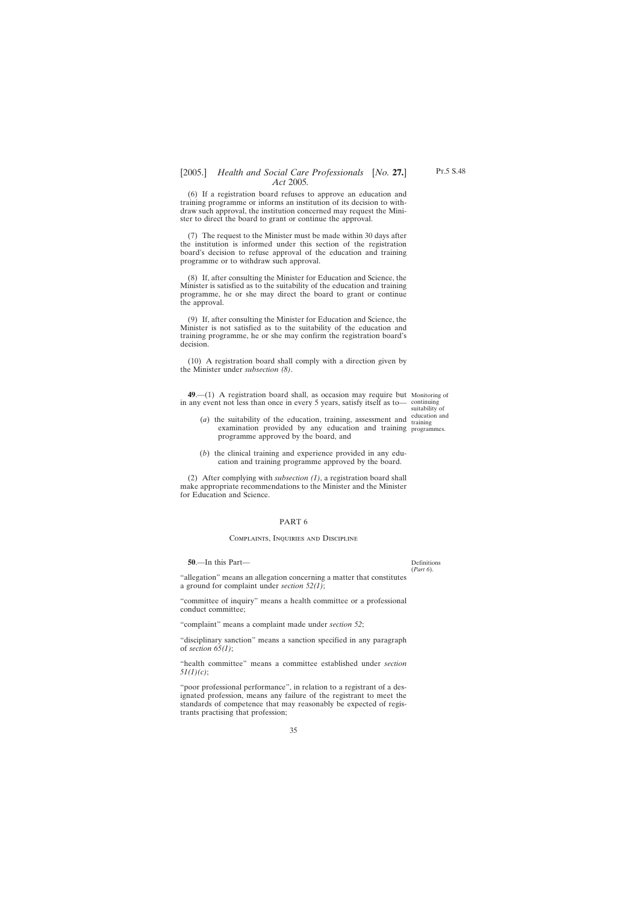<span id="page-34-0"></span>(6) If a registration board refuses to approve an education and training programme or informs an institution of its decision to withdraw such approval, the institution concerned may request the Minister to direct the board to grant or continue the approval.

(7) The request to the Minister must be made within 30 days after the institution is informed under this section of the registration board's decision to refuse approval of the education and training programme or to withdraw such approval.

(8) If, after consulting the Minister for Education and Science, the Minister is satisfied as to the suitability of the education and training programme, he or she may direct the board to grant or continue the approval.

(9) If, after consulting the Minister for Education and Science, the Minister is not satisfied as to the suitability of the education and training programme, he or she may confirm the registration board's decision.

(10) A registration board shall comply with a direction given by the Minister under *subsection (8)*.

**49**.—(1) A registration board shall, as occasion may require but Monitoring of in any event not less than once in every 5 years, satisfy itself as to— continuing

suitability of education and

- (*a*) the suitability of the education, training, assessment and training examination provided by any education and training programmes. programme approved by the board, and
- (*b*) the clinical training and experience provided in any education and training programme approved by the board.

(2) After complying with *subsection (1)*, a registration board shall make appropriate recommendations to the Minister and the Minister for Education and Science.

### PART 6

### Complaints, Inquiries and Discipline

**50**.—In this Part—

Definitions (*Part 6*).

"allegation" means an allegation concerning a matter that constitutes a ground for complaint under *section 52(1)*;

"committee of inquiry" means a health committee or a professional conduct committee;

"complaint" means a complaint made under *section 52*;

"disciplinary sanction" means a sanction specified in any paragraph of *section 65(1)*;

"health committee" means a committee established under *section 51(1)(c)*;

"poor professional performance", in relation to a registrant of a designated profession, means any failure of the registrant to meet the standards of competence that may reasonably be expected of registrants practising that profession;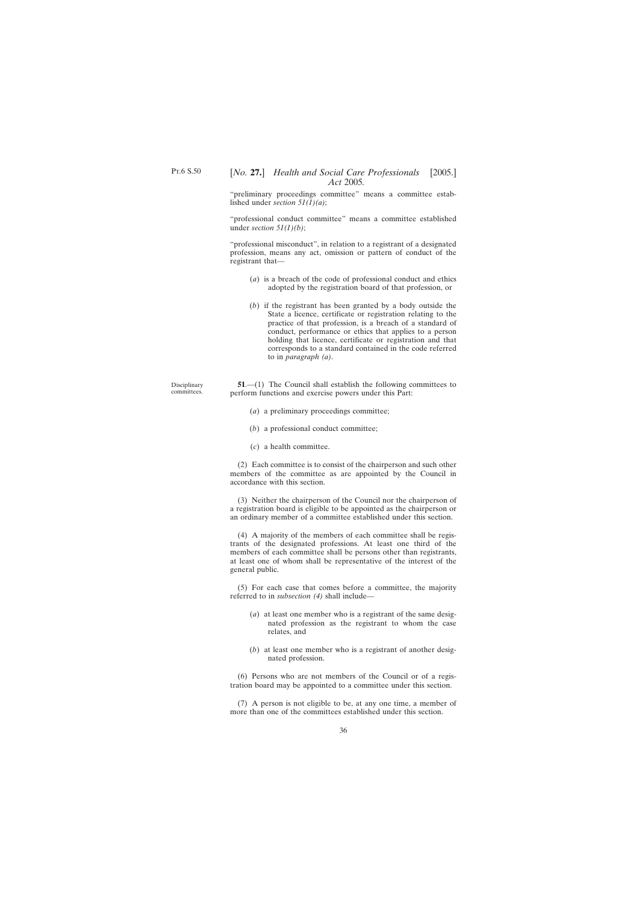Disciplinary committees.

## <span id="page-35-0"></span>[*No.* **27.**] *Health and Social Care Professionals* [2005.] *Act* 2005*.*

"preliminary proceedings committee" means a committee established under *section 51(1)(a)*;

"professional conduct committee" means a committee established under *section 51(1)(b)*;

"professional misconduct", in relation to a registrant of a designated profession, means any act, omission or pattern of conduct of the registrant that—

- (*a*) is a breach of the code of professional conduct and ethics adopted by the registration board of that profession, or
- (*b*) if the registrant has been granted by a body outside the State a licence, certificate or registration relating to the practice of that profession, is a breach of a standard of conduct, performance or ethics that applies to a person holding that licence, certificate or registration and that corresponds to a standard contained in the code referred to in *paragraph (a)*.

**51.**—(1) The Council shall establish the following committees to perform functions and exercise powers under this Part:

- (*a*) a preliminary proceedings committee;
- (*b*) a professional conduct committee;
- (*c*) a health committee.

(2) Each committee is to consist of the chairperson and such other members of the committee as are appointed by the Council in accordance with this section.

(3) Neither the chairperson of the Council nor the chairperson of a registration board is eligible to be appointed as the chairperson or an ordinary member of a committee established under this section.

(4) A majority of the members of each committee shall be registrants of the designated professions. At least one third of the members of each committee shall be persons other than registrants, at least one of whom shall be representative of the interest of the general public.

(5) For each case that comes before a committee, the majority referred to in *subsection (4)* shall include—

- (*a*) at least one member who is a registrant of the same designated profession as the registrant to whom the case relates, and
- (*b*) at least one member who is a registrant of another designated profession.

(6) Persons who are not members of the Council or of a registration board may be appointed to a committee under this section.

(7) A person is not eligible to be, at any one time, a member of more than one of the committees established under this section.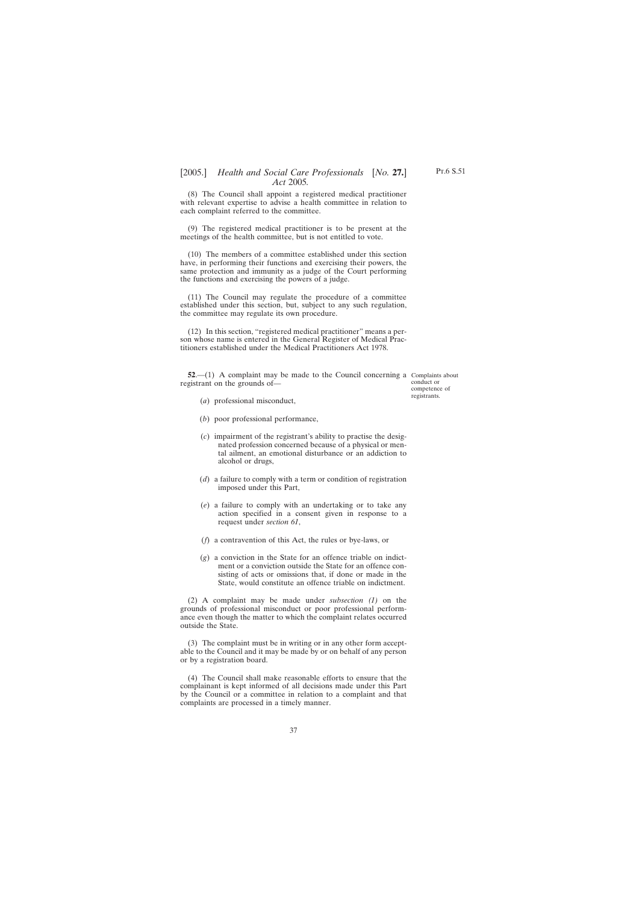<span id="page-36-0"></span>(8) The Council shall appoint a registered medical practitioner with relevant expertise to advise a health committee in relation to each complaint referred to the committee.

(9) The registered medical practitioner is to be present at the meetings of the health committee, but is not entitled to vote.

(10) The members of a committee established under this section have, in performing their functions and exercising their powers, the same protection and immunity as a judge of the Court performing the functions and exercising the powers of a judge.

(11) The Council may regulate the procedure of a committee established under this section, but, subject to any such regulation, the committee may regulate its own procedure.

(12) In this section, "registered medical practitioner" means a person whose name is entered in the General Register of Medical Practitioners established under the Medical Practitioners Act 1978.

**52.**—(1) A complaint may be made to the Council concerning a Complaints about registrant on the grounds of—

conduct or competence of registrants.

- (*a*) professional misconduct,
- (*b*) poor professional performance,
- (*c*) impairment of the registrant's ability to practise the designated profession concerned because of a physical or mental ailment, an emotional disturbance or an addiction to alcohol or drugs,
- (*d*) a failure to comply with a term or condition of registration imposed under this Part,
- (*e*) a failure to comply with an undertaking or to take any action specified in a consent given in response to a request under *section 61*,
- (*f*) a contravention of this Act, the rules or bye-laws, or
- (*g*) a conviction in the State for an offence triable on indictment or a conviction outside the State for an offence consisting of acts or omissions that, if done or made in the State, would constitute an offence triable on indictment.

(2) A complaint may be made under *subsection (1)* on the grounds of professional misconduct or poor professional performance even though the matter to which the complaint relates occurred outside the State.

(3) The complaint must be in writing or in any other form acceptable to the Council and it may be made by or on behalf of any person or by a registration board.

(4) The Council shall make reasonable efforts to ensure that the complainant is kept informed of all decisions made under this Part by the Council or a committee in relation to a complaint and that complaints are processed in a timely manner.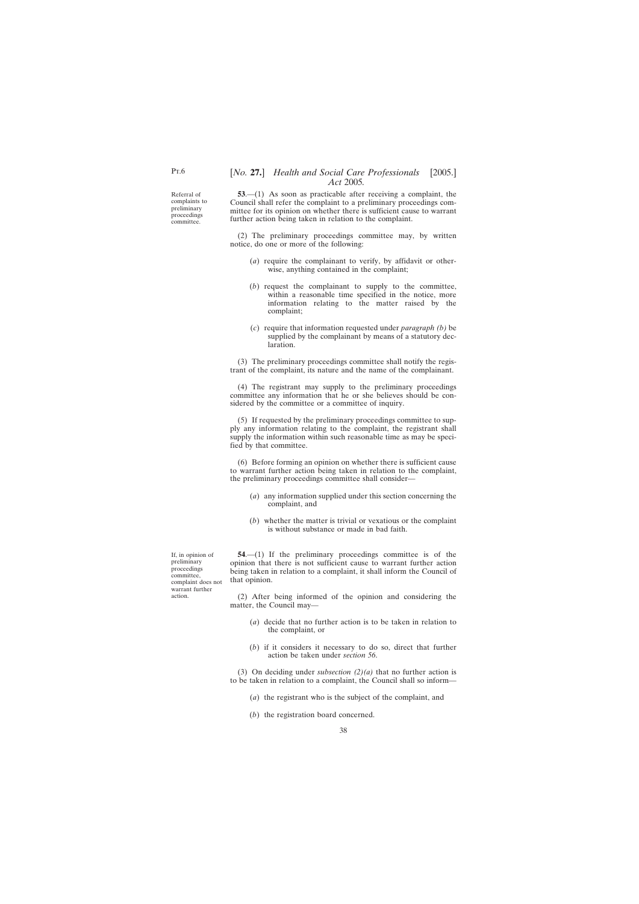<span id="page-37-0"></span>Referral of complaints to preliminary proceedings committee.

**53**.—(1) As soon as practicable after receiving a complaint, the Council shall refer the complaint to a preliminary proceedings committee for its opinion on whether there is sufficient cause to warrant further action being taken in relation to the complaint.

(2) The preliminary proceedings committee may, by written notice, do one or more of the following:

- (*a*) require the complainant to verify, by affidavit or otherwise, anything contained in the complaint;
- (*b*) request the complainant to supply to the committee, within a reasonable time specified in the notice, more information relating to the matter raised by the complaint;
- (*c*) require that information requested under *paragraph (b)* be supplied by the complainant by means of a statutory declaration.

(3) The preliminary proceedings committee shall notify the registrant of the complaint, its nature and the name of the complainant.

(4) The registrant may supply to the preliminary proceedings committee any information that he or she believes should be considered by the committee or a committee of inquiry.

(5) If requested by the preliminary proceedings committee to supply any information relating to the complaint, the registrant shall supply the information within such reasonable time as may be specified by that committee.

(6) Before forming an opinion on whether there is sufficient cause to warrant further action being taken in relation to the complaint, the preliminary proceedings committee shall consider—

- (*a*) any information supplied under this section concerning the complaint, and
- (*b*) whether the matter is trivial or vexatious or the complaint is without substance or made in bad faith.

**54**.—(1) If the preliminary proceedings committee is of the opinion that there is not sufficient cause to warrant further action being taken in relation to a complaint, it shall inform the Council of that opinion.

(2) After being informed of the opinion and considering the matter, the Council may—

- (*a*) decide that no further action is to be taken in relation to the complaint, or
- (*b*) if it considers it necessary to do so, direct that further action be taken under *section 56*.

(3) On deciding under *subsection (2)(a)* that no further action is to be taken in relation to a complaint, the Council shall so inform—

- (*a*) the registrant who is the subject of the complaint, and
- (*b*) the registration board concerned.

If, in opinion of preliminary proceedings committee, complaint does not warrant further action.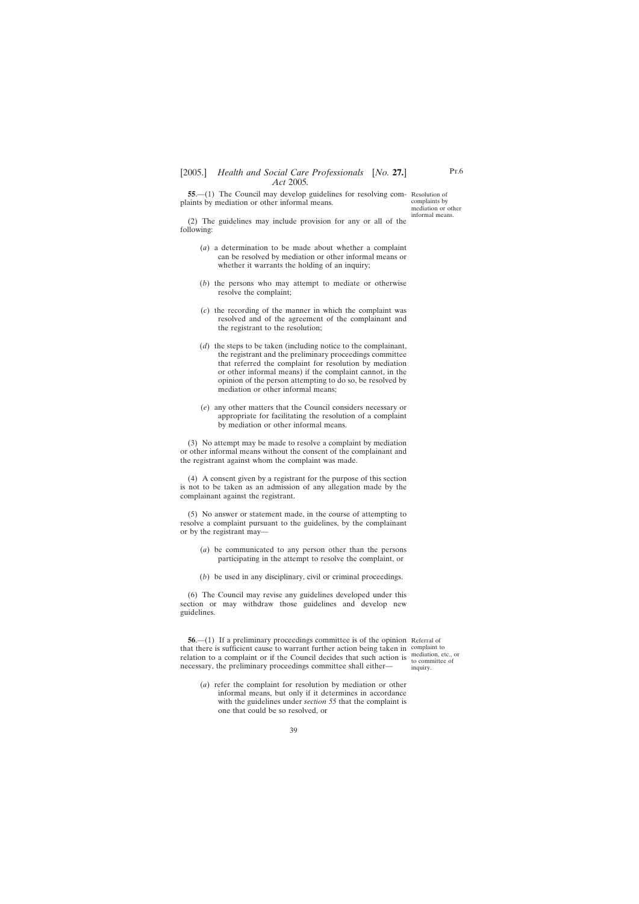<span id="page-38-0"></span>**55.**—(1) The Council may develop guidelines for resolving com-Resolution of plaints by mediation or other informal means.

complaints by mediation or other informal means.

(2) The guidelines may include provision for any or all of the following:

- (*a*) a determination to be made about whether a complaint can be resolved by mediation or other informal means or whether it warrants the holding of an inquiry;
- (*b*) the persons who may attempt to mediate or otherwise resolve the complaint;
- (*c*) the recording of the manner in which the complaint was resolved and of the agreement of the complainant and the registrant to the resolution;
- (*d*) the steps to be taken (including notice to the complainant, the registrant and the preliminary proceedings committee that referred the complaint for resolution by mediation or other informal means) if the complaint cannot, in the opinion of the person attempting to do so, be resolved by mediation or other informal means;
- (*e*) any other matters that the Council considers necessary or appropriate for facilitating the resolution of a complaint by mediation or other informal means.

(3) No attempt may be made to resolve a complaint by mediation or other informal means without the consent of the complainant and the registrant against whom the complaint was made.

(4) A consent given by a registrant for the purpose of this section is not to be taken as an admission of any allegation made by the complainant against the registrant.

(5) No answer or statement made, in the course of attempting to resolve a complaint pursuant to the guidelines, by the complainant or by the registrant may—

- (*a*) be communicated to any person other than the persons participating in the attempt to resolve the complaint, or
- (*b*) be used in any disciplinary, civil or criminal proceedings.

(6) The Council may revise any guidelines developed under this section or may withdraw those guidelines and develop new guidelines.

**56.**—(1) If a preliminary proceedings committee is of the opinion Referral of that there is sufficient cause to warrant further action being taken in complaint to relation to a complaint or if the Council decides that such action is  $\frac{\text{median, etc., or}}{\text{to committee of}}$ necessary, the preliminary proceedings committee shall either—

to committee of inquiry.

(*a*) refer the complaint for resolution by mediation or other informal means, but only if it determines in accordance with the guidelines under *section 55* that the complaint is one that could be so resolved, or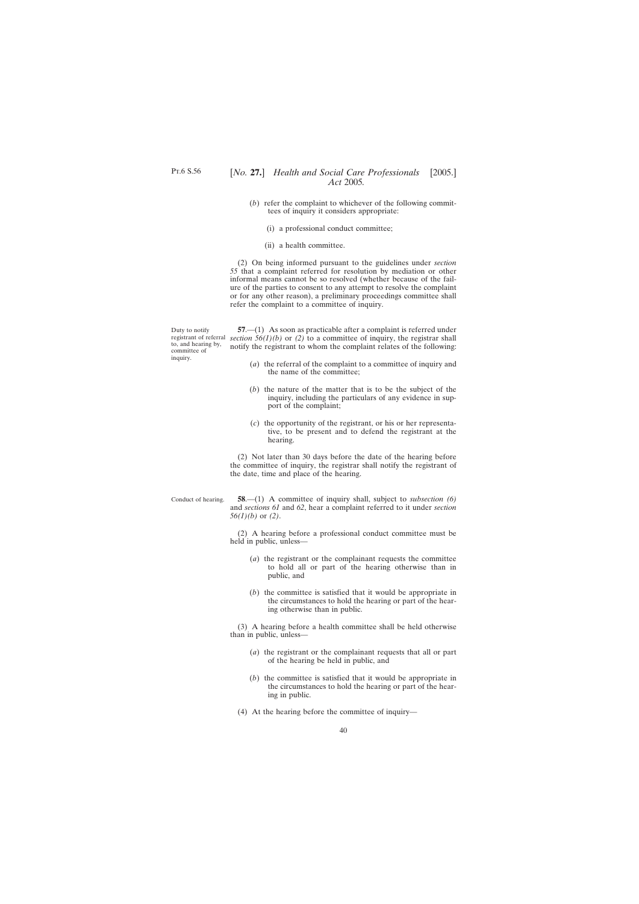- <span id="page-39-0"></span>(*b*) refer the complaint to whichever of the following committees of inquiry it considers appropriate:
	- (i) a professional conduct committee;
	- (ii) a health committee.

(2) On being informed pursuant to the guidelines under *section 55* that a complaint referred for resolution by mediation or other informal means cannot be so resolved (whether because of the failure of the parties to consent to any attempt to resolve the complaint or for any other reason), a preliminary proceedings committee shall refer the complaint to a committee of inquiry.

Duty to notify to, and hearing by, committee of inquiry.

registrant of referral *section 56(1)(b)* or *(2)* to a committee of inquiry, the registrar shall **57**.—(1) As soon as practicable after a complaint is referred under notify the registrant to whom the complaint relates of the following:

- (*a*) the referral of the complaint to a committee of inquiry and the name of the committee;
- (*b*) the nature of the matter that is to be the subject of the inquiry, including the particulars of any evidence in support of the complaint;
- (*c*) the opportunity of the registrant, or his or her representative, to be present and to defend the registrant at the hearing.

(2) Not later than 30 days before the date of the hearing before the committee of inquiry, the registrar shall notify the registrant of the date, time and place of the hearing.

Conduct of hearing.

**58**.—(1) A committee of inquiry shall, subject to *subsection (6)* and *sections 61* and *62*, hear a complaint referred to it under *section 56(1)(b)* or *(2)*.

(2) A hearing before a professional conduct committee must be held in public, unless—

- (*a*) the registrant or the complainant requests the committee to hold all or part of the hearing otherwise than in public, and
- (*b*) the committee is satisfied that it would be appropriate in the circumstances to hold the hearing or part of the hearing otherwise than in public.

(3) A hearing before a health committee shall be held otherwise than in public, unless—

- (*a*) the registrant or the complainant requests that all or part of the hearing be held in public, and
- (*b*) the committee is satisfied that it would be appropriate in the circumstances to hold the hearing or part of the hearing in public.
- (4) At the hearing before the committee of inquiry—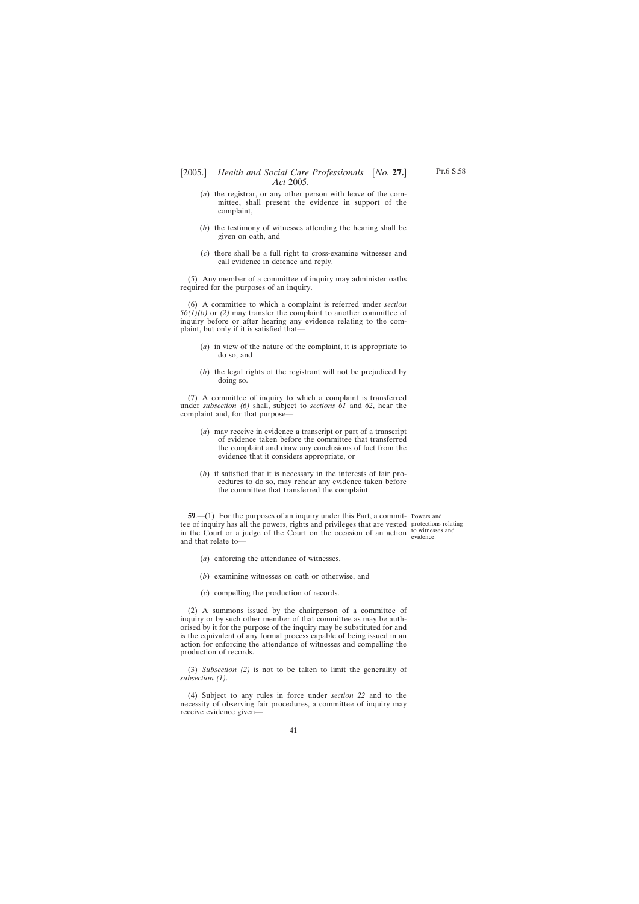- <span id="page-40-0"></span>[2005.] [ *Health and Social Care Professionals No.* **27.**] *Act* 2005*.*
	- (*a*) the registrar, or any other person with leave of the committee, shall present the evidence in support of the complaint,
	- (*b*) the testimony of witnesses attending the hearing shall be given on oath, and
	- (*c*) there shall be a full right to cross-examine witnesses and call evidence in defence and reply.

(5) Any member of a committee of inquiry may administer oaths required for the purposes of an inquiry.

(6) A committee to which a complaint is referred under *section 56(1)(b)* or *(2)* may transfer the complaint to another committee of inquiry before or after hearing any evidence relating to the complaint, but only if it is satisfied that—

- (*a*) in view of the nature of the complaint, it is appropriate to do so, and
- (*b*) the legal rights of the registrant will not be prejudiced by doing so.

(7) A committee of inquiry to which a complaint is transferred under *subsection (6)* shall, subject to *sections 61* and *62*, hear the complaint and, for that purpose—

- (*a*) may receive in evidence a transcript or part of a transcript of evidence taken before the committee that transferred the complaint and draw any conclusions of fact from the evidence that it considers appropriate, or
- (*b*) if satisfied that it is necessary in the interests of fair procedures to do so, may rehear any evidence taken before the committee that transferred the complaint.

**59.**—(1) For the purposes of an inquiry under this Part, a commit- Powers and tee of inquiry has all the powers, rights and privileges that are vested protections relating in the Court or a judge of the Court on the occasion of an action  $\frac{1}{\text{out } \text{times } \text{cos}}$  and and that relate to—

evidence.

- (*a*) enforcing the attendance of witnesses,
- (*b*) examining witnesses on oath or otherwise, and
- (*c*) compelling the production of records.

(2) A summons issued by the chairperson of a committee of inquiry or by such other member of that committee as may be authorised by it for the purpose of the inquiry may be substituted for and is the equivalent of any formal process capable of being issued in an action for enforcing the attendance of witnesses and compelling the production of records.

(3) *Subsection (2)* is not to be taken to limit the generality of *subsection (1)*.

(4) Subject to any rules in force under *section 22* and to the necessity of observing fair procedures, a committee of inquiry may receive evidence given—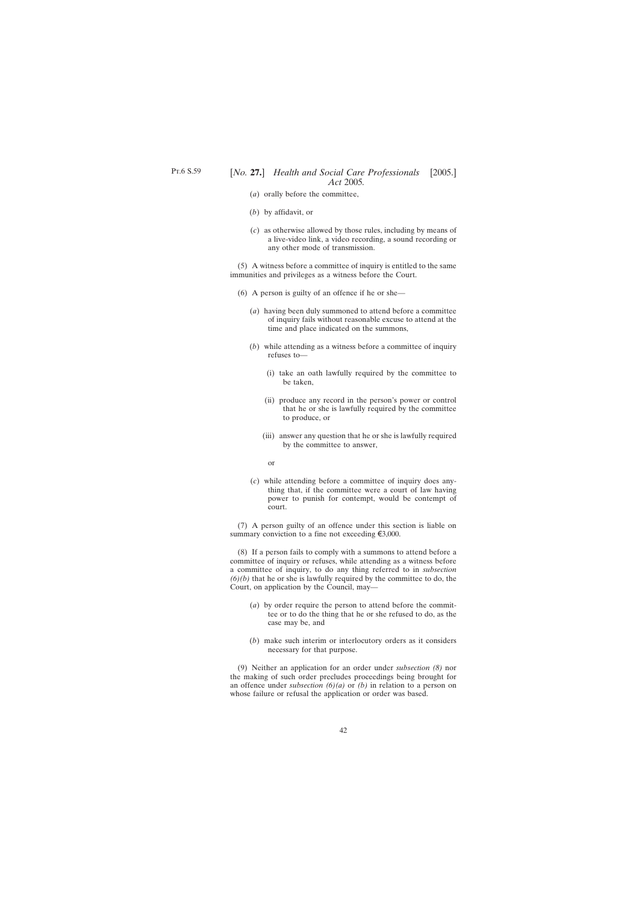- (*a*) orally before the committee,
- (*b*) by affidavit, or
- (*c*) as otherwise allowed by those rules, including by means of a live-video link, a video recording, a sound recording or any other mode of transmission.

(5) A witness before a committee of inquiry is entitled to the same immunities and privileges as a witness before the Court.

- (6) A person is guilty of an offence if he or she—
	- (*a*) having been duly summoned to attend before a committee of inquiry fails without reasonable excuse to attend at the time and place indicated on the summons,
	- (*b*) while attending as a witness before a committee of inquiry refuses to—
		- (i) take an oath lawfully required by the committee to be taken,
		- (ii) produce any record in the person's power or control that he or she is lawfully required by the committee to produce, or
		- (iii) answer any question that he or she is lawfully required by the committee to answer,
		- or
	- (*c*) while attending before a committee of inquiry does anything that, if the committee were a court of law having power to punish for contempt, would be contempt of court.

(7) A person guilty of an offence under this section is liable on summary conviction to a fine not exceeding  $\xi$ 3,000.

(8) If a person fails to comply with a summons to attend before a committee of inquiry or refuses, while attending as a witness before a committee of inquiry, to do any thing referred to in *subsection*  $(6)(b)$  that he or she is lawfully required by the committee to do, the Court, on application by the Council, may—

- (*a*) by order require the person to attend before the committee or to do the thing that he or she refused to do, as the case may be, and
- (*b*) make such interim or interlocutory orders as it considers necessary for that purpose.

(9) Neither an application for an order under *subsection (8)* nor the making of such order precludes proceedings being brought for an offence under *subsection (6)(a)* or *(b)* in relation to a person on whose failure or refusal the application or order was based.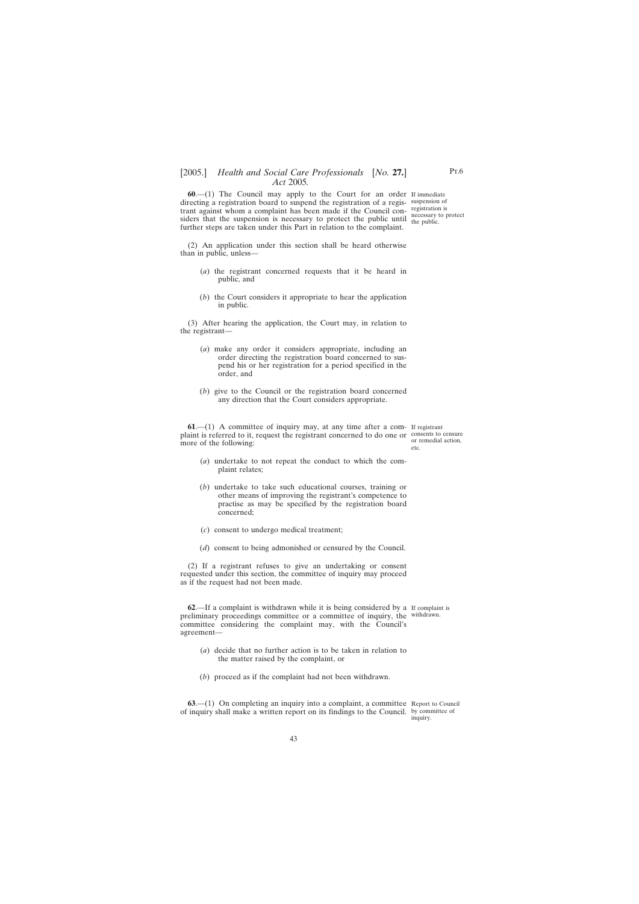<span id="page-42-0"></span>**60**.—(1) The Council may apply to the Court for an order If immediate directing a registration board to suspend the registration of a regis-suspension of trant against whom a complaint has been made if the Council con-registration is siders that the suspension is necessary to protect the public until the public. further steps are taken under this Part in relation to the complaint.

the public.

(2) An application under this section shall be heard otherwise than in public, unless—

- (*a*) the registrant concerned requests that it be heard in public, and
- (*b*) the Court considers it appropriate to hear the application in public.

(3) After hearing the application, the Court may, in relation to the registrant—

- (*a*) make any order it considers appropriate, including an order directing the registration board concerned to suspend his or her registration for a period specified in the order, and
- (*b*) give to the Council or the registration board concerned any direction that the Court considers appropriate.

**61**.—(1) A committee of inquiry may, at any time after a com-If registrant plaint is referred to it, request the registrant concerned to do one or consents to censure more of the following:

or remedial action, etc.

- (*a*) undertake to not repeat the conduct to which the complaint relates;
- (*b*) undertake to take such educational courses, training or other means of improving the registrant's competence to practise as may be specified by the registration board concerned;
- (*c*) consent to undergo medical treatment;
- (*d*) consent to being admonished or censured by the Council.

(2) If a registrant refuses to give an undertaking or consent requested under this section, the committee of inquiry may proceed as if the request had not been made.

**62**.—If a complaint is withdrawn while it is being considered by a If complaint is preliminary proceedings committee or a committee of inquiry, the withdrawn. committee considering the complaint may, with the Council's agreement—

- (*a*) decide that no further action is to be taken in relation to the matter raised by the complaint, or
- (*b*) proceed as if the complaint had not been withdrawn.

**63.**—(1) On completing an inquiry into a complaint, a committee Report to Council of inquiry shall make a written report on its findings to the Council. by committee of

inquiry.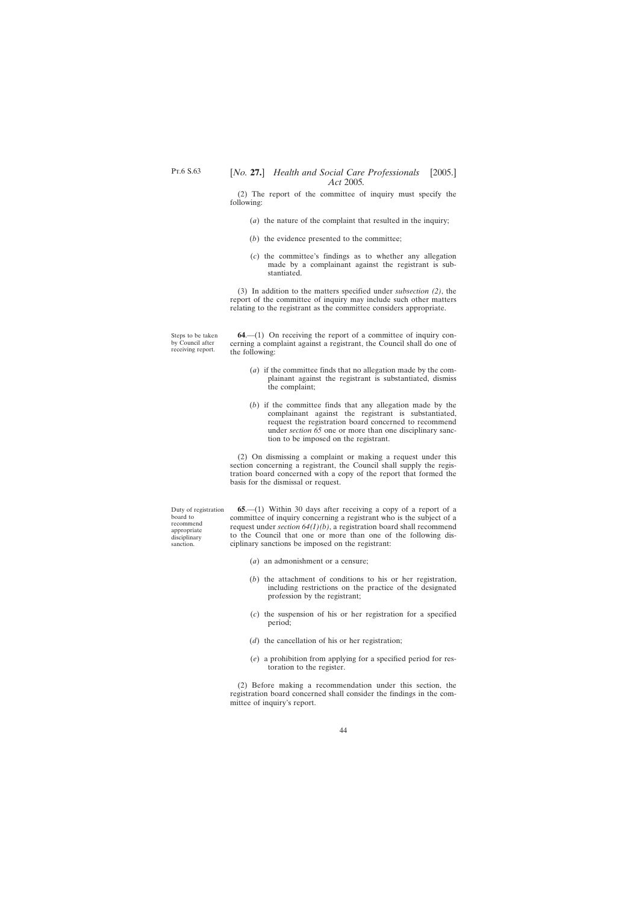<span id="page-43-0"></span>(2) The report of the committee of inquiry must specify the following:

- (*a*) the nature of the complaint that resulted in the inquiry;
- (*b*) the evidence presented to the committee;
- (*c*) the committee's findings as to whether any allegation made by a complainant against the registrant is substantiated.

(3) In addition to the matters specified under *subsection (2)*, the report of the committee of inquiry may include such other matters relating to the registrant as the committee considers appropriate.

Steps to be taken by Council after receiving report.

**64**.—(1) On receiving the report of a committee of inquiry concerning a complaint against a registrant, the Council shall do one of the following:

- (*a*) if the committee finds that no allegation made by the complainant against the registrant is substantiated, dismiss the complaint;
- (*b*) if the committee finds that any allegation made by the complainant against the registrant is substantiated, request the registration board concerned to recommend under *section 65* one or more than one disciplinary sanction to be imposed on the registrant.

(2) On dismissing a complaint or making a request under this section concerning a registrant, the Council shall supply the registration board concerned with a copy of the report that formed the basis for the dismissal or request.

**65**.—(1) Within 30 days after receiving a copy of a report of a committee of inquiry concerning a registrant who is the subject of a request under *section 64(1)(b)*, a registration board shall recommend to the Council that one or more than one of the following disciplinary sanctions be imposed on the registrant:

- (*a*) an admonishment or a censure;
- (*b*) the attachment of conditions to his or her registration, including restrictions on the practice of the designated profession by the registrant;
- (*c*) the suspension of his or her registration for a specified period;
- (*d*) the cancellation of his or her registration;
- (*e*) a prohibition from applying for a specified period for restoration to the register.

(2) Before making a recommendation under this section, the registration board concerned shall consider the findings in the committee of inquiry's report.

Duty of registration board to recommend appropriate disciplinary sanction.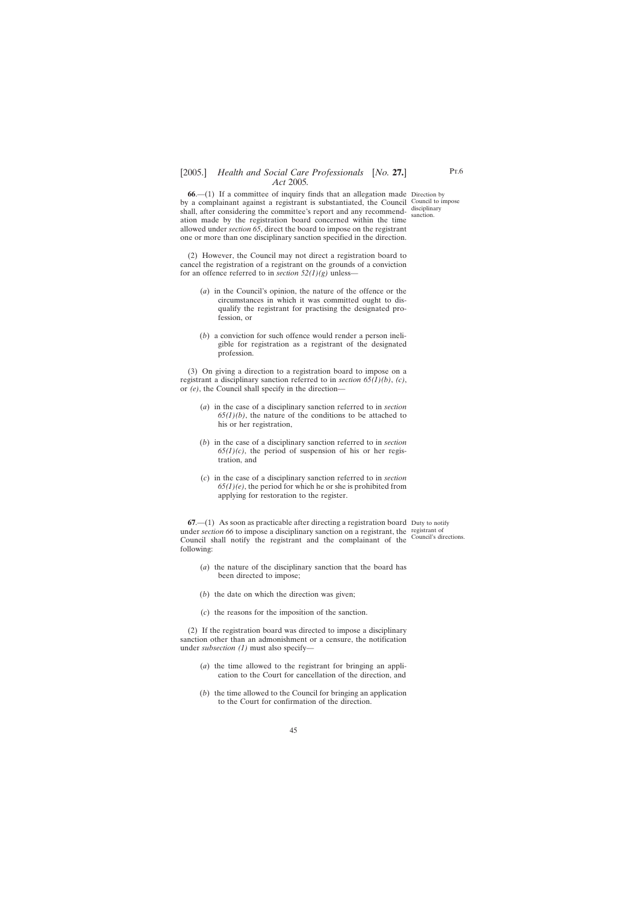<span id="page-44-0"></span>**66**.—(1) If a committee of inquiry finds that an allegation made Direction by by a complainant against a registrant is substantiated, the Council Council to impose shall, after considering the committee's report and any recommendation made by the registration board concerned within the time allowed under *section 65*, direct the board to impose on the registrant one or more than one disciplinary sanction specified in the direction.

disciplinary sanction.

(2) However, the Council may not direct a registration board to cancel the registration of a registrant on the grounds of a conviction for an offence referred to in *section 52(1)(g)* unless—

- (*a*) in the Council's opinion, the nature of the offence or the circumstances in which it was committed ought to disqualify the registrant for practising the designated profession, or
- (*b*) a conviction for such offence would render a person ineligible for registration as a registrant of the designated profession.

(3) On giving a direction to a registration board to impose on a registrant a disciplinary sanction referred to in *section 65(1)(b)*, *(c)*, or *(e)*, the Council shall specify in the direction—

- (*a*) in the case of a disciplinary sanction referred to in *section*  $65(1)(b)$ , the nature of the conditions to be attached to his or her registration,
- (*b*) in the case of a disciplinary sanction referred to in *section*  $65(1)(c)$ , the period of suspension of his or her registration, and
- (*c*) in the case of a disciplinary sanction referred to in *section 65(1)(e)*, the period for which he or she is prohibited from applying for restoration to the register.

**67.**—(1) As soon as practicable after directing a registration board Duty to notify under *section* 66 to impose a disciplinary sanction on a registrant, the registrant of Council shall notify the registrant and the complainant of the Council's directions.following:

- (*a*) the nature of the disciplinary sanction that the board has been directed to impose;
- (*b*) the date on which the direction was given;
- (*c*) the reasons for the imposition of the sanction.

(2) If the registration board was directed to impose a disciplinary sanction other than an admonishment or a censure, the notification under *subsection (1)* must also specify—

- (*a*) the time allowed to the registrant for bringing an application to the Court for cancellation of the direction, and
- (*b*) the time allowed to the Council for bringing an application to the Court for confirmation of the direction.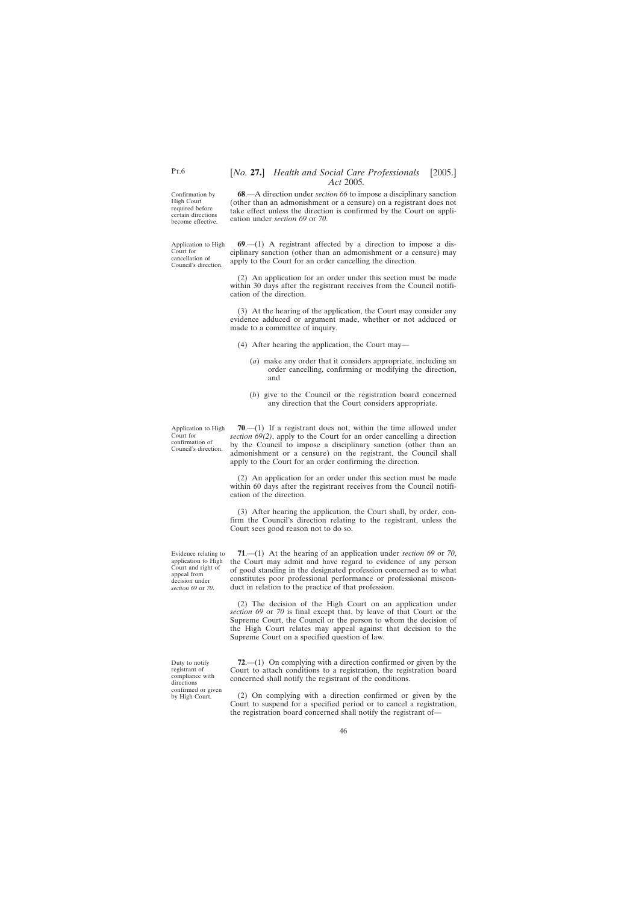<span id="page-45-0"></span>Confirmation by High Court required before certain directions become effective.

Application to High Court for cancellation of Council's direction.

**68**.—A direction under *section 66* to impose a disciplinary sanction (other than an admonishment or a censure) on a registrant does not take effect unless the direction is confirmed by the Court on application under *section 69* or *70*.

**69**.—(1) A registrant affected by a direction to impose a disciplinary sanction (other than an admonishment or a censure) may apply to the Court for an order cancelling the direction.

(2) An application for an order under this section must be made within 30 days after the registrant receives from the Council notification of the direction.

(3) At the hearing of the application, the Court may consider any evidence adduced or argument made, whether or not adduced or made to a committee of inquiry.

- (4) After hearing the application, the Court may—
	- (*a*) make any order that it considers appropriate, including an order cancelling, confirming or modifying the direction, and
	- (*b*) give to the Council or the registration board concerned any direction that the Court considers appropriate.

Application to High Court for confirmation of Council's direction.

**70**.—(1) If a registrant does not, within the time allowed under *section 69(2)*, apply to the Court for an order cancelling a direction by the Council to impose a disciplinary sanction (other than an admonishment or a censure) on the registrant, the Council shall apply to the Court for an order confirming the direction.

(2) An application for an order under this section must be made within 60 days after the registrant receives from the Council notification of the direction.

(3) After hearing the application, the Court shall, by order, confirm the Council's direction relating to the registrant, unless the Court sees good reason not to do so.

Evidence relating to application to High Court and right of appeal from decision under *section 69* or *70*.

Duty to notify registrant of compliance with directions confirmed or given by High Court.

**71**.—(1) At the hearing of an application under *section 69* or *70*, the Court may admit and have regard to evidence of any person of good standing in the designated profession concerned as to what constitutes poor professional performance or professional misconduct in relation to the practice of that profession.

(2) The decision of the High Court on an application under *section 69* or *70* is final except that, by leave of that Court or the Supreme Court, the Council or the person to whom the decision of the High Court relates may appeal against that decision to the Supreme Court on a specified question of law.

**72**.—(1) On complying with a direction confirmed or given by the Court to attach conditions to a registration, the registration board concerned shall notify the registrant of the conditions.

(2) On complying with a direction confirmed or given by the Court to suspend for a specified period or to cancel a registration, the registration board concerned shall notify the registrant of—

46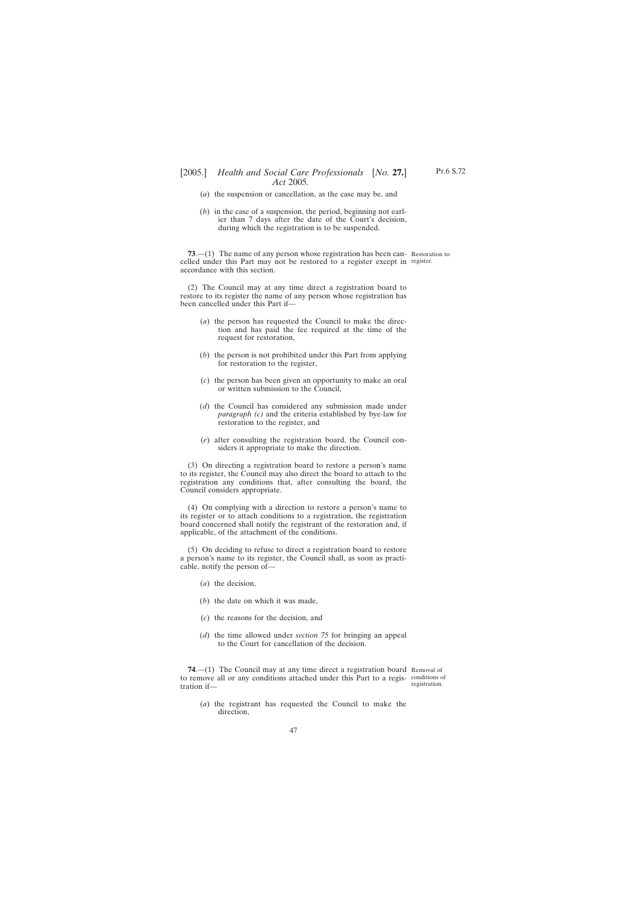- <span id="page-46-0"></span>(*a*) the suspension or cancellation, as the case may be, and
- (*b*) in the case of a suspension, the period, beginning not earlier than 7 days after the date of the Court's decision, during which the registration is to be suspended.

**73.**—(1) The name of any person whose registration has been can- Restoration to celled under this Part may not be restored to a register except in register. accordance with this section.

(2) The Council may at any time direct a registration board to restore to its register the name of any person whose registration has been cancelled under this Part if—

- (*a*) the person has requested the Council to make the direction and has paid the fee required at the time of the request for restoration,
- (*b*) the person is not prohibited under this Part from applying for restoration to the register,
- (*c*) the person has been given an opportunity to make an oral or written submission to the Council,
- (*d*) the Council has considered any submission made under *paragraph (c)* and the criteria established by bye-law for restoration to the register, and
- (*e*) after consulting the registration board, the Council considers it appropriate to make the direction.

(3) On directing a registration board to restore a person's name to its register, the Council may also direct the board to attach to the registration any conditions that, after consulting the board, the Council considers appropriate.

(4) On complying with a direction to restore a person's name to its register or to attach conditions to a registration, the registration board concerned shall notify the registrant of the restoration and, if applicable, of the attachment of the conditions.

(5) On deciding to refuse to direct a registration board to restore a person's name to its register, the Council shall, as soon as practicable, notify the person of—

- (*a*) the decision,
- (*b*) the date on which it was made,
- (*c*) the reasons for the decision, and
- (*d*) the time allowed under *section 75* for bringing an appeal to the Court for cancellation of the decision.

**74.**—(1) The Council may at any time direct a registration board Removal of to remove all or any conditions attached under this Part to a regis-conditions of tration if—

registration.

(*a*) the registrant has requested the Council to make the direction,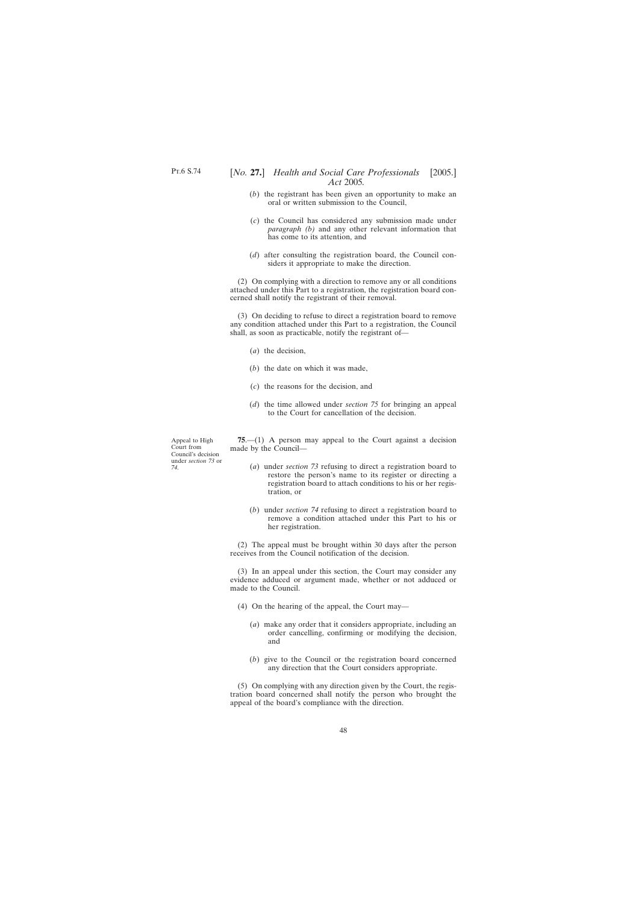- <span id="page-47-0"></span>(*b*) the registrant has been given an opportunity to make an oral or written submission to the Council,
- (*c*) the Council has considered any submission made under *paragraph (b)* and any other relevant information that has come to its attention, and
- (*d*) after consulting the registration board, the Council considers it appropriate to make the direction.

(2) On complying with a direction to remove any or all conditions attached under this Part to a registration, the registration board concerned shall notify the registrant of their removal.

(3) On deciding to refuse to direct a registration board to remove any condition attached under this Part to a registration, the Council shall, as soon as practicable, notify the registrant of—

- (*a*) the decision,
- (*b*) the date on which it was made,
- (*c*) the reasons for the decision, and
- (*d*) the time allowed under *section 75* for bringing an appeal to the Court for cancellation of the decision.

Appeal to High Court from Council's decision under *section 73* or *74*.

**75**.—(1) A person may appeal to the Court against a decision made by the Council—

- (*a*) under *section 73* refusing to direct a registration board to restore the person's name to its register or directing a registration board to attach conditions to his or her registration, or
- (*b*) under *section 74* refusing to direct a registration board to remove a condition attached under this Part to his or her registration.

(2) The appeal must be brought within 30 days after the person receives from the Council notification of the decision.

(3) In an appeal under this section, the Court may consider any evidence adduced or argument made, whether or not adduced or made to the Council.

- (4) On the hearing of the appeal, the Court may—
	- (*a*) make any order that it considers appropriate, including an order cancelling, confirming or modifying the decision, and
	- (*b*) give to the Council or the registration board concerned any direction that the Court considers appropriate.

(5) On complying with any direction given by the Court, the registration board concerned shall notify the person who brought the appeal of the board's compliance with the direction.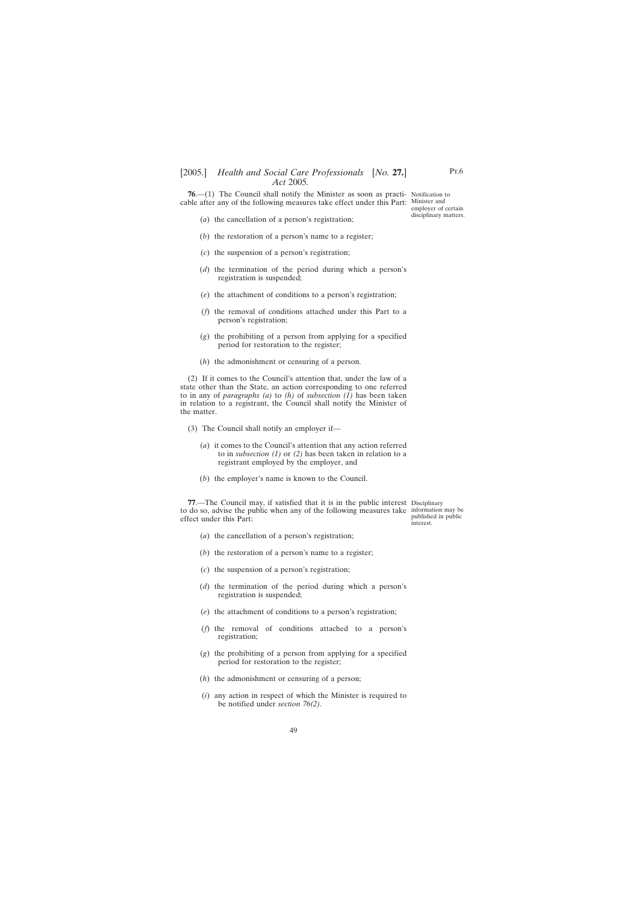<span id="page-48-0"></span>**76.**—(1) The Council shall notify the Minister as soon as practi- Notification to cable after any of the following measures take effect under this Part: Minister and

employer of certain disciplinary matters.

- (*a*) the cancellation of a person's registration;
- (*b*) the restoration of a person's name to a register;
- (*c*) the suspension of a person's registration;
- (*d*) the termination of the period during which a person's registration is suspended;
- (*e*) the attachment of conditions to a person's registration;
- (*f*) the removal of conditions attached under this Part to a person's registration;
- (*g*) the prohibiting of a person from applying for a specified period for restoration to the register;
- (*h*) the admonishment or censuring of a person.

(2) If it comes to the Council's attention that, under the law of a state other than the State, an action corresponding to one referred to in any of *paragraphs (a)* to *(h)* of *subsection (1)* has been taken in relation to a registrant, the Council shall notify the Minister of the matter.

- (3) The Council shall notify an employer if—
	- (*a*) it comes to the Council's attention that any action referred to in *subsection (1)* or *(2)* has been taken in relation to a registrant employed by the employer, and
	- (*b*) the employer's name is known to the Council.

**77**.—The Council may, if satisfied that it is in the public interest Disciplinary to do so, advise the public when any of the following measures take information may be effect under this Part:

published in public interest.

- (*a*) the cancellation of a person's registration;
- (*b*) the restoration of a person's name to a register;
- (*c*) the suspension of a person's registration;
- (*d*) the termination of the period during which a person's registration is suspended;
- (*e*) the attachment of conditions to a person's registration;
- (*f*) the removal of conditions attached to a person's registration;
- (*g*) the prohibiting of a person from applying for a specified period for restoration to the register;
- (*h*) the admonishment or censuring of a person;
- (*i*) any action in respect of which the Minister is required to be notified under *section 76(2)*.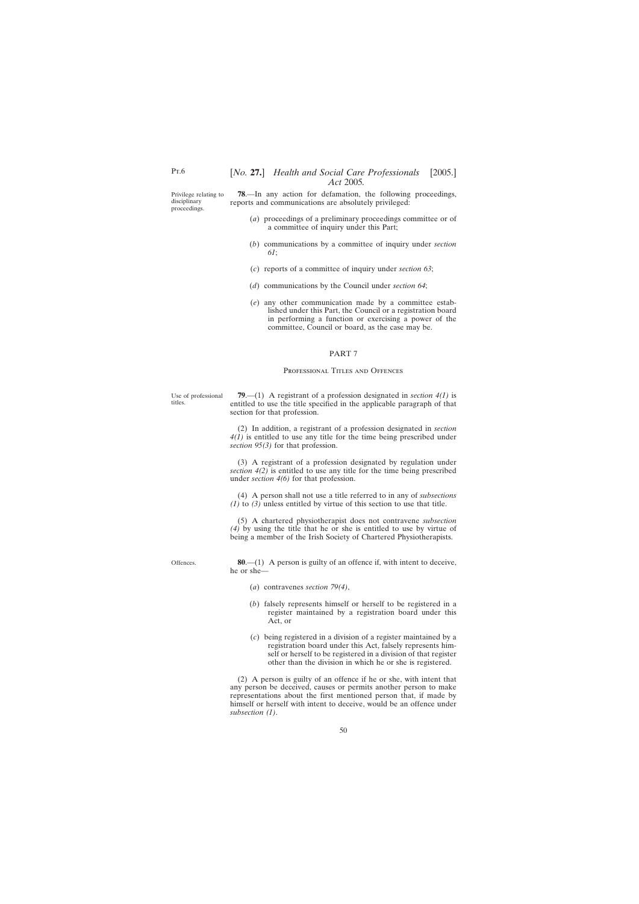<span id="page-49-0"></span>Privilege relating to disciplinary proceedings.

**78**.—In any action for defamation, the following proceedings, reports and communications are absolutely privileged:

- (*a*) proceedings of a preliminary proceedings committee or of a committee of inquiry under this Part;
- (*b*) communications by a committee of inquiry under *section 61*;
- (*c*) reports of a committee of inquiry under *section 63*;
- (*d*) communications by the Council under *section 64*;
- (*e*) any other communication made by a committee established under this Part, the Council or a registration board in performing a function or exercising a power of the committee, Council or board, as the case may be.

#### PART 7

#### PROFESSIONAL TITLES AND OFFENCES

Use of professional titles.

**79**.—(1) A registrant of a profession designated in *section 4(1)* is entitled to use the title specified in the applicable paragraph of that section for that profession.

(2) In addition, a registrant of a profession designated in *section 4(1)* is entitled to use any title for the time being prescribed under *section 95(3)* for that profession.

(3) A registrant of a profession designated by regulation under *section 4(2)* is entitled to use any title for the time being prescribed under *section 4(6)* for that profession.

(4) A person shall not use a title referred to in any of *subsections (1)* to *(3)* unless entitled by virtue of this section to use that title.

(5) A chartered physiotherapist does not contravene *subsection (4)* by using the title that he or she is entitled to use by virtue of being a member of the Irish Society of Chartered Physiotherapists.

Offences.

**80**.—(1) A person is guilty of an offence if, with intent to deceive, he or she—

- (*a*) contravenes *section 79(4)*,
- (*b*) falsely represents himself or herself to be registered in a register maintained by a registration board under this Act, or
- (*c*) being registered in a division of a register maintained by a registration board under this Act, falsely represents himself or herself to be registered in a division of that register other than the division in which he or she is registered.

(2) A person is guilty of an offence if he or she, with intent that any person be deceived, causes or permits another person to make representations about the first mentioned person that, if made by himself or herself with intent to deceive, would be an offence under *subsection (1)*.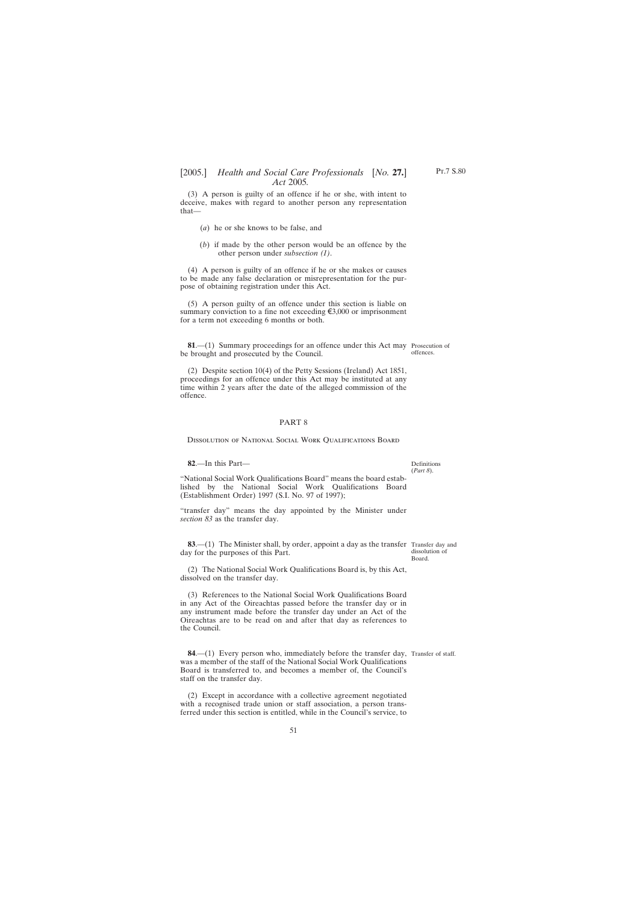<span id="page-50-0"></span>(3) A person is guilty of an offence if he or she, with intent to deceive, makes with regard to another person any representation that—

- (*a*) he or she knows to be false, and
- (*b*) if made by the other person would be an offence by the other person under *subsection (1)*.

(4) A person is guilty of an offence if he or she makes or causes to be made any false declaration or misrepresentation for the purpose of obtaining registration under this Act.

(5) A person guilty of an offence under this section is liable on summary conviction to a fine not exceeding  $\xi$ 3,000 or imprisonment for a term not exceeding 6 months or both.

**81**.—(1) Summary proceedings for an offence under this Act may Prosecution of be brought and prosecuted by the Council. offences.

(2) Despite section 10(4) of the Petty Sessions (Ireland) Act 1851, proceedings for an offence under this Act may be instituted at any time within 2 years after the date of the alleged commission of the offence.

### PART 8

Dissolution of National Social Work Qualifications Board

### **82**.—In this Part—

"National Social Work Qualifications Board" means the board established by the National Social Work Qualifications Board (Establishment Order) 1997 (S.I. No. 97 of 1997);

"transfer day" means the day appointed by the Minister under *section 83* as the transfer day.

**83.**—(1) The Minister shall, by order, appoint a day as the transfer Transfer day and day for the purposes of this Part.

(2) The National Social Work Qualifications Board is, by this Act, dissolved on the transfer day.

(3) References to the National Social Work Qualifications Board in any Act of the Oireachtas passed before the transfer day or in any instrument made before the transfer day under an Act of the Oireachtas are to be read on and after that day as references to the Council.

**84**.—(1) Every person who, immediately before the transfer day, Transfer of staff.was a member of the staff of the National Social Work Qualifications Board is transferred to, and becomes a member of, the Council's staff on the transfer day.

(2) Except in accordance with a collective agreement negotiated with a recognised trade union or staff association, a person transferred under this section is entitled, while in the Council's service, to

51

Definitions (*Part 8*).

dissolution of Board.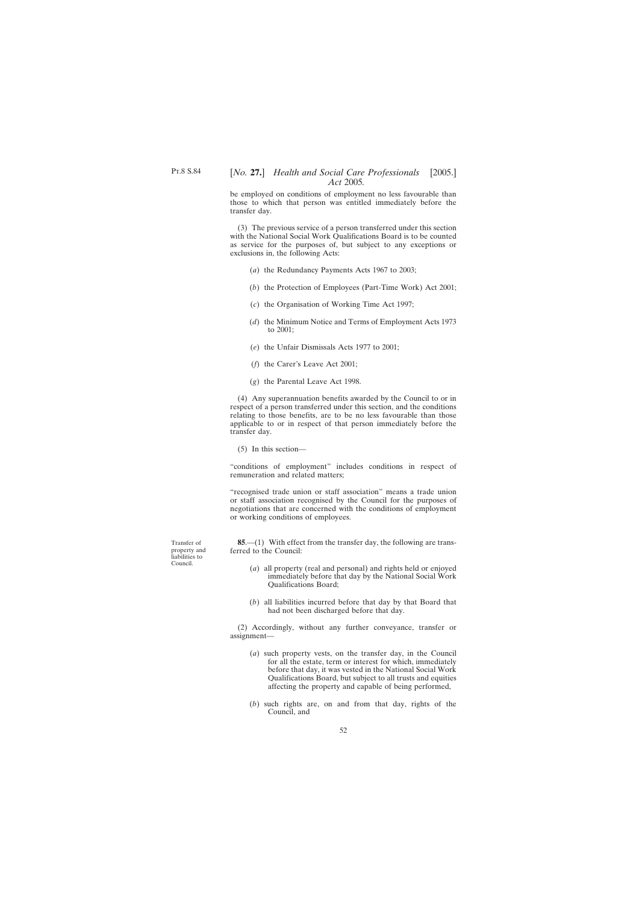<span id="page-51-0"></span>be employed on conditions of employment no less favourable than those to which that person was entitled immediately before the transfer day.

(3) The previous service of a person transferred under this section with the National Social Work Qualifications Board is to be counted as service for the purposes of, but subject to any exceptions or exclusions in, the following Acts:

- (*a*) the Redundancy Payments Acts 1967 to 2003;
- (*b*) the Protection of Employees (Part-Time Work) Act 2001;
- (*c*) the Organisation of Working Time Act 1997;
- (*d*) the Minimum Notice and Terms of Employment Acts 1973 to 2001;
- (*e*) the Unfair Dismissals Acts 1977 to 2001;
- (*f*) the Carer's Leave Act 2001;
- (*g*) the Parental Leave Act 1998.

(4) Any superannuation benefits awarded by the Council to or in respect of a person transferred under this section, and the conditions relating to those benefits, are to be no less favourable than those applicable to or in respect of that person immediately before the transfer day.

(5) In this section—

"conditions of employment" includes conditions in respect of remuneration and related matters;

"recognised trade union or staff association" means a trade union or staff association recognised by the Council for the purposes of negotiations that are concerned with the conditions of employment or working conditions of employees.

**85**.—(1) With effect from the transfer day, the following are transferred to the Council:

- (*a*) all property (real and personal) and rights held or enjoyed immediately before that day by the National Social Work Qualifications Board;
- (*b*) all liabilities incurred before that day by that Board that had not been discharged before that day.

(2) Accordingly, without any further conveyance, transfer or assignment—

- (*a*) such property vests, on the transfer day, in the Council for all the estate, term or interest for which, immediately before that day, it was vested in the National Social Work Qualifications Board, but subject to all trusts and equities affecting the property and capable of being performed,
- (*b*) such rights are, on and from that day, rights of the Council, and

Transfer of property and liabilities to Council.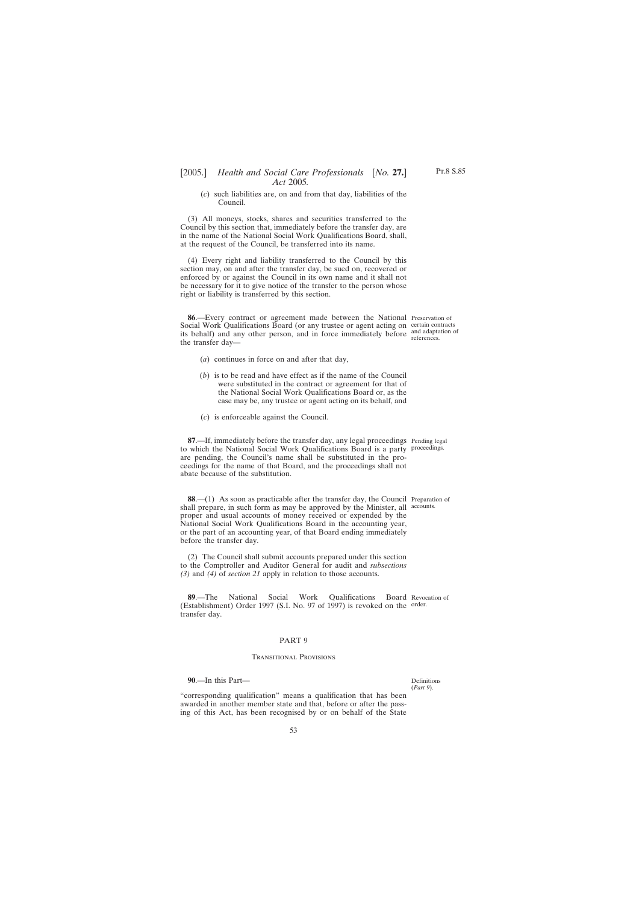(*c*) such liabilities are, on and from that day, liabilities of the Council.

<span id="page-52-0"></span>(3) All moneys, stocks, shares and securities transferred to the Council by this section that, immediately before the transfer day, are in the name of the National Social Work Qualifications Board, shall, at the request of the Council, be transferred into its name.

(4) Every right and liability transferred to the Council by this section may, on and after the transfer day, be sued on, recovered or enforced by or against the Council in its own name and it shall not be necessary for it to give notice of the transfer to the person whose right or liability is transferred by this section.

**86**.—Every contract or agreement made between the National Preservation of Social Work Qualifications Board (or any trustee or agent acting on certain contracts its behalf) and any other person, and in force immediately before and adaptation of the transfer day—

- (*a*) continues in force on and after that day,
- (*b*) is to be read and have effect as if the name of the Council were substituted in the contract or agreement for that of the National Social Work Qualifications Board or, as the case may be, any trustee or agent acting on its behalf, and
- (*c*) is enforceable against the Council.

**87**.—If, immediately before the transfer day, any legal proceedings Pending legal to which the National Social Work Qualifications Board is a party proceedings. are pending, the Council's name shall be substituted in the proceedings for the name of that Board, and the proceedings shall not abate because of the substitution.

**88.**—(1) As soon as practicable after the transfer day, the Council Preparation of shall prepare, in such form as may be approved by the Minister, all accounts. proper and usual accounts of money received or expended by the National Social Work Qualifications Board in the accounting year, or the part of an accounting year, of that Board ending immediately before the transfer day.

(2) The Council shall submit accounts prepared under this section to the Comptroller and Auditor General for audit and *subsections (3)* and *(4)* of *section 21* apply in relation to those accounts.

**89.—The National Social Work Qualifications** (Establishment) Order 1997 (S.I. No. 97 of 1997) is revoked on the order. transfer day. Board Revocation of

#### PART 9

#### Transitional Provisions

**90**.—In this Part—

Definitions (*Part 9*).

"corresponding qualification" means a qualification that has been awarded in another member state and that, before or after the passing of this Act, has been recognised by or on behalf of the State

references.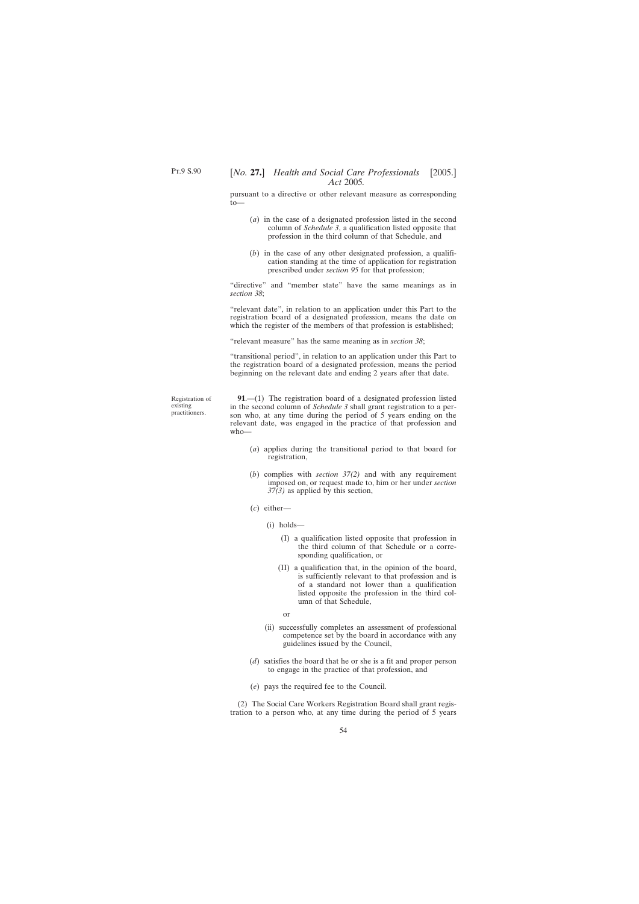<span id="page-53-0"></span>pursuant to a directive or other relevant measure as corresponding  $to$ -

- (*a*) in the case of a designated profession listed in the second column of *Schedule 3*, a qualification listed opposite that profession in the third column of that Schedule, and
- (*b*) in the case of any other designated profession, a qualification standing at the time of application for registration prescribed under *section 95* for that profession;

"directive" and "member state" have the same meanings as in *section 38*;

"relevant date", in relation to an application under this Part to the registration board of a designated profession, means the date on which the register of the members of that profession is established;

"relevant measure" has the same meaning as in *section 38*;

"transitional period", in relation to an application under this Part to the registration board of a designated profession, means the period beginning on the relevant date and ending 2 years after that date.

Registration of existing practitioners.

**91**.—(1) The registration board of a designated profession listed in the second column of *Schedule 3* shall grant registration to a person who, at any time during the period of 5 years ending on the relevant date, was engaged in the practice of that profession and who—

- (*a*) applies during the transitional period to that board for registration,
- (*b*) complies with *section 37(2)* and with any requirement imposed on, or request made to, him or her under *section 37(3)* as applied by this section,
- (*c*) either—
	- (i) holds—
		- (I) a qualification listed opposite that profession in the third column of that Schedule or a corresponding qualification, or
		- (II) a qualification that, in the opinion of the board, is sufficiently relevant to that profession and is of a standard not lower than a qualification listed opposite the profession in the third column of that Schedule,
			- or
	- (ii) successfully completes an assessment of professional competence set by the board in accordance with any guidelines issued by the Council,
- (*d*) satisfies the board that he or she is a fit and proper person to engage in the practice of that profession, and
- (*e*) pays the required fee to the Council.

(2) The Social Care Workers Registration Board shall grant registration to a person who, at any time during the period of 5 years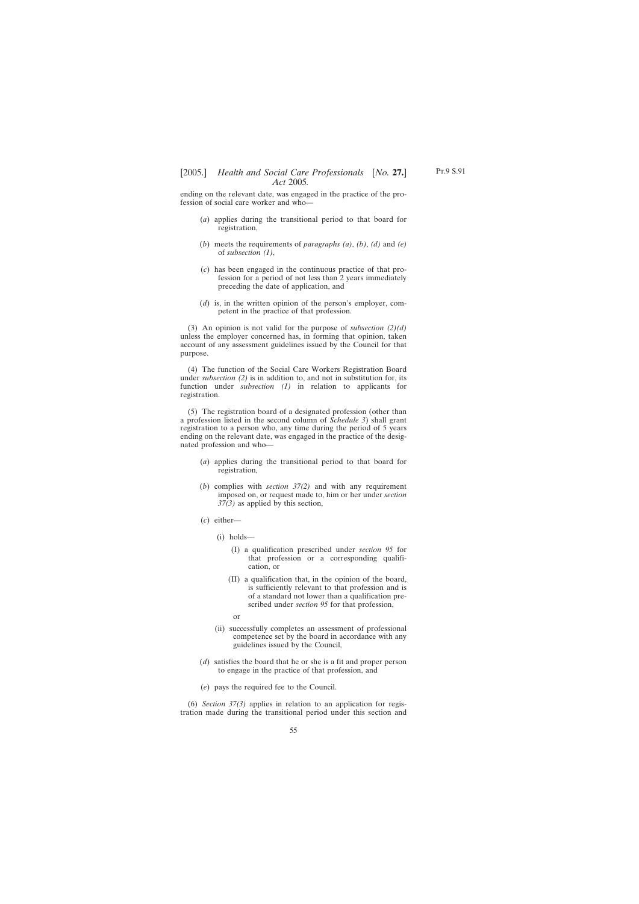ending on the relevant date, was engaged in the practice of the profession of social care worker and who—

- (*a*) applies during the transitional period to that board for registration,
- (*b*) meets the requirements of *paragraphs (a)*, *(b)*, *(d)* and *(e)* of *subsection (1)*,
- (*c*) has been engaged in the continuous practice of that profession for a period of not less than 2 years immediately preceding the date of application, and
- (*d*) is, in the written opinion of the person's employer, competent in the practice of that profession.

(3) An opinion is not valid for the purpose of *subsection (2)(d)* unless the employer concerned has, in forming that opinion, taken account of any assessment guidelines issued by the Council for that purpose.

(4) The function of the Social Care Workers Registration Board under *subsection (2)* is in addition to, and not in substitution for, its function under *subsection (1)* in relation to applicants for registration.

(5) The registration board of a designated profession (other than a profession listed in the second column of *Schedule 3*) shall grant registration to a person who, any time during the period of 5 years ending on the relevant date, was engaged in the practice of the designated profession and who—

- (*a*) applies during the transitional period to that board for registration,
- (*b*) complies with *section 37(2)* and with any requirement imposed on, or request made to, him or her under *section 37(3)* as applied by this section,
- (*c*) either—
	- (i) holds—
		- (I) a qualification prescribed under *section 95* for that profession or a corresponding qualification, or
		- (II) a qualification that, in the opinion of the board, is sufficiently relevant to that profession and is of a standard not lower than a qualification prescribed under *section 95* for that profession,
			- or
	- (ii) successfully completes an assessment of professional competence set by the board in accordance with any guidelines issued by the Council,
- (*d*) satisfies the board that he or she is a fit and proper person to engage in the practice of that profession, and
- (*e*) pays the required fee to the Council.

(6) *Section 37(3)* applies in relation to an application for registration made during the transitional period under this section and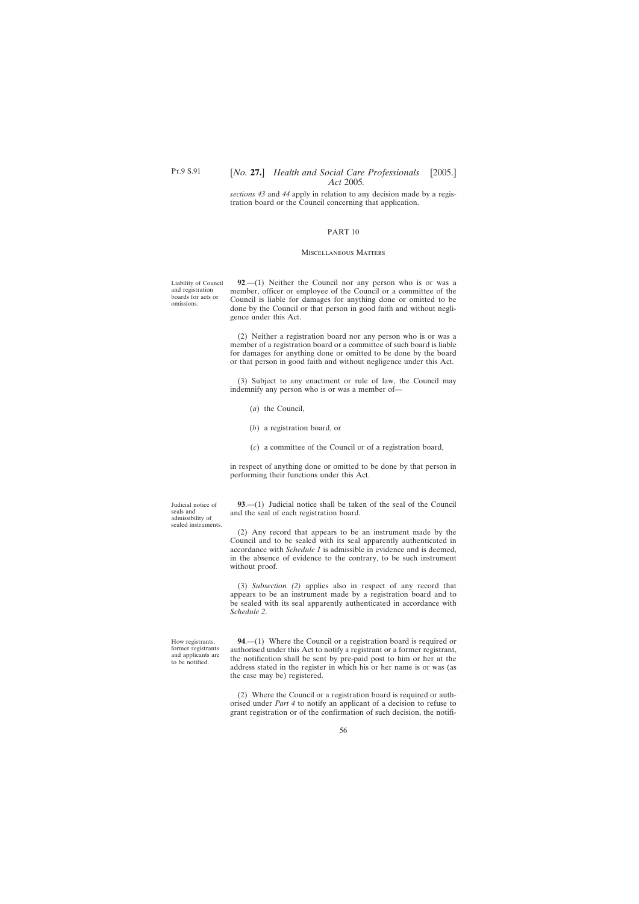<span id="page-55-0"></span>Pt.9 S.91

## [*No.* **27.**] *Health and Social Care Professionals* [2005.] *Act* 2005*.*

*sections 43* and *44* apply in relation to any decision made by a registration board or the Council concerning that application.

### PART 10

#### Miscellaneous Matters

Liability of Council and registration boards for acts or omissions.

**92**.—(1) Neither the Council nor any person who is or was a member, officer or employee of the Council or a committee of the Council is liable for damages for anything done or omitted to be done by the Council or that person in good faith and without negligence under this Act.

(2) Neither a registration board nor any person who is or was a member of a registration board or a committee of such board is liable for damages for anything done or omitted to be done by the board or that person in good faith and without negligence under this Act.

(3) Subject to any enactment or rule of law, the Council may indemnify any person who is or was a member of—

- (*a*) the Council,
- (*b*) a registration board, or
- (*c*) a committee of the Council or of a registration board,

in respect of anything done or omitted to be done by that person in performing their functions under this Act.

**93**.—(1) Judicial notice shall be taken of the seal of the Council and the seal of each registration board.

(2) Any record that appears to be an instrument made by the Council and to be sealed with its seal apparently authenticated in accordance with *Schedule 1* is admissible in evidence and is deemed, in the absence of evidence to the contrary, to be such instrument without proof.

(3) *Subsection (2)* applies also in respect of any record that appears to be an instrument made by a registration board and to be sealed with its seal apparently authenticated in accordance with *Schedule 2*.

**94**.—(1) Where the Council or a registration board is required or authorised under this Act to notify a registrant or a former registrant, the notification shall be sent by pre-paid post to him or her at the address stated in the register in which his or her name is or was (as the case may be) registered.

(2) Where the Council or a registration board is required or authorised under *Part 4* to notify an applicant of a decision to refuse to grant registration or of the confirmation of such decision, the notifi-

Judicial notice of seals and admissibility of sealed instruments.

How registrants, former registrants and applicants are to be notified.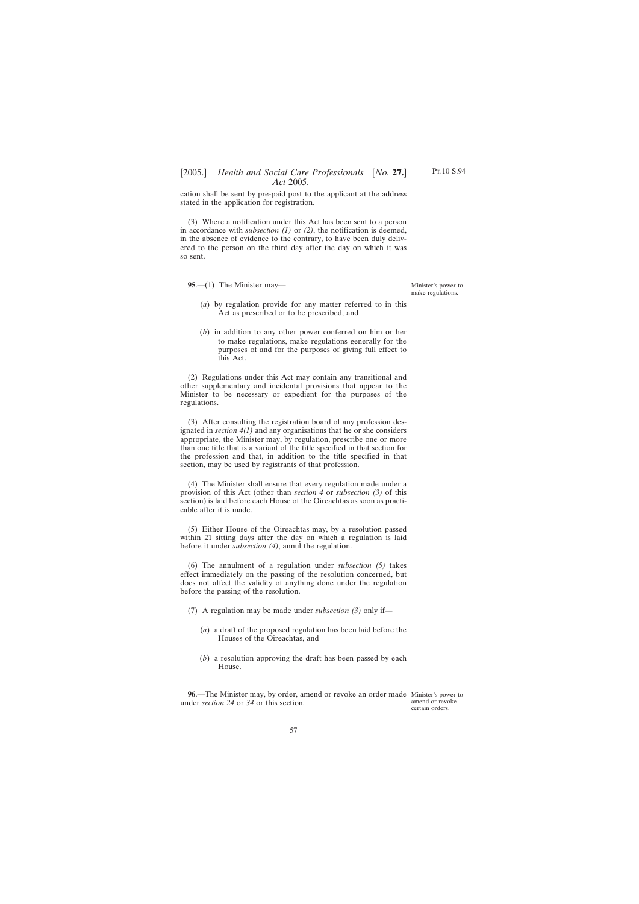<span id="page-56-0"></span>cation shall be sent by pre-paid post to the applicant at the address stated in the application for registration.

(3) Where a notification under this Act has been sent to a person in accordance with *subsection (1)* or *(2)*, the notification is deemed, in the absence of evidence to the contrary, to have been duly delivered to the person on the third day after the day on which it was so sent.

**95**.—(1) The Minister may—

Minister's power to make regulations.

- (*a*) by regulation provide for any matter referred to in this Act as prescribed or to be prescribed, and
- (*b*) in addition to any other power conferred on him or her to make regulations, make regulations generally for the purposes of and for the purposes of giving full effect to this Act.

(2) Regulations under this Act may contain any transitional and other supplementary and incidental provisions that appear to the Minister to be necessary or expedient for the purposes of the regulations.

(3) After consulting the registration board of any profession designated in *section 4(1)* and any organisations that he or she considers appropriate, the Minister may, by regulation, prescribe one or more than one title that is a variant of the title specified in that section for the profession and that, in addition to the title specified in that section, may be used by registrants of that profession.

(4) The Minister shall ensure that every regulation made under a provision of this Act (other than *section 4* or *subsection (3)* of this section) is laid before each House of the Oireachtas as soon as practicable after it is made.

(5) Either House of the Oireachtas may, by a resolution passed within 21 sitting days after the day on which a regulation is laid before it under *subsection (4)*, annul the regulation.

(6) The annulment of a regulation under *subsection (5)* takes effect immediately on the passing of the resolution concerned, but does not affect the validity of anything done under the regulation before the passing of the resolution.

(7) A regulation may be made under *subsection (3)* only if—

- (*a*) a draft of the proposed regulation has been laid before the Houses of the Oireachtas, and
- (*b*) a resolution approving the draft has been passed by each House.

**96.—The Minister may, by order, amend or revoke an order made Minister's power to** under *section 24* or *34* or this section.

amend or revoke certain orders.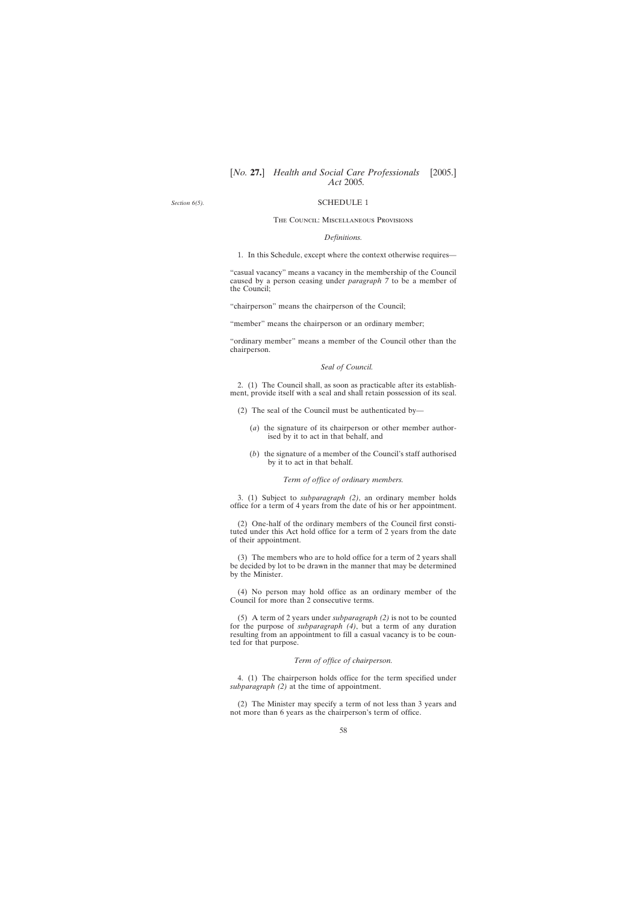<span id="page-57-0"></span>*Section 6(5).*

### SCHEDULE 1

#### The Council: Miscellaneous Provisions

#### *Definitions.*

1. In this Schedule, except where the context otherwise requires—

"casual vacancy" means a vacancy in the membership of the Council caused by a person ceasing under *paragraph 7* to be a member of the Council;

"chairperson" means the chairperson of the Council;

"member" means the chairperson or an ordinary member;

"ordinary member" means a member of the Council other than the chairperson.

#### *Seal of Council.*

2. (1) The Council shall, as soon as practicable after its establishment, provide itself with a seal and shall retain possession of its seal.

- (2) The seal of the Council must be authenticated by—
	- (*a*) the signature of its chairperson or other member authorised by it to act in that behalf, and
	- (*b*) the signature of a member of the Council's staff authorised by it to act in that behalf.

*Term of office of ordinary members.*

3. (1) Subject to *subparagraph (2)*, an ordinary member holds office for a term of 4 years from the date of his or her appointment.

(2) One-half of the ordinary members of the Council first constituted under this Act hold office for a term of 2 years from the date of their appointment.

(3) The members who are to hold office for a term of 2 years shall be decided by lot to be drawn in the manner that may be determined by the Minister.

(4) No person may hold office as an ordinary member of the Council for more than 2 consecutive terms.

(5) A term of 2 years under *subparagraph (2)* is not to be counted for the purpose of *subparagraph (4)*, but a term of any duration resulting from an appointment to fill a casual vacancy is to be counted for that purpose.

### *Term of office of chairperson.*

4. (1) The chairperson holds office for the term specified under *subparagraph (2)* at the time of appointment.

(2) The Minister may specify a term of not less than 3 years and not more than 6 years as the chairperson's term of office.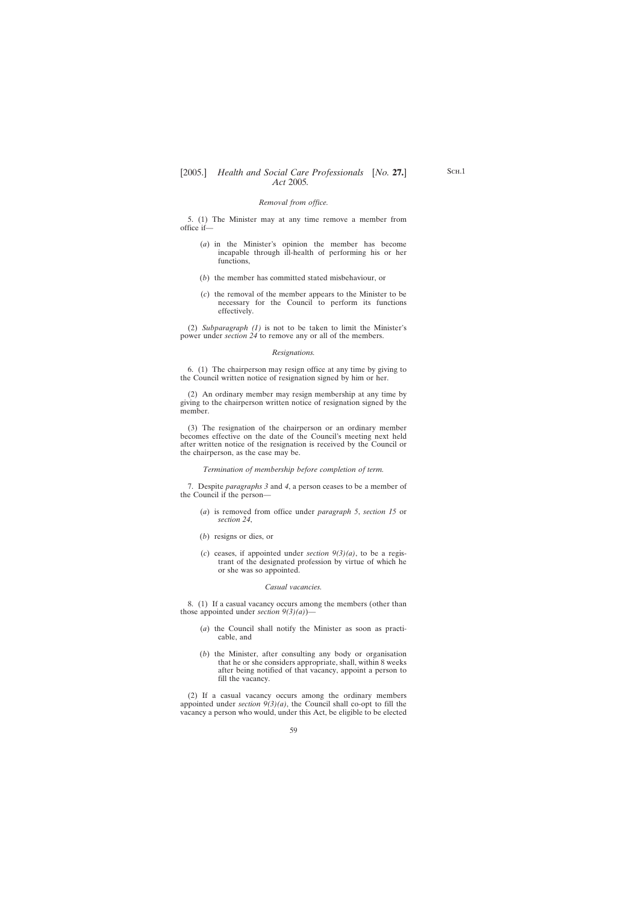### *Removal from office.*

5. (1) The Minister may at any time remove a member from office if—

- (*a*) in the Minister's opinion the member has become incapable through ill-health of performing his or her functions,
- (*b*) the member has committed stated misbehaviour, or
- (*c*) the removal of the member appears to the Minister to be necessary for the Council to perform its functions effectively.

(2) *Subparagraph (1)* is not to be taken to limit the Minister's power under *section 24* to remove any or all of the members.

#### *Resignations.*

6. (1) The chairperson may resign office at any time by giving to the Council written notice of resignation signed by him or her.

(2) An ordinary member may resign membership at any time by giving to the chairperson written notice of resignation signed by the member.

(3) The resignation of the chairperson or an ordinary member becomes effective on the date of the Council's meeting next held after written notice of the resignation is received by the Council or the chairperson, as the case may be.

*Termination of membership before completion of term.*

7. Despite *paragraphs 3* and *4*, a person ceases to be a member of the Council if the person—

- (*a*) is removed from office under *paragraph 5*, *section 15* or *section 24*,
- (*b*) resigns or dies, or
- (*c*) ceases, if appointed under *section 9(3)(a)*, to be a registrant of the designated profession by virtue of which he or she was so appointed.

### *Casual vacancies.*

8. (1) If a casual vacancy occurs among the members (other than those appointed under *section 9(3)(a)*)—

- (*a*) the Council shall notify the Minister as soon as practicable, and
- (*b*) the Minister, after consulting any body or organisation that he or she considers appropriate, shall, within 8 weeks after being notified of that vacancy, appoint a person to fill the vacancy.

(2) If a casual vacancy occurs among the ordinary members appointed under *section 9(3)(a)*, the Council shall co-opt to fill the vacancy a person who would, under this Act, be eligible to be elected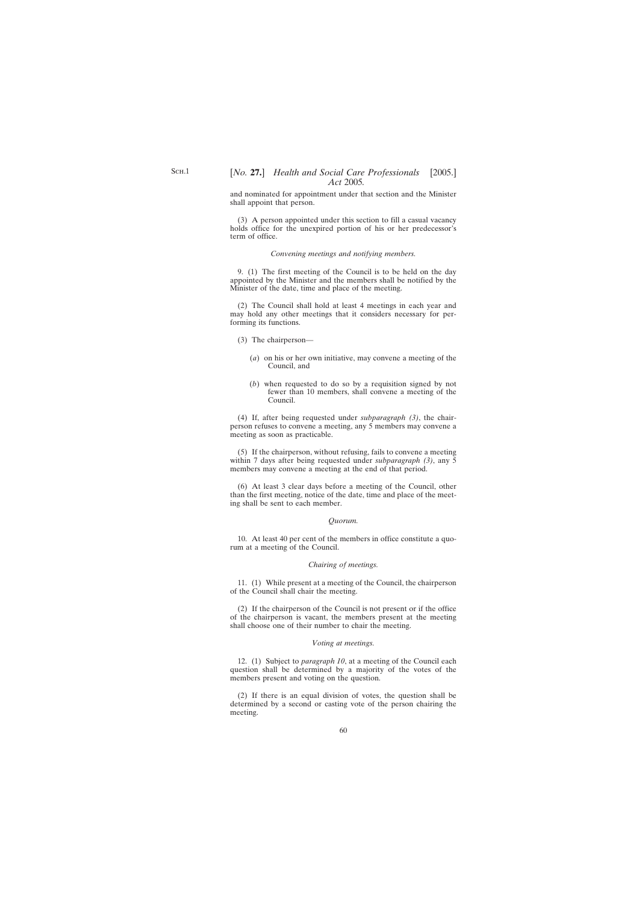and nominated for appointment under that section and the Minister shall appoint that person.

(3) A person appointed under this section to fill a casual vacancy holds office for the unexpired portion of his or her predecessor's term of office.

#### *Convening meetings and notifying members.*

9. (1) The first meeting of the Council is to be held on the day appointed by the Minister and the members shall be notified by the Minister of the date, time and place of the meeting.

(2) The Council shall hold at least 4 meetings in each year and may hold any other meetings that it considers necessary for performing its functions.

- (3) The chairperson—
	- (*a*) on his or her own initiative, may convene a meeting of the Council, and
	- (*b*) when requested to do so by a requisition signed by not fewer than 10 members, shall convene a meeting of the Council.

(4) If, after being requested under *subparagraph (3)*, the chairperson refuses to convene a meeting, any 5 members may convene a meeting as soon as practicable.

(5) If the chairperson, without refusing, fails to convene a meeting within 7 days after being requested under *subparagraph (3)*, any 5 members may convene a meeting at the end of that period.

(6) At least 3 clear days before a meeting of the Council, other than the first meeting, notice of the date, time and place of the meeting shall be sent to each member.

#### *Quorum.*

10. At least 40 per cent of the members in office constitute a quorum at a meeting of the Council.

#### *Chairing of meetings.*

11. (1) While present at a meeting of the Council, the chairperson of the Council shall chair the meeting.

(2) If the chairperson of the Council is not present or if the office of the chairperson is vacant, the members present at the meeting shall choose one of their number to chair the meeting.

#### *Voting at meetings.*

12. (1) Subject to *paragraph 10*, at a meeting of the Council each question shall be determined by a majority of the votes of the members present and voting on the question.

(2) If there is an equal division of votes, the question shall be determined by a second or casting vote of the person chairing the meeting.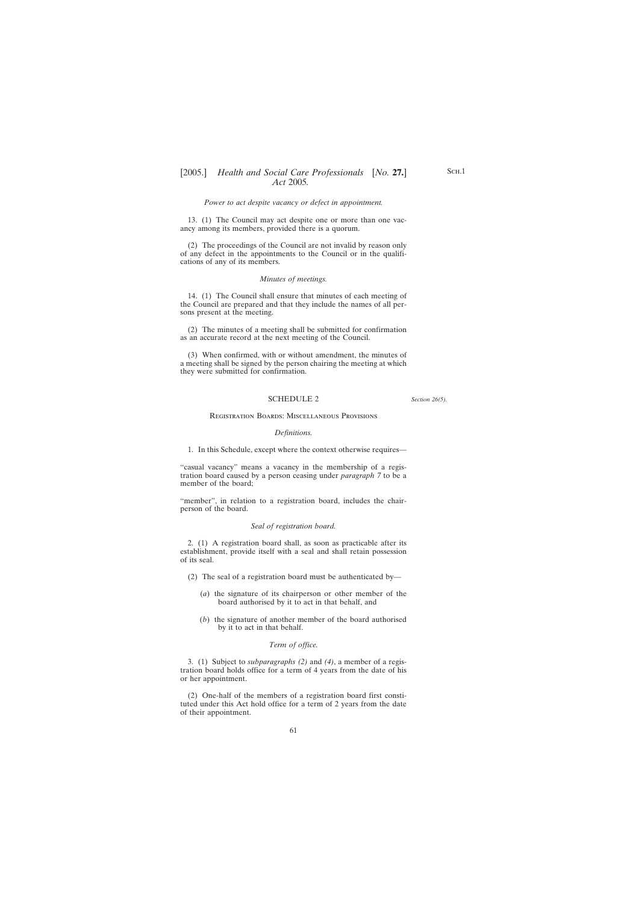#### *Power to act despite vacancy or defect in appointment.*

<span id="page-60-0"></span>13. (1) The Council may act despite one or more than one vacancy among its members, provided there is a quorum.

(2) The proceedings of the Council are not invalid by reason only of any defect in the appointments to the Council or in the qualifications of any of its members.

### *Minutes of meetings.*

14. (1) The Council shall ensure that minutes of each meeting of the Council are prepared and that they include the names of all persons present at the meeting.

(2) The minutes of a meeting shall be submitted for confirmation as an accurate record at the next meeting of the Council.

(3) When confirmed, with or without amendment, the minutes of a meeting shall be signed by the person chairing the meeting at which they were submitted for confirmation.

#### SCHEDULE 2

*Section 26(5).*

#### Registration Boards: Miscellaneous Provisions

#### *Definitions.*

1. In this Schedule, except where the context otherwise requires—

"casual vacancy" means a vacancy in the membership of a registration board caused by a person ceasing under *paragraph 7* to be a member of the board;

"member", in relation to a registration board, includes the chairperson of the board.

#### *Seal of registration board.*

2. (1) A registration board shall, as soon as practicable after its establishment, provide itself with a seal and shall retain possession of its seal.

- (2) The seal of a registration board must be authenticated by—
	- (*a*) the signature of its chairperson or other member of the board authorised by it to act in that behalf, and
	- (*b*) the signature of another member of the board authorised by it to act in that behalf.

### *Term of office.*

3. (1) Subject to *subparagraphs (2)* and *(4)*, a member of a registration board holds office for a term of 4 years from the date of his or her appointment.

(2) One-half of the members of a registration board first constituted under this Act hold office for a term of 2 years from the date of their appointment.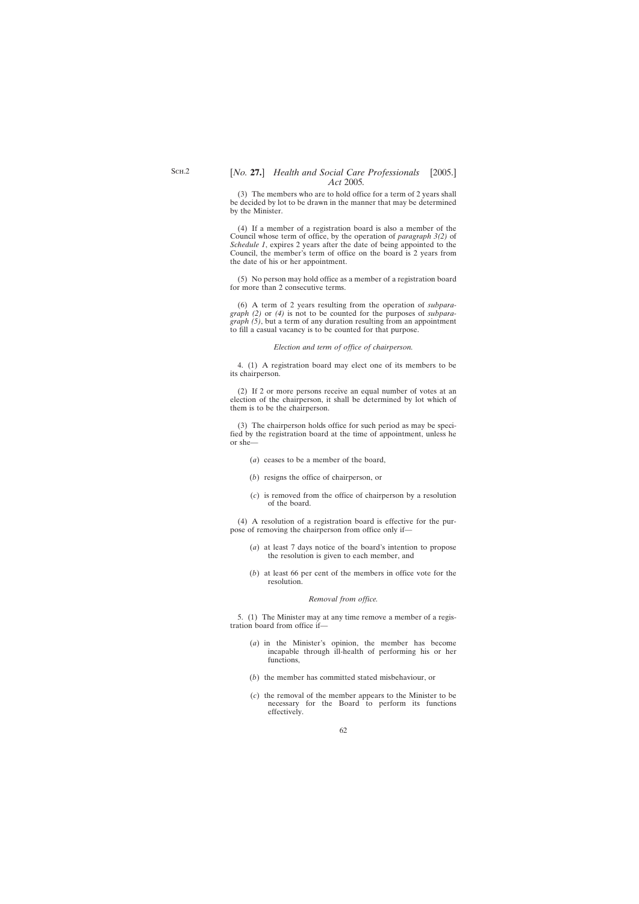(3) The members who are to hold office for a term of 2 years shall be decided by lot to be drawn in the manner that may be determined by the Minister.

(4) If a member of a registration board is also a member of the Council whose term of office, by the operation of *paragraph 3(2)* of *Schedule 1*, expires 2 years after the date of being appointed to the Council, the member's term of office on the board is 2 years from the date of his or her appointment.

(5) No person may hold office as a member of a registration board for more than 2 consecutive terms.

(6) A term of 2 years resulting from the operation of *subparagraph (2)* or *(4)* is not to be counted for the purposes of *subparagraph (5)*, but a term of any duration resulting from an appointment to fill a casual vacancy is to be counted for that purpose.

### *Election and term of office of chairperson.*

4. (1) A registration board may elect one of its members to be its chairperson.

(2) If 2 or more persons receive an equal number of votes at an election of the chairperson, it shall be determined by lot which of them is to be the chairperson.

(3) The chairperson holds office for such period as may be specified by the registration board at the time of appointment, unless he or she—

- (*a*) ceases to be a member of the board,
- (*b*) resigns the office of chairperson, or
- (*c*) is removed from the office of chairperson by a resolution of the board.

(4) A resolution of a registration board is effective for the purpose of removing the chairperson from office only if—

- (*a*) at least 7 days notice of the board's intention to propose the resolution is given to each member, and
- (*b*) at least 66 per cent of the members in office vote for the resolution.

### *Removal from office.*

5. (1) The Minister may at any time remove a member of a registration board from office if—

- (*a*) in the Minister's opinion, the member has become incapable through ill-health of performing his or her functions,
- (*b*) the member has committed stated misbehaviour, or
- (*c*) the removal of the member appears to the Minister to be necessary for the Board to perform its functions effectively.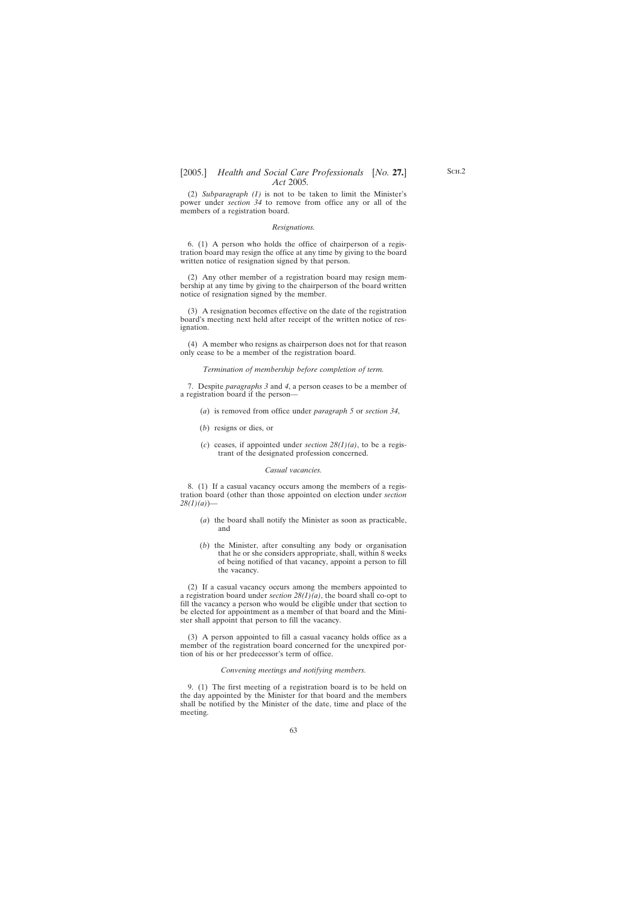(2) *Subparagraph (1)* is not to be taken to limit the Minister's power under *section 34* to remove from office any or all of the members of a registration board.

#### *Resignations.*

6. (1) A person who holds the office of chairperson of a registration board may resign the office at any time by giving to the board written notice of resignation signed by that person.

(2) Any other member of a registration board may resign membership at any time by giving to the chairperson of the board written notice of resignation signed by the member.

(3) A resignation becomes effective on the date of the registration board's meeting next held after receipt of the written notice of resignation.

(4) A member who resigns as chairperson does not for that reason only cease to be a member of the registration board.

*Termination of membership before completion of term.*

7. Despite *paragraphs 3* and *4*, a person ceases to be a member of a registration board if the person—

- (*a*) is removed from office under *paragraph 5* or *section 34*,
- (*b*) resigns or dies, or
- (*c*) ceases, if appointed under *section 28(1)(a)*, to be a registrant of the designated profession concerned.

#### *Casual vacancies.*

8. (1) If a casual vacancy occurs among the members of a registration board (other than those appointed on election under *section 28(1)(a)*)—

- (*a*) the board shall notify the Minister as soon as practicable, and
- (*b*) the Minister, after consulting any body or organisation that he or she considers appropriate, shall, within 8 weeks of being notified of that vacancy, appoint a person to fill the vacancy.

(2) If a casual vacancy occurs among the members appointed to a registration board under *section 28(1)(a)*, the board shall co-opt to fill the vacancy a person who would be eligible under that section to be elected for appointment as a member of that board and the Minister shall appoint that person to fill the vacancy.

(3) A person appointed to fill a casual vacancy holds office as a member of the registration board concerned for the unexpired portion of his or her predecessor's term of office.

#### *Convening meetings and notifying members.*

9. (1) The first meeting of a registration board is to be held on the day appointed by the Minister for that board and the members shall be notified by the Minister of the date, time and place of the meeting.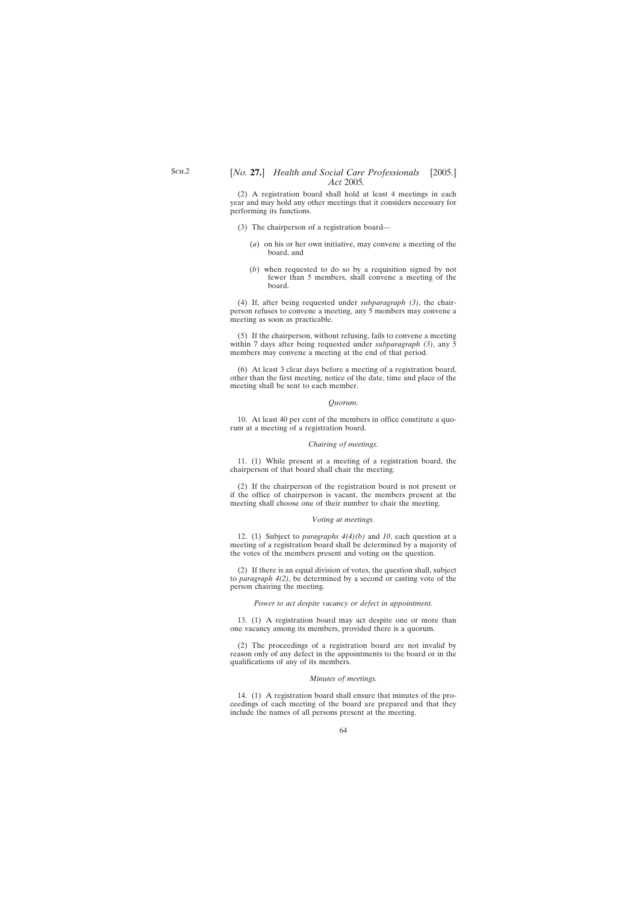(2) A registration board shall hold at least 4 meetings in each year and may hold any other meetings that it considers necessary for performing its functions.

- (3) The chairperson of a registration board—
	- (*a*) on his or her own initiative, may convene a meeting of the board, and
	- (*b*) when requested to do so by a requisition signed by not fewer than 5 members, shall convene a meeting of the board.

(4) If, after being requested under *subparagraph (3)*, the chairperson refuses to convene a meeting, any 5 members may convene a meeting as soon as practicable.

(5) If the chairperson, without refusing, fails to convene a meeting within 7 days after being requested under *subparagraph (3)*, any 5 members may convene a meeting at the end of that period.

(6) At least 3 clear days before a meeting of a registration board, other than the first meeting, notice of the date, time and place of the meeting shall be sent to each member.

#### *Quorum.*

10. At least 40 per cent of the members in office constitute a quorum at a meeting of a registration board.

### *Chairing of meetings.*

11. (1) While present at a meeting of a registration board, the chairperson of that board shall chair the meeting.

(2) If the chairperson of the registration board is not present or if the office of chairperson is vacant, the members present at the meeting shall choose one of their number to chair the meeting.

### *Voting at meetings.*

12. (1) Subject to *paragraphs 4(4)(b)* and *10*, each question at a meeting of a registration board shall be determined by a majority of the votes of the members present and voting on the question.

(2) If there is an equal division of votes, the question shall, subject to *paragraph 4(2)*, be determined by a second or casting vote of the person chairing the meeting.

#### *Power to act despite vacancy or defect in appointment.*

13. (1) A registration board may act despite one or more than one vacancy among its members, provided there is a quorum.

(2) The proceedings of a registration board are not invalid by reason only of any defect in the appointments to the board or in the qualifications of any of its members.

#### *Minutes of meetings.*

14. (1) A registration board shall ensure that minutes of the proceedings of each meeting of the board are prepared and that they include the names of all persons present at the meeting.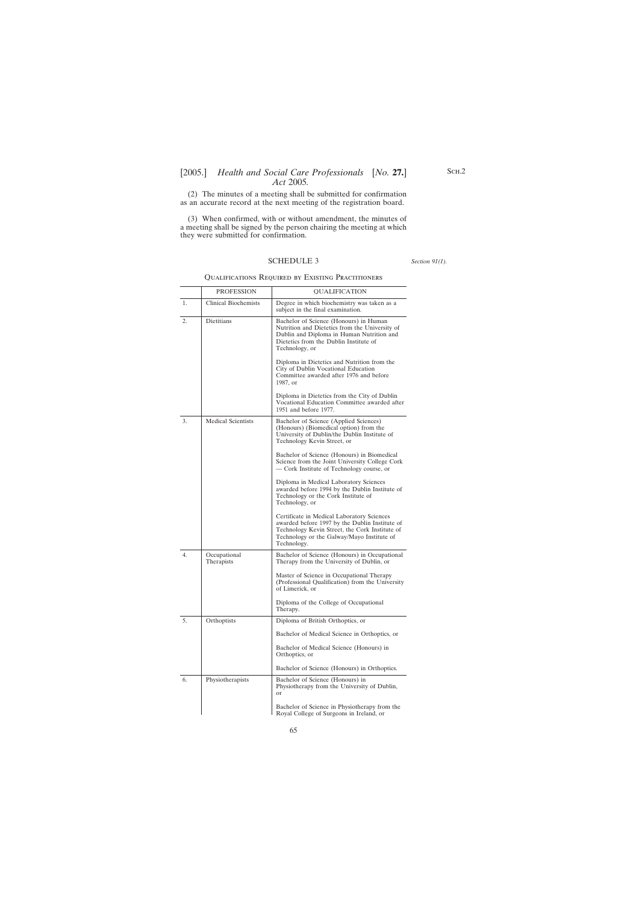<span id="page-64-0"></span>(2) The minutes of a meeting shall be submitted for confirmation as an accurate record at the next meeting of the registration board.

(3) When confirmed, with or without amendment, the minutes of a meeting shall be signed by the person chairing the meeting at which they were submitted for confirmation.

## SCHEDULE 3

*Section 91(1).*

### Qualifications Required by Existing Practitioners

|    | <b>PROFESSION</b>           | <b>OUALIFICATION</b>                                                                                                                                                                                        |
|----|-----------------------------|-------------------------------------------------------------------------------------------------------------------------------------------------------------------------------------------------------------|
| 1. | <b>Clinical Biochemists</b> | Degree in which biochemistry was taken as a<br>subject in the final examination.                                                                                                                            |
| 2. | Dietitians                  | Bachelor of Science (Honours) in Human<br>Nutrition and Dietetics from the University of<br>Dublin and Diploma in Human Nutrition and<br>Dietetics from the Dublin Institute of<br>Technology, or           |
|    |                             | Diploma in Dietetics and Nutrition from the<br>City of Dublin Vocational Education<br>Committee awarded after 1976 and before<br>1987, or                                                                   |
|    |                             | Diploma in Dietetics from the City of Dublin<br>Vocational Education Committee awarded after<br>1951 and before 1977.                                                                                       |
| 3. | <b>Medical Scientists</b>   | Bachelor of Science (Applied Sciences)<br>(Honours) (Biomedical option) from the<br>University of Dublin/the Dublin Institute of<br>Technology Kevin Street, or                                             |
|    |                             | Bachelor of Science (Honours) in Biomedical<br>Science from the Joint University College Cork<br>— Cork Institute of Technology course, or                                                                  |
|    |                             | Diploma in Medical Laboratory Sciences<br>awarded before 1994 by the Dublin Institute of<br>Technology or the Cork Institute of<br>Technology, or                                                           |
|    |                             | Certificate in Medical Laboratory Sciences<br>awarded before 1997 by the Dublin Institute of<br>Technology Kevin Street, the Cork Institute of<br>Technology or the Galway/Mayo Institute of<br>Technology. |
| 4. | Occupational<br>Therapists  | Bachelor of Science (Honours) in Occupational<br>Therapy from the University of Dublin, or                                                                                                                  |
|    |                             | Master of Science in Occupational Therapy<br>(Professional Qualification) from the University<br>of Limerick, or                                                                                            |
|    |                             | Diploma of the College of Occupational<br>Therapy.                                                                                                                                                          |
| 5. | Orthoptists                 | Diploma of British Orthoptics, or                                                                                                                                                                           |
|    |                             | Bachelor of Medical Science in Orthoptics, or                                                                                                                                                               |
|    |                             | Bachelor of Medical Science (Honours) in<br>Orthoptics, or                                                                                                                                                  |
|    |                             | Bachelor of Science (Honours) in Orthoptics.                                                                                                                                                                |
| 6. | Physiotherapists            | Bachelor of Science (Honours) in<br>Physiotherapy from the University of Dublin,<br>or                                                                                                                      |
|    |                             | Bachelor of Science in Physiotherapy from the<br>Royal College of Surgeons in Ireland, or                                                                                                                   |